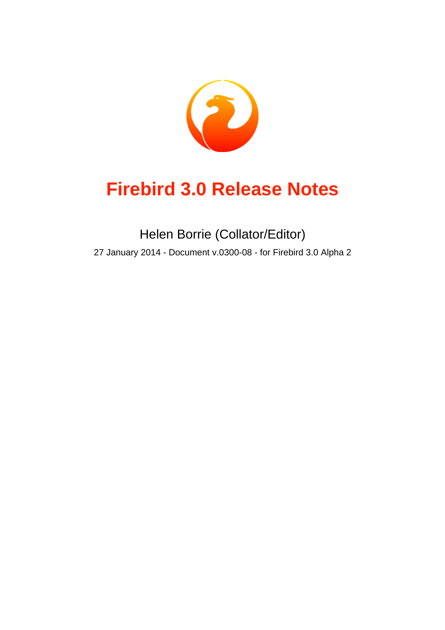

# **Firebird 3.0 Release Notes**

Helen Borrie (Collator/Editor) 27 January 2014 - Document v.0300-08 - for Firebird 3.0 Alpha 2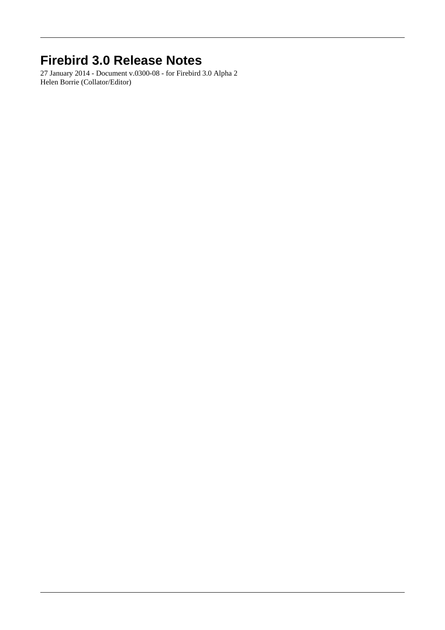## **Firebird 3.0 Release Notes**

27 January 2014 - Document v.0300-08 - for Firebird 3.0 Alpha 2 Helen Borrie (Collator/Editor)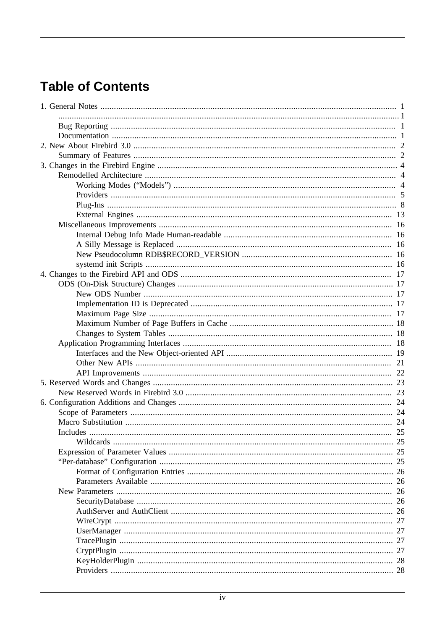## **Table of Contents**

| 26  |
|-----|
| 26  |
| -26 |
| 26  |
| -27 |
| 27  |
|     |
|     |
|     |
|     |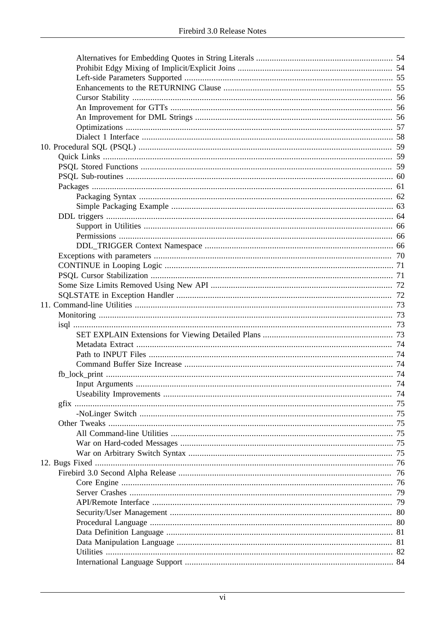| $gfix \dots$ |     |
|--------------|-----|
|              |     |
|              |     |
|              |     |
|              |     |
|              | 75  |
|              | -76 |
|              |     |
|              |     |
|              |     |
|              | 79  |
|              | 80  |
|              |     |
|              |     |
|              |     |
|              |     |
|              |     |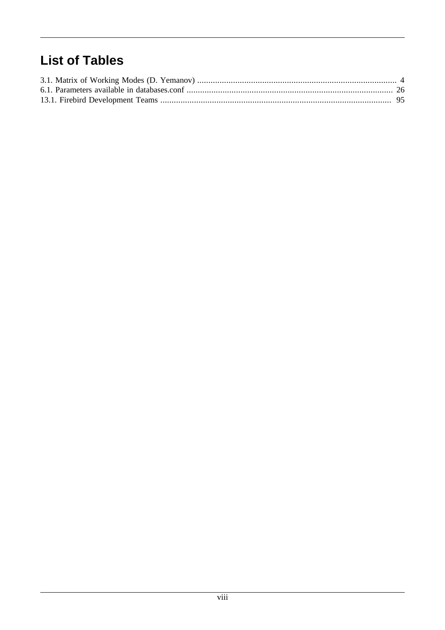## **List of Tables**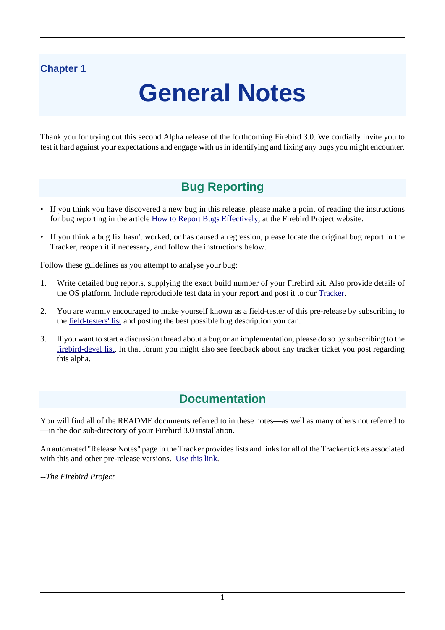## <span id="page-8-0"></span>**Chapter 1**

# **General Notes**

<span id="page-8-1"></span>Thank you for trying out this second Alpha release of the forthcoming Firebird 3.0. We cordially invite you to test it hard against your expectations and engage with us in identifying and fixing any bugs you might encounter.

## **Bug Reporting**

- If you think you have discovered a new bug in this release, please make a point of reading the instructions for bug reporting in the article [How to Report Bugs Effectively](http://www.firebirdsql.org/en/how-to-report-bugs/), at the Firebird Project website.
- If you think a bug fix hasn't worked, or has caused a regression, please locate the original bug report in the Tracker, reopen it if necessary, and follow the instructions below.

Follow these guidelines as you attempt to analyse your bug:

- 1. Write detailed bug reports, supplying the exact build number of your Firebird kit. Also provide details of the OS platform. Include reproducible test data in your report and post it to our [Tracker](http://tracker.firebirdsql.org).
- 2. You are warmly encouraged to make yourself known as a field-tester of this pre-release by subscribing to the [field-testers' list](mailto:firebird-test-request@lists.sourceforge.net?subject=subscribe) and posting the best possible bug description you can.
- <span id="page-8-2"></span>3. If you want to start a discussion thread about a bug or an implementation, please do so by subscribing to the [firebird-devel list](mailto:firebird-devel-request@lists.sourceforge.net?subject=subscribe). In that forum you might also see feedback about any tracker ticket you post regarding this alpha.

## **Documentation**

You will find all of the README documents referred to in these notes—as well as many others not referred to —in the doc sub-directory of your Firebird 3.0 installation.

An automated "Release Notes" page in the Tracker provides lists and links for all of the Tracker tickets associated with this and other pre-release versions. [Use this link](http://tracker.firebirdsql.org/secure/ReleaseNote.jspa?version=10333&styleName=Html&projectId=10000).

*--The Firebird Project*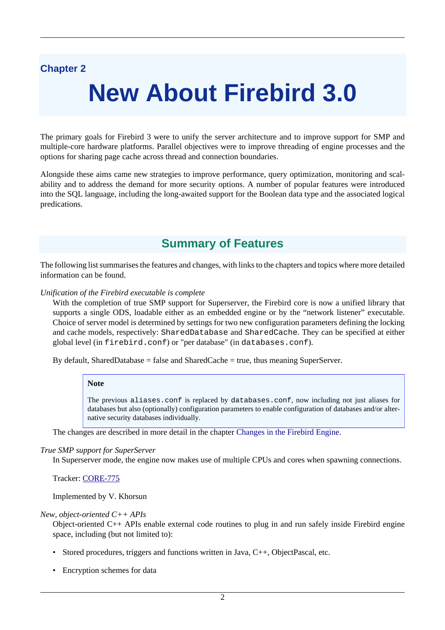## <span id="page-9-0"></span>**Chapter 2**

# **New About Firebird 3.0**

The primary goals for Firebird 3 were to unify the server architecture and to improve support for SMP and multiple-core hardware platforms. Parallel objectives were to improve threading of engine processes and the options for sharing page cache across thread and connection boundaries.

<span id="page-9-1"></span>Alongside these aims came new strategies to improve performance, query optimization, monitoring and scalability and to address the demand for more security options. A number of popular features were introduced into the SQL language, including the long-awaited support for the Boolean data type and the associated logical predications.

## **Summary of Features**

The following list summarises the features and changes, with links to the chapters and topics where more detailed information can be found.

*Unification of the Firebird executable is complete*

With the completion of true SMP support for Superserver, the Firebird core is now a unified library that supports a single ODS, loadable either as an embedded engine or by the "network listener" executable. Choice of server model is determined by settings for two new configuration parameters defining the locking and cache models, respectively: SharedDatabase and SharedCache. They can be specified at either global level (in firebird.conf) or "per database" (in databases.conf).

By default, SharedDatabase = false and SharedCache = true, thus meaning SuperServer.

#### **Note**

The previous aliases.conf is replaced by databases.conf, now including not just aliases for databases but also (optionally) configuration parameters to enable configuration of databases and/or alternative security databases individually.

The changes are described in more detail in the chapter [Changes in the Firebird Engine.](#page-11-0)

#### *True SMP support for SuperServer*

In Superserver mode, the engine now makes use of multiple CPUs and cores when spawning connections.

Tracker: [CORE-775](http://tracker.firebirdsql.org/browse/CORE-775)

Implemented by V. Khorsun

#### *New, object-oriented C++ APIs*

Object-oriented C++ APIs enable external code routines to plug in and run safely inside Firebird engine space, including (but not limited to):

- Stored procedures, triggers and functions written in Java, C++, ObjectPascal, etc.
- Encryption schemes for data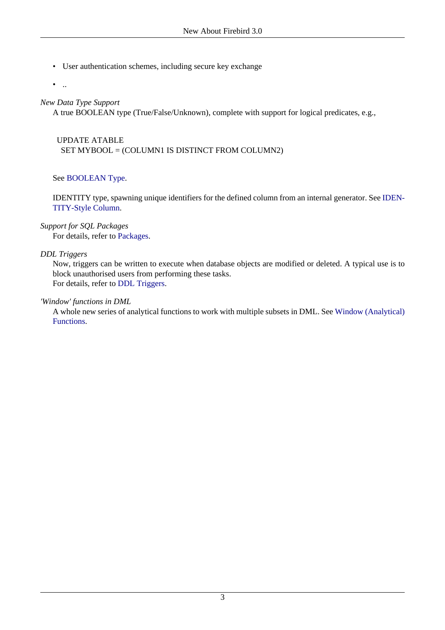• User authentication schemes, including secure key exchange

 $\bullet$  ...

#### *New Data Type Support*

A true BOOLEAN type (True/False/Unknown), complete with support for logical predicates, e.g.,

 UPDATE ATABLE SET MYBOOL = (COLUMN1 IS DISTINCT FROM COLUMN2)

#### See [BOOLEAN Type](#page-45-4).

IDENTITY type, spawning unique identifiers for the defined column from an internal generator. See [IDEN-](#page-47-0)[TITY-Style Column](#page-47-0).

#### *Support for SQL Packages*

For details, refer to [Packages](#page-68-0).

#### *DDL Triggers*

Now, triggers can be written to execute when database objects are modified or deleted. A typical use is to block unauthorised users from performing these tasks. For details, refer to [DDL Triggers](#page-71-0).

#### *'Window' functions in DML*

A whole new series of analytical functions to work with multiple subsets in DML. See [Window \(Analytical\)](#page-54-0) [Functions.](#page-54-0)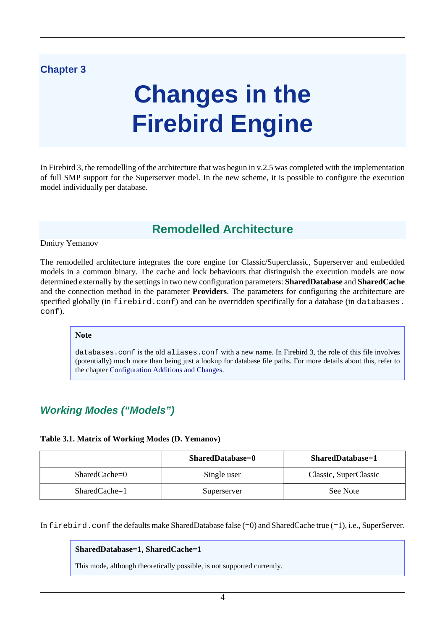### <span id="page-11-0"></span>**Chapter 3**

# **Changes in the Firebird Engine**

<span id="page-11-1"></span>In Firebird 3, the remodelling of the architecture that was begun in v.2.5 was completed with the implementation of full SMP support for the Superserver model. In the new scheme, it is possible to configure the execution model individually per database.

## **Remodelled Architecture**

#### Dmitry Yemanov

The remodelled architecture integrates the core engine for Classic/Superclassic, Superserver and embedded models in a common binary. The cache and lock behaviours that distinguish the execution models are now determined externally by the settings in two new configuration parameters: **SharedDatabase** and **SharedCache** and the connection method in the parameter **Providers**. The parameters for configuring the architecture are specified globally (in firebird.conf) and can be overridden specifically for a database (in databases. conf).

#### **Note**

databases.conf is the old aliases.conf with a new name. In Firebird 3, the role of this file involves (potentially) much more than being just a lookup for database file paths. For more details about this, refer to the chapter [Configuration Additions and Changes](#page-31-0).

## <span id="page-11-2"></span>**Working Modes ("Models")**

#### <span id="page-11-3"></span>**Table 3.1. Matrix of Working Modes (D. Yemanov)**

|                 | <b>SharedDatabase=0</b> | SharedDatabase=1      |
|-----------------|-------------------------|-----------------------|
| $SharedCache=0$ | Single user             | Classic, SuperClassic |
| $SharedCache=1$ | Superserver             | See Note              |

In firebird.conf the defaults make SharedDatabase false  $(=0)$  and SharedCache true  $(=1)$ , i.e., SuperServer.

#### **SharedDatabase=1, SharedCache=1**

This mode, although theoretically possible, is not supported currently.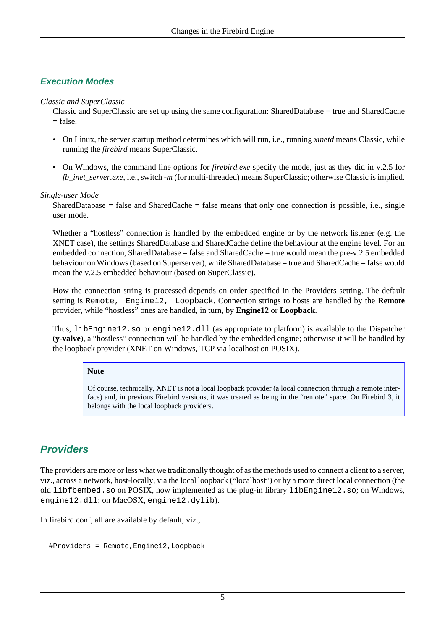### **Execution Modes**

#### *Classic and SuperClassic*

Classic and SuperClassic are set up using the same configuration: SharedDatabase = true and SharedCache  $=$  false.

- On Linux, the server startup method determines which will run, i.e., running *xinetd* means Classic, while running the *firebird* means SuperClassic.
- On Windows, the command line options for *firebird.exe* specify the mode, just as they did in v.2.5 for *fb\_inet\_server.exe, i.e., switch <i>-m* (for multi-threaded) means SuperClassic; otherwise Classic is implied.

#### *Single-user Mode*

SharedDatabase = false and SharedCache = false means that only one connection is possible, i.e., single user mode.

Whether a "hostless" connection is handled by the embedded engine or by the network listener (e.g. the XNET case), the settings SharedDatabase and SharedCache define the behaviour at the engine level. For an embedded connection, SharedDatabase = false and SharedCache = true would mean the pre-v.2.5 embedded behaviour on Windows (based on Superserver), while SharedDatabase = true and SharedCache = false would mean the v.2.5 embedded behaviour (based on SuperClassic).

How the connection string is processed depends on order specified in the Providers setting. The default setting is Remote, Engine12, Loopback. Connection strings to hosts are handled by the **Remote** provider, while "hostless" ones are handled, in turn, by **Engine12** or **Loopback**.

Thus, libEngine12.so or engine12.dll (as appropriate to platform) is available to the Dispatcher (**y-valve**), a "hostless" connection will be handled by the embedded engine; otherwise it will be handled by the loopback provider (XNET on Windows, TCP via localhost on POSIX).

#### **Note**

Of course, technically, XNET is not a local loopback provider (a local connection through a remote interface) and, in previous Firebird versions, it was treated as being in the "remote" space. On Firebird 3, it belongs with the local loopback providers.

## <span id="page-12-0"></span>**Providers**

The providers are more or less what we traditionally thought of as the methods used to connect a client to a server, viz., across a network, host-locally, via the local loopback ("localhost") or by a more direct local connection (the old libfbembed.so on POSIX, now implemented as the plug-in library libEngine12.so; on Windows, engine12.dll; on MacOSX, engine12.dylib).

In firebird.conf, all are available by default, viz.,

```
 #Providers = Remote,Engine12,Loopback
```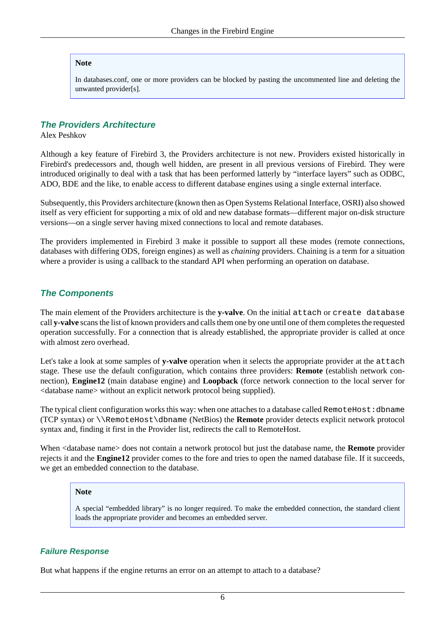#### **Note**

In databases.conf, one or more providers can be blocked by pasting the uncommented line and deleting the unwanted provider[s].

#### **The Providers Architecture**

Alex Peshkov

Although a key feature of Firebird 3, the Providers architecture is not new. Providers existed historically in Firebird's predecessors and, though well hidden, are present in all previous versions of Firebird. They were introduced originally to deal with a task that has been performed latterly by "interface layers" such as ODBC, ADO, BDE and the like, to enable access to different database engines using a single external interface.

Subsequently, this Providers architecture (known then as Open Systems Relational Interface, OSRI) also showed itself as very efficient for supporting a mix of old and new database formats—different major on-disk structure versions—on a single server having mixed connections to local and remote databases.

The providers implemented in Firebird 3 make it possible to support all these modes (remote connections, databases with differing ODS, foreign engines) as well as *chaining* providers. Chaining is a term for a situation where a provider is using a callback to the standard API when performing an operation on database.

#### **The Components**

The main element of the Providers architecture is the **y-valve**. On the initial attach or create database call **y-valve** scans the list of known providers and calls them one by one until one of them completes the requested operation successfully. For a connection that is already established, the appropriate provider is called at once with almost zero overhead.

Let's take a look at some samples of **y-valve** operation when it selects the appropriate provider at the attach stage. These use the default configuration, which contains three providers: **Remote** (establish network connection), **Engine12** (main database engine) and **Loopback** (force network connection to the local server for <database name> without an explicit network protocol being supplied).

The typical client configuration works this way: when one attaches to a database called RemoteHost:dbname (TCP syntax) or \\RemoteHost\dbname (NetBios) the **Remote** provider detects explicit network protocol syntax and, finding it first in the Provider list, redirects the call to RemoteHost.

When <database name> does not contain a network protocol but just the database name, the **Remote** provider rejects it and the **Engine12** provider comes to the fore and tries to open the named database file. If it succeeds, we get an embedded connection to the database.

#### **Note**

A special "embedded library" is no longer required. To make the embedded connection, the standard client loads the appropriate provider and becomes an embedded server.

#### **Failure Response**

But what happens if the engine returns an error on an attempt to attach to a database?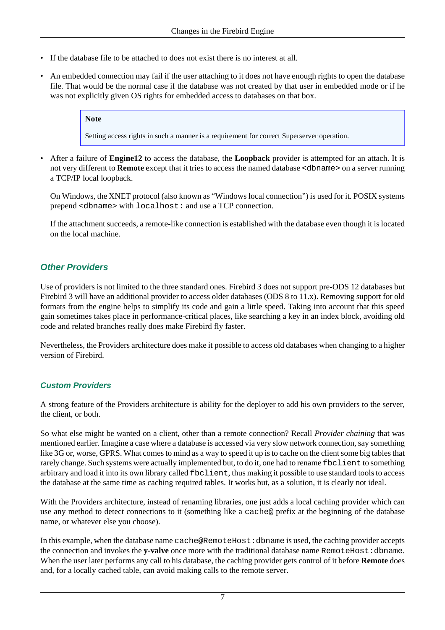- If the database file to be attached to does not exist there is no interest at all.
- An embedded connection may fail if the user attaching to it does not have enough rights to open the database file. That would be the normal case if the database was not created by that user in embedded mode or if he was not explicitly given OS rights for embedded access to databases on that box.

#### **Note**

Setting access rights in such a manner is a requirement for correct Superserver operation.

• After a failure of **Engine12** to access the database, the **Loopback** provider is attempted for an attach. It is not very different to **Remote** except that it tries to access the named database <dbname> on a server running a TCP/IP local loopback.

On Windows, the XNET protocol (also known as "Windows local connection") is used for it. POSIX systems prepend <dbname> with localhost: and use a TCP connection.

If the attachment succeeds, a remote-like connection is established with the database even though it is located on the local machine.

### **Other Providers**

Use of providers is not limited to the three standard ones. Firebird 3 does not support pre-ODS 12 databases but Firebird 3 will have an additional provider to access older databases (ODS 8 to 11.x). Removing support for old formats from the engine helps to simplify its code and gain a little speed. Taking into account that this speed gain sometimes takes place in performance-critical places, like searching a key in an index block, avoiding old code and related branches really does make Firebird fly faster.

Nevertheless, the Providers architecture does make it possible to access old databases when changing to a higher version of Firebird.

#### **Custom Providers**

A strong feature of the Providers architecture is ability for the deployer to add his own providers to the server, the client, or both.

So what else might be wanted on a client, other than a remote connection? Recall *Provider chaining* that was mentioned earlier. Imagine a case where a database is accessed via very slow network connection, say something like 3G or, worse, GPRS. What comes to mind as a way to speed it up is to cache on the client some big tables that rarely change. Such systems were actually implemented but, to do it, one had to rename fbclient to something arbitrary and load it into its own library called fbclient, thus making it possible to use standard tools to access the database at the same time as caching required tables. It works but, as a solution, it is clearly not ideal.

With the Providers architecture, instead of renaming libraries, one just adds a local caching provider which can use any method to detect connections to it (something like a cache@ prefix at the beginning of the database name, or whatever else you choose).

In this example, when the database name cache@RemoteHost:dbname is used, the caching provider accepts the connection and invokes the y-valve once more with the traditional database name RemoteHost:dbname. When the user later performs any call to his database, the caching provider gets control of it before **Remote** does and, for a locally cached table, can avoid making calls to the remote server.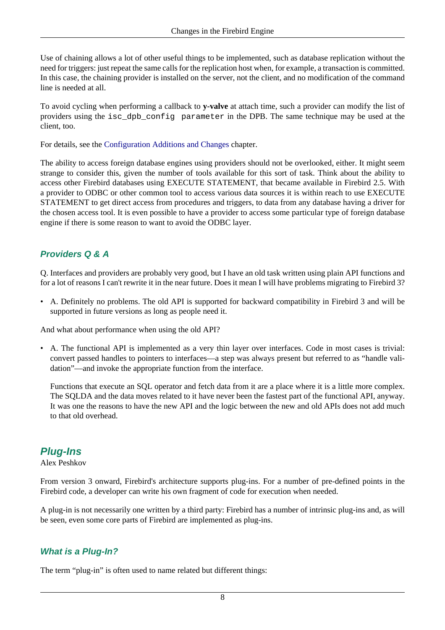Use of chaining allows a lot of other useful things to be implemented, such as database replication without the need for triggers: just repeat the same calls for the replication host when, for example, a transaction is committed. In this case, the chaining provider is installed on the server, not the client, and no modification of the command line is needed at all.

To avoid cycling when performing a callback to **y-valve** at attach time, such a provider can modify the list of providers using the isc\_dpb\_config parameter in the DPB. The same technique may be used at the client, too.

For details, see the [Configuration Additions and Changes](#page-31-0) chapter.

The ability to access foreign database engines using providers should not be overlooked, either. It might seem strange to consider this, given the number of tools available for this sort of task. Think about the ability to access other Firebird databases using EXECUTE STATEMENT, that became available in Firebird 2.5. With a provider to ODBC or other common tool to access various data sources it is within reach to use EXECUTE STATEMENT to get direct access from procedures and triggers, to data from any database having a driver for the chosen access tool. It is even possible to have a provider to access some particular type of foreign database engine if there is some reason to want to avoid the ODBC layer.

### **Providers Q & A**

Q. Interfaces and providers are probably very good, but I have an old task written using plain API functions and for a lot of reasons I can't rewrite it in the near future. Does it mean I will have problems migrating to Firebird 3?

• A. Definitely no problems. The old API is supported for backward compatibility in Firebird 3 and will be supported in future versions as long as people need it.

And what about performance when using the old API?

• A. The functional API is implemented as a very thin layer over interfaces. Code in most cases is trivial: convert passed handles to pointers to interfaces—a step was always present but referred to as "handle validation"—and invoke the appropriate function from the interface.

Functions that execute an SQL operator and fetch data from it are a place where it is a little more complex. The SQLDA and the data moves related to it have never been the fastest part of the functional API, anyway. It was one the reasons to have the new API and the logic between the new and old APIs does not add much to that old overhead.

## <span id="page-15-0"></span>**Plug-Ins**

Alex Peshkov

From version 3 onward, Firebird's architecture supports plug-ins. For a number of pre-defined points in the Firebird code, a developer can write his own fragment of code for execution when needed.

A plug-in is not necessarily one written by a third party: Firebird has a number of intrinsic plug-ins and, as will be seen, even some core parts of Firebird are implemented as plug-ins.

### **What is a Plug-In?**

The term "plug-in" is often used to name related but different things: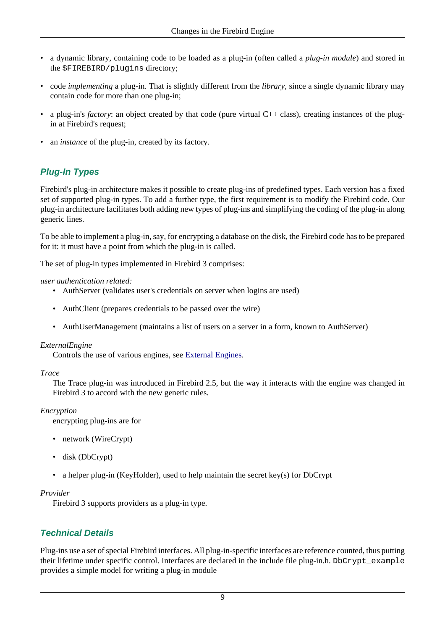- a dynamic library, containing code to be loaded as a plug-in (often called a *plug-in module*) and stored in the \$FIREBIRD/plugins directory;
- code *implementing* a plug-in. That is slightly different from the *library*, since a single dynamic library may contain code for more than one plug-in;
- a plug-in's *factory*: an object created by that code (pure virtual C++ class), creating instances of the plugin at Firebird's request;
- an *instance* of the plug-in, created by its factory.

## **Plug-In Types**

Firebird's plug-in architecture makes it possible to create plug-ins of predefined types. Each version has a fixed set of supported plug-in types. To add a further type, the first requirement is to modify the Firebird code. Our plug-in architecture facilitates both adding new types of plug-ins and simplifying the coding of the plug-in along generic lines.

To be able to implement a plug-in, say, for encrypting a database on the disk, the Firebird code has to be prepared for it: it must have a point from which the plug-in is called.

The set of plug-in types implemented in Firebird 3 comprises:

#### *user authentication related:*

- AuthServer (validates user's credentials on server when logins are used)
- AuthClient (prepares credentials to be passed over the wire)
- AuthUserManagement (maintains a list of users on a server in a form, known to AuthServer)

#### *ExternalEngine*

Controls the use of various engines, see [External Engines](#page-20-0).

#### *Trace*

The Trace plug-in was introduced in Firebird 2.5, but the way it interacts with the engine was changed in Firebird 3 to accord with the new generic rules.

#### *Encryption*

encrypting plug-ins are for

- network (WireCrypt)
- disk (DbCrypt)
- a helper plug-in (KeyHolder), used to help maintain the secret key(s) for DbCrypt

#### *Provider*

Firebird 3 supports providers as a plug-in type.

### **Technical Details**

Plug-ins use a set of special Firebird interfaces. All plug-in-specific interfaces are reference counted, thus putting their lifetime under specific control. Interfaces are declared in the include file plug-in.h. DbCrypt\_example provides a simple model for writing a plug-in module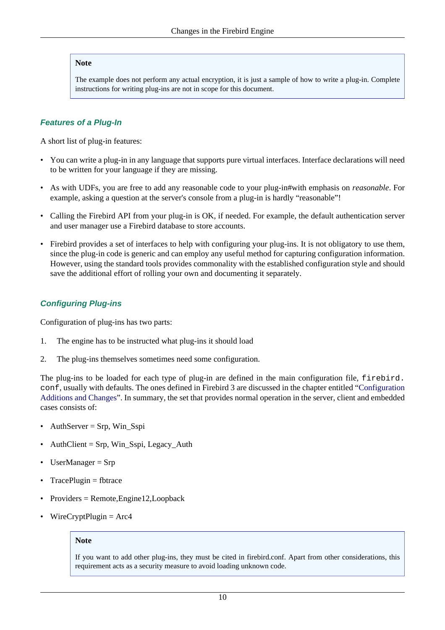#### **Note**

The example does not perform any actual encryption, it is just a sample of how to write a plug-in. Complete instructions for writing plug-ins are not in scope for this document.

#### **Features of a Plug-In**

A short list of plug-in features:

- You can write a plug-in in any language that supports pure virtual interfaces. Interface declarations will need to be written for your language if they are missing.
- As with UDFs, you are free to add any reasonable code to your plug-in#with emphasis on *reasonable*. For example, asking a question at the server's console from a plug-in is hardly "reasonable"!
- Calling the Firebird API from your plug-in is OK, if needed. For example, the default authentication server and user manager use a Firebird database to store accounts.
- Firebird provides a set of interfaces to help with configuring your plug-ins. It is not obligatory to use them, since the plug-in code is generic and can employ any useful method for capturing configuration information. However, using the standard tools provides commonality with the established configuration style and should save the additional effort of rolling your own and documenting it separately.

#### <span id="page-17-0"></span>**Configuring Plug-ins**

Configuration of plug-ins has two parts:

- 1. The engine has to be instructed what plug-ins it should load
- 2. The plug-ins themselves sometimes need some configuration.

The plug-ins to be loaded for each type of plug-in are defined in the main configuration file, firebird. conf, usually with defaults. The ones defined in Firebird 3 are discussed in the chapter entitled "[Configuration](#page-31-0) [Additions and Changes](#page-31-0)". In summary, the set that provides normal operation in the server, client and embedded cases consists of:

- AuthServer = Srp, Win\_Sspi
- $\text{Author} = \text{Srp}, \text{Win\_Sspi}, \text{Legacy\_Auth}$
- UserManager = Srp
- $TracePluein = fbtrace$
- Providers = Remote,Engine12,Loopback
- $WireCryptPlugin = Arc4$

#### **Note**

If you want to add other plug-ins, they must be cited in firebird.conf. Apart from other considerations, this requirement acts as a security measure to avoid loading unknown code.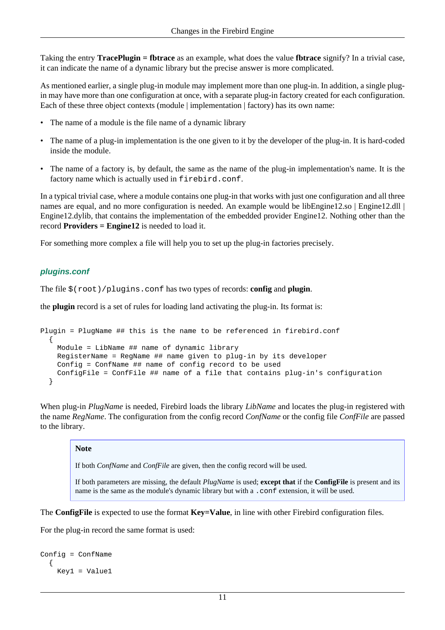Taking the entry **TracePlugin = fbtrace** as an example, what does the value **fbtrace** signify? In a trivial case, it can indicate the name of a dynamic library but the precise answer is more complicated.

As mentioned earlier, a single plug-in module may implement more than one plug-in. In addition, a single plugin may have more than one configuration at once, with a separate plug-in factory created for each configuration. Each of these three object contexts (module | implementation | factory) has its own name:

- The name of a module is the file name of a dynamic library
- The name of a plug-in implementation is the one given to it by the developer of the plug-in. It is hard-coded inside the module.
- The name of a factory is, by default, the same as the name of the plug-in implementation's name. It is the factory name which is actually used in firebird.conf.

In a typical trivial case, where a module contains one plug-in that works with just one configuration and all three names are equal, and no more configuration is needed. An example would be libEngine12.so | Engine12.dll | Engine12.dylib, that contains the implementation of the embedded provider Engine12. Nothing other than the record **Providers = Engine12** is needed to load it.

For something more complex a file will help you to set up the plug-in factories precisely.

### **plugins.conf**

The file \$(root)/plugins.conf has two types of records: **config** and **plugin**.

the **plugin** record is a set of rules for loading land activating the plug-in. Its format is:

```
Plugin = PlugName ## this is the name to be referenced in firebird.conf
   {
    Module = LibName ## name of dynamic library
    RegisterName = RegName ## name given to plug-in by its developer
    Config = ConfName ## name of config record to be used
     ConfigFile = ConfFile ## name of a file that contains plug-in's configuration
   }
```
When plug-in *PlugName* is needed, Firebird loads the library *LibName* and locates the plug-in registered with the name *RegName*. The configuration from the config record *ConfName* or the config file *ConfFile* are passed to the library.

#### **Note**

If both *ConfName* and *ConfFile* are given, then the config record will be used.

If both parameters are missing, the default *PlugName* is used; **except that** if the **ConfigFile** is present and its name is the same as the module's dynamic library but with a .conf extension, it will be used.

The **ConfigFile** is expected to use the format **Key=Value**, in line with other Firebird configuration files.

For the plug-in record the same format is used:

```
Config = ConfName
   {
     Key1 = Value1
```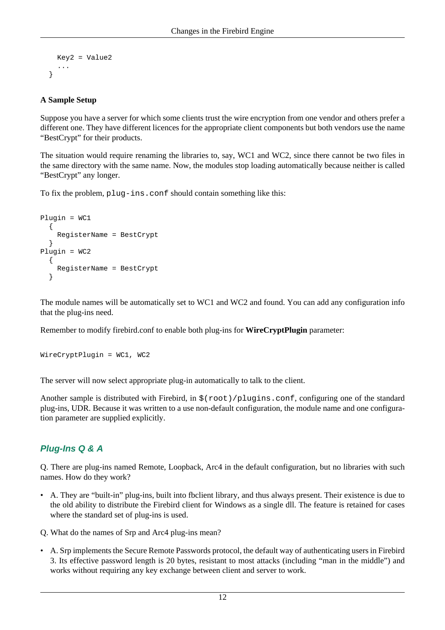```
 Key2 = Value2
    ...
 }
```
#### **A Sample Setup**

Suppose you have a server for which some clients trust the wire encryption from one vendor and others prefer a different one. They have different licences for the appropriate client components but both vendors use the name "BestCrypt" for their products.

The situation would require renaming the libraries to, say, WC1 and WC2, since there cannot be two files in the same directory with the same name. Now, the modules stop loading automatically because neither is called "BestCrypt" any longer.

To fix the problem, plug-ins.conf should contain something like this:

```
Plugin = WC1
   {
     RegisterName = BestCrypt
   }
Plugin = WC2
   {
     RegisterName = BestCrypt
   }
```
The module names will be automatically set to WC1 and WC2 and found. You can add any configuration info that the plug-ins need.

Remember to modify firebird.conf to enable both plug-ins for **WireCryptPlugin** parameter:

```
WireCryptPlugin = WC1, WC2
```
The server will now select appropriate plug-in automatically to talk to the client.

Another sample is distributed with Firebird, in  $\frac{1}{2}$  (root)/plugins.conf, configuring one of the standard plug-ins, UDR. Because it was written to a use non-default configuration, the module name and one configuration parameter are supplied explicitly.

### **Plug-Ins Q & A**

Q. There are plug-ins named Remote, Loopback, Arc4 in the default configuration, but no libraries with such names. How do they work?

• A. They are "built-in" plug-ins, built into fbclient library, and thus always present. Their existence is due to the old ability to distribute the Firebird client for Windows as a single dll. The feature is retained for cases where the standard set of plug-ins is used.

Q. What do the names of Srp and Arc4 plug-ins mean?

• A. Srp implements the Secure Remote Passwords protocol, the default way of authenticating users in Firebird 3. Its effective password length is 20 bytes, resistant to most attacks (including "man in the middle") and works without requiring any key exchange between client and server to work.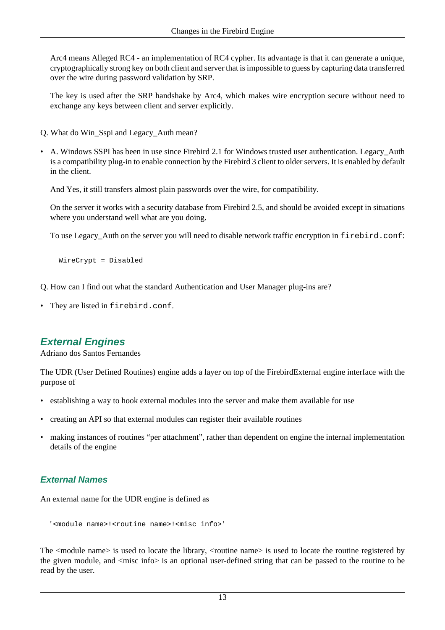Arc4 means Alleged RC4 - an implementation of RC4 cypher. Its advantage is that it can generate a unique, cryptographically strong key on both client and server that is impossible to guess by capturing data transferred over the wire during password validation by SRP.

The key is used after the SRP handshake by Arc4, which makes wire encryption secure without need to exchange any keys between client and server explicitly.

- Q. What do Win\_Sspi and Legacy\_Auth mean?
- A. Windows SSPI has been in use since Firebird 2.1 for Windows trusted user authentication. Legacy\_Auth is a compatibility plug-in to enable connection by the Firebird 3 client to older servers. It is enabled by default in the client.

And Yes, it still transfers almost plain passwords over the wire, for compatibility.

On the server it works with a security database from Firebird 2.5, and should be avoided except in situations where you understand well what are you doing.

To use Legacy\_Auth on the server you will need to disable network traffic encryption in firebird.conf:

WireCrypt = Disabled

- Q. How can I find out what the standard Authentication and User Manager plug-ins are?
- <span id="page-20-0"></span>• They are listed in firebird.conf.

### **External Engines**

Adriano dos Santos Fernandes

The UDR (User Defined Routines) engine adds a layer on top of the FirebirdExternal engine interface with the purpose of

- establishing a way to hook external modules into the server and make them available for use
- creating an API so that external modules can register their available routines
- making instances of routines "per attachment", rather than dependent on engine the internal implementation details of the engine

### **External Names**

An external name for the UDR engine is defined as

```
'<module name>!<routine name>!<misc info>'
```
The <module name> is used to locate the library, <routine name> is used to locate the routine registered by the given module, and  $\langle$ misc info $\rangle$  is an optional user-defined string that can be passed to the routine to be read by the user.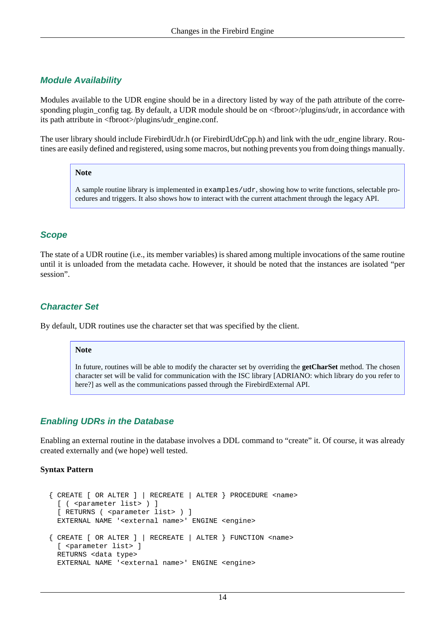#### **Module Availability**

Modules available to the UDR engine should be in a directory listed by way of the path attribute of the corresponding plugin\_config tag. By default, a UDR module should be on <fbroot>/plugins/udr, in accordance with its path attribute in <fbroot>/plugins/udr\_engine.conf.

The user library should include FirebirdUdr.h (or FirebirdUdrCpp.h) and link with the udr\_engine library. Routines are easily defined and registered, using some macros, but nothing prevents you from doing things manually.

#### **Note**

A sample routine library is implemented in examples/udr, showing how to write functions, selectable procedures and triggers. It also shows how to interact with the current attachment through the legacy API.

### **Scope**

The state of a UDR routine (i.e., its member variables) is shared among multiple invocations of the same routine until it is unloaded from the metadata cache. However, it should be noted that the instances are isolated "per session".

#### **Character Set**

By default, UDR routines use the character set that was specified by the client.

#### **Note**

In future, routines will be able to modify the character set by overriding the **getCharSet** method. The chosen character set will be valid for communication with the ISC library [ADRIANO: which library do you refer to here?] as well as the communications passed through the FirebirdExternal API.

#### **Enabling UDRs in the Database**

Enabling an external routine in the database involves a DDL command to "create" it. Of course, it was already created externally and (we hope) well tested.

#### **Syntax Pattern**

```
 { CREATE [ OR ALTER ] | RECREATE | ALTER } PROCEDURE <name>
  [ ( <parameter list> ) ]
  [ RETURNS ( <parameter list> ) ]
  EXTERNAL NAME '<external name>' ENGINE <engine>
\{ CREATE [ OR ALTER ] | RECREATE | ALTER \} FUNCTION <name>
  [ <parameter list> ]
  RETURNS <data type>
  EXTERNAL NAME '<external name>' ENGINE <engine>
```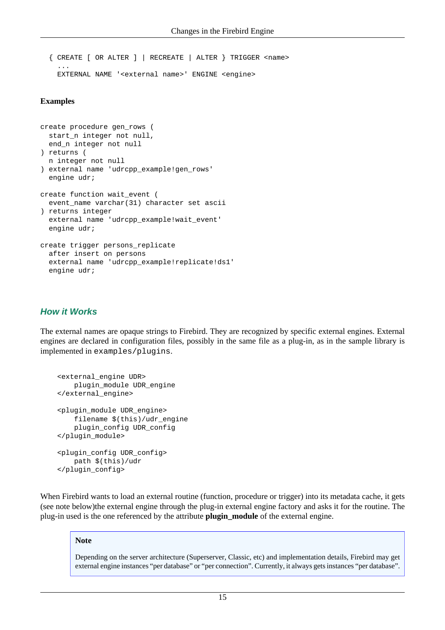```
 { CREATE [ OR ALTER ] | RECREATE | ALTER } TRIGGER <name>
 ...
    EXTERNAL NAME '<external name>' ENGINE <engine>
```
#### **Examples**

```
create procedure gen_rows (
   start_n integer not null,
  end_n integer not null
) returns (
  n integer not null
) external name 'udrcpp_example!gen_rows'
   engine udr;
create function wait_event (
   event_name varchar(31) character set ascii
) returns integer
   external name 'udrcpp_example!wait_event'
   engine udr;
create trigger persons_replicate
  after insert on persons
   external name 'udrcpp_example!replicate!ds1'
   engine udr;
```
#### **How it Works**

The external names are opaque strings to Firebird. They are recognized by specific external engines. External engines are declared in configuration files, possibly in the same file as a plug-in, as in the sample library is implemented in examples/plugins.

```
 <external_engine UDR>
     plugin_module UDR_engine
 </external_engine>
 <plugin_module UDR_engine>
     filename $(this)/udr_engine
     plugin_config UDR_config
 </plugin_module>
 <plugin_config UDR_config>
     path $(this)/udr
 </plugin_config>
```
When Firebird wants to load an external routine (function, procedure or trigger) into its metadata cache, it gets (see note below)the external engine through the plug-in external engine factory and asks it for the routine. The plug-in used is the one referenced by the attribute **plugin\_module** of the external engine.

#### **Note**

Depending on the server architecture (Superserver, Classic, etc) and implementation details, Firebird may get external engine instances "per database" or "per connection". Currently, it always gets instances "per database".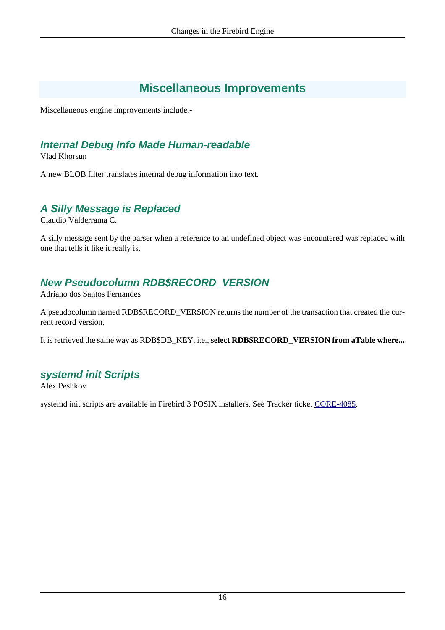## **Miscellaneous Improvements**

<span id="page-23-1"></span><span id="page-23-0"></span>Miscellaneous engine improvements include.-

## **Internal Debug Info Made Human-readable**

Vlad Khorsun

<span id="page-23-2"></span>A new BLOB filter translates internal debug information into text.

## **A Silly Message is Replaced**

Claudio Valderrama C.

<span id="page-23-3"></span>A silly message sent by the parser when a reference to an undefined object was encountered was replaced with one that tells it like it really is.

## **New Pseudocolumn RDB\$RECORD\_VERSION**

Adriano dos Santos Fernandes

A pseudocolumn named RDB\$RECORD\_VERSION returns the number of the transaction that created the current record version.

<span id="page-23-4"></span>It is retrieved the same way as RDB\$DB\_KEY, i.e., **select RDB\$RECORD\_VERSION from aTable where...**

## **systemd init Scripts**

Alex Peshkov

systemd init scripts are available in Firebird 3 POSIX installers. See Tracker ticket [CORE-4085.](http://tracker.firebirdsql.org/browse/CORE-4085)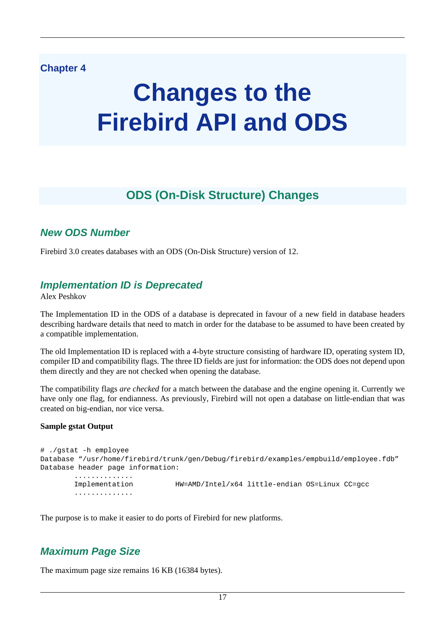### <span id="page-24-0"></span>**Chapter 4**

# **Changes to the Firebird API and ODS**

## **ODS (On-Disk Structure) Changes**

## <span id="page-24-2"></span><span id="page-24-1"></span>**New ODS Number**

<span id="page-24-3"></span>Firebird 3.0 creates databases with an ODS (On-Disk Structure) version of 12.

### **Implementation ID is Deprecated**

Alex Peshkov

The Implementation ID in the ODS of a database is deprecated in favour of a new field in database headers describing hardware details that need to match in order for the database to be assumed to have been created by a compatible implementation.

The old Implementation ID is replaced with a 4-byte structure consisting of hardware ID, operating system ID, compiler ID and compatibility flags. The three ID fields are just for information: the ODS does not depend upon them directly and they are not checked when opening the database.

The compatibility flags *are checked* for a match between the database and the engine opening it. Currently we have only one flag, for endianness. As previously, Firebird will not open a database on little-endian that was created on big-endian, nor vice versa.

#### **Sample gstat Output**

```
# ./gstat -h employee
Database "/usr/home/firebird/trunk/gen/Debug/firebird/examples/empbuild/employee.fdb"
Database header page information:
         ..............
        Implementation HW=AMD/Intel/x64 little-endian OS=Linux CC=gcc
         ..............
```
<span id="page-24-4"></span>The purpose is to make it easier to do ports of Firebird for new platforms.

## **Maximum Page Size**

The maximum page size remains 16 KB (16384 bytes).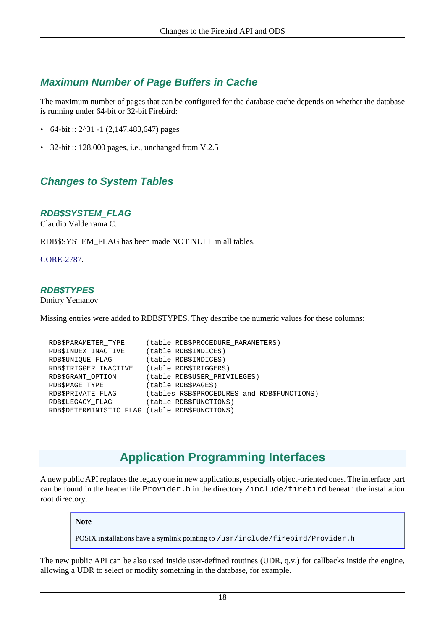## <span id="page-25-0"></span>**Maximum Number of Page Buffers in Cache**

The maximum number of pages that can be configured for the database cache depends on whether the database is running under 64-bit or 32-bit Firebird:

- 64-bit ::  $2^{31}$  -1 (2,147,483,647) pages
- <span id="page-25-1"></span>• 32-bit :: 128,000 pages, i.e., unchanged from V.2.5

## **Changes to System Tables**

#### **RDB\$SYSTEM\_FLAG**

Claudio Valderrama C.

RDB\$SYSTEM\_FLAG has been made NOT NULL in all tables.

[CORE-2787](http://tracker.firebirdsql.org/browse/CORE-2787).

#### **RDB\$TYPES**

Dmitry Yemanov

Missing entries were added to RDB\$TYPES. They describe the numeric values for these columns:

```
RDB$PARAMETER_TYPE (table RDB$PROCEDURE_PARAMETERS)
RDB$INDEX INACTIVE (table RDB$INDICES)
RDB$UNIQUE FLAG (table RDB$INDICES)
 RDB$TRIGGER_INACTIVE (table RDB$TRIGGERS)
RDB$GRANT_OPTION (table RDB$USER_PRIVILEGES)
RDB$PAGE_TYPE (table RDB$PAGES)
 RDB$PRIVATE_FLAG (tables RSB$PROCEDURES and RDB$FUNCTIONS)
 RDB$LEGACY_FLAG (table RDB$FUNCTIONS)
 RDB$DETERMINISTIC_FLAG (table RDB$FUNCTIONS)
```
## **Application Programming Interfaces**

<span id="page-25-2"></span>A new public API replaces the legacy one in new applications, especially object-oriented ones. The interface part can be found in the header file Provider.h in the directory /include/firebird beneath the installation root directory.

**Note**

POSIX installations have a symlink pointing to /usr/include/firebird/Provider.h

The new public API can be also used inside user-defined routines (UDR, q.v.) for callbacks inside the engine, allowing a UDR to select or modify something in the database, for example.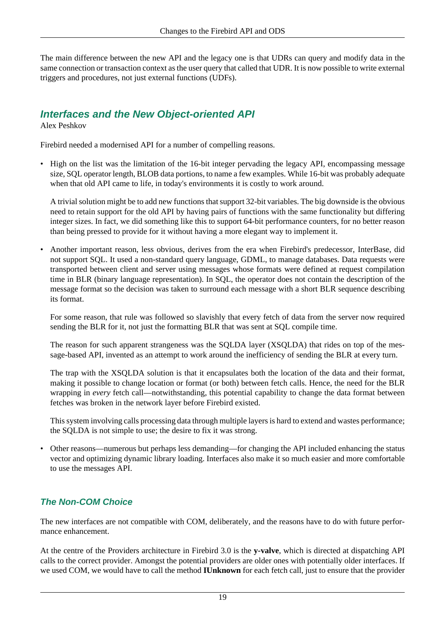The main difference between the new API and the legacy one is that UDRs can query and modify data in the same connection or transaction context as the user query that called that UDR. It is now possible to write external triggers and procedures, not just external functions (UDFs).

## <span id="page-26-0"></span>**Interfaces and the New Object-oriented API**

Alex Peshkov

Firebird needed a modernised API for a number of compelling reasons.

• High on the list was the limitation of the 16-bit integer pervading the legacy API, encompassing message size, SQL operator length, BLOB data portions, to name a few examples. While 16-bit was probably adequate when that old API came to life, in today's environments it is costly to work around.

A trivial solution might be to add new functions that support 32-bit variables. The big downside is the obvious need to retain support for the old API by having pairs of functions with the same functionality but differing integer sizes. In fact, we did something like this to support 64-bit performance counters, for no better reason than being pressed to provide for it without having a more elegant way to implement it.

• Another important reason, less obvious, derives from the era when Firebird's predecessor, InterBase, did not support SQL. It used a non-standard query language, GDML, to manage databases. Data requests were transported between client and server using messages whose formats were defined at request compilation time in BLR (binary language representation). In SQL, the operator does not contain the description of the message format so the decision was taken to surround each message with a short BLR sequence describing its format.

For some reason, that rule was followed so slavishly that every fetch of data from the server now required sending the BLR for it, not just the formatting BLR that was sent at SQL compile time.

The reason for such apparent strangeness was the SQLDA layer (XSQLDA) that rides on top of the message-based API, invented as an attempt to work around the inefficiency of sending the BLR at every turn.

The trap with the XSQLDA solution is that it encapsulates both the location of the data and their format, making it possible to change location or format (or both) between fetch calls. Hence, the need for the BLR wrapping in *every* fetch call—notwithstanding, this potential capability to change the data format between fetches was broken in the network layer before Firebird existed.

This system involving calls processing data through multiple layers is hard to extend and wastes performance; the SQLDA is not simple to use; the desire to fix it was strong.

• Other reasons—numerous but perhaps less demanding—for changing the API included enhancing the status vector and optimizing dynamic library loading. Interfaces also make it so much easier and more comfortable to use the messages API.

### **The Non-COM Choice**

The new interfaces are not compatible with COM, deliberately, and the reasons have to do with future performance enhancement.

At the centre of the Providers architecture in Firebird 3.0 is the **y-valve**, which is directed at dispatching API calls to the correct provider. Amongst the potential providers are older ones with potentially older interfaces. If we used COM, we would have to call the method **IUnknown** for each fetch call, just to ensure that the provider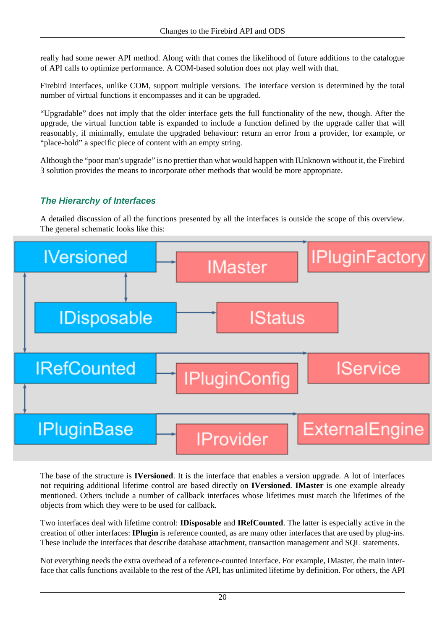really had some newer API method. Along with that comes the likelihood of future additions to the catalogue of API calls to optimize performance. A COM-based solution does not play well with that.

Firebird interfaces, unlike COM, support multiple versions. The interface version is determined by the total number of virtual functions it encompasses and it can be upgraded.

"Upgradable" does not imply that the older interface gets the full functionality of the new, though. After the upgrade, the virtual function table is expanded to include a function defined by the upgrade caller that will reasonably, if minimally, emulate the upgraded behaviour: return an error from a provider, for example, or "place-hold" a specific piece of content with an empty string.

Although the "poor man's upgrade" is no prettier than what would happen with IUnknown without it, the Firebird 3 solution provides the means to incorporate other methods that would be more appropriate.

### **The Hierarchy of Interfaces**

A detailed discussion of all the functions presented by all the interfaces is outside the scope of this overview. The general schematic looks like this:



The base of the structure is **IVersioned**. It is the interface that enables a version upgrade. A lot of interfaces not requiring additional lifetime control are based directly on **IVersioned**. **IMaster** is one example already mentioned. Others include a number of callback interfaces whose lifetimes must match the lifetimes of the objects from which they were to be used for callback.

Two interfaces deal with lifetime control: **IDisposable** and **IRefCounted**. The latter is especially active in the creation of other interfaces: **IPlugin** is reference counted, as are many other interfaces that are used by plug-ins. These include the interfaces that describe database attachment, transaction management and SQL statements.

Not everything needs the extra overhead of a reference-counted interface. For example, IMaster, the main interface that calls functions available to the rest of the API, has unlimited lifetime by definition. For others, the API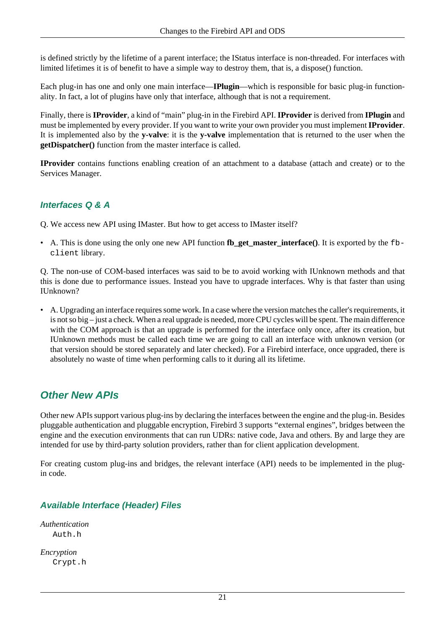is defined strictly by the lifetime of a parent interface; the IStatus interface is non-threaded. For interfaces with limited lifetimes it is of benefit to have a simple way to destroy them, that is, a dispose() function.

Each plug-in has one and only one main interface—**IPlugin**—which is responsible for basic plug-in functionality. In fact, a lot of plugins have only that interface, although that is not a requirement.

Finally, there is **IProvider**, a kind of "main" plug-in in the Firebird API. **IProvider** is derived from **IPlugin** and must be implemented by every provider. If you want to write your own provider you must implement **IProvider**. It is implemented also by the **y-valve**: it is the **y-valve** implementation that is returned to the user when the **getDispatcher()** function from the master interface is called.

**IProvider** contains functions enabling creation of an attachment to a database (attach and create) or to the Services Manager.

### **Interfaces Q & A**

Q. We access new API using IMaster. But how to get access to IMaster itself?

• A. This is done using the only one new API function **fb** get master interface(). It is exported by the fbclient library.

Q. The non-use of COM-based interfaces was said to be to avoid working with IUnknown methods and that this is done due to performance issues. Instead you have to upgrade interfaces. Why is that faster than using IUnknown?

• A. Upgrading an interface requires some work. In a case where the version matches the caller's requirements, it is not so big – just a check. When a real upgrade is needed, more CPU cycles will be spent. The main difference with the COM approach is that an upgrade is performed for the interface only once, after its creation, but IUnknown methods must be called each time we are going to call an interface with unknown version (or that version should be stored separately and later checked). For a Firebird interface, once upgraded, there is absolutely no waste of time when performing calls to it during all its lifetime.

## <span id="page-28-0"></span>**Other New APIs**

Other new APIs support various plug-ins by declaring the interfaces between the engine and the plug-in. Besides pluggable authentication and pluggable encryption, Firebird 3 supports "external engines", bridges between the engine and the execution environments that can run UDRs: native code, Java and others. By and large they are intended for use by third-party solution providers, rather than for client application development.

For creating custom plug-ins and bridges, the relevant interface (API) needs to be implemented in the plugin code.

### **Available Interface (Header) Files**

*Authentication* Auth.h

*Encryption* Crypt.h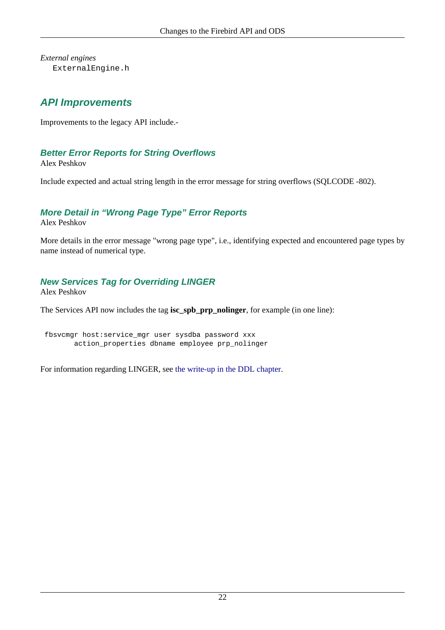<span id="page-29-0"></span>*External engines* ExternalEngine.h

## **API Improvements**

Improvements to the legacy API include.-

### **Better Error Reports for String Overflows**

Alex Peshkov

Include expected and actual string length in the error message for string overflows (SQLCODE -802).

### **More Detail in "Wrong Page Type" Error Reports**

Alex Peshkov

More details in the error message "wrong page type", i.e., identifying expected and encountered page types by name instead of numerical type.

### **New Services Tag for Overriding LINGER**

Alex Peshkov

The Services API now includes the tag **isc\_spb\_prp\_nolinger**, for example (in one line):

 fbsvcmgr host:service\_mgr user sysdba password xxx action\_properties dbname employee prp\_nolinger

For information regarding LINGER, see [the write-up in the DDL chapter.](#page-51-0)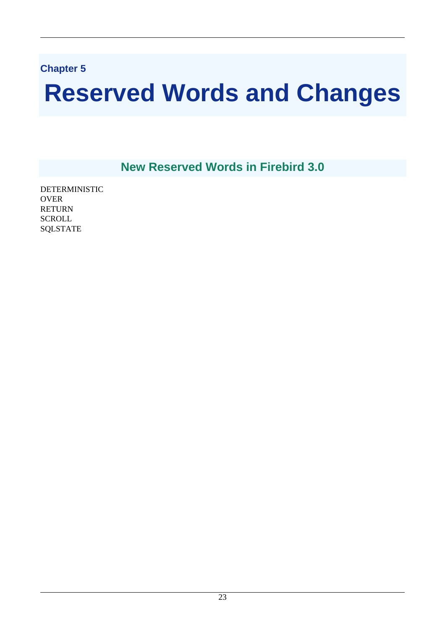## <span id="page-30-0"></span>**Chapter 5**

# **Reserved Words and Changes**

**New Reserved Words in Firebird 3.0**

<span id="page-30-1"></span>DETERMINISTIC **OVER** RETURN **SCROLL** SQLSTATE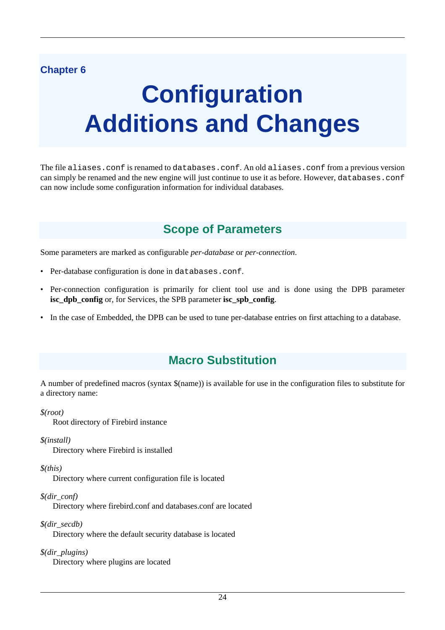## <span id="page-31-0"></span>**Chapter 6**

# **Configuration Additions and Changes**

<span id="page-31-1"></span>The file aliases.conf is renamed to databases.conf. An old aliases.conf from a previous version can simply be renamed and the new engine will just continue to use it as before. However, databases.conf can now include some configuration information for individual databases.

## **Scope of Parameters**

Some parameters are marked as configurable *per-database* or *per-connection*.

- Per-database configuration is done in databases.conf.
- Per-connection configuration is primarily for client tool use and is done using the DPB parameter **isc** dpb config or, for Services, the SPB parameter **isc** spb config.
- <span id="page-31-2"></span>• In the case of Embedded, the DPB can be used to tune per-database entries on first attaching to a database.

## **Macro Substitution**

A number of predefined macros (syntax \$(name)) is available for use in the configuration files to substitute for a directory name:

*\$(root)*

Root directory of Firebird instance

*\$(install)*

Directory where Firebird is installed

*\$(this)*

Directory where current configuration file is located

*\$(dir\_conf)*

Directory where firebird.conf and databases.conf are located

*\$(dir\_secdb)*

Directory where the default security database is located

*\$(dir\_plugins)* Directory where plugins are located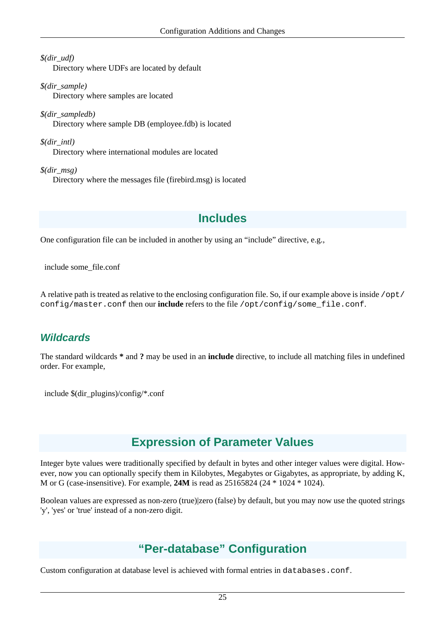*\$(dir\_udf)*

Directory where UDFs are located by default

*\$(dir\_sample)* Directory where samples are located

*\$(dir\_sampledb)* Directory where sample DB (employee.fdb) is located

*\$(dir\_intl)* Directory where international modules are located

<span id="page-32-0"></span>*\$(dir\_msg)* Directory where the messages file (firebird.msg) is located

## **Includes**

One configuration file can be included in another by using an "include" directive, e.g.,

include some\_file.conf

<span id="page-32-1"></span>A relative path is treated as relative to the enclosing configuration file. So, if our example above is inside /opt/ config/master.conf then our **include** refers to the file /opt/config/some\_file.conf.

## **Wildcards**

The standard wildcards **\*** and **?** may be used in an **include** directive, to include all matching files in undefined order. For example,

<span id="page-32-2"></span>include \$(dir\_plugins)/config/\*.conf

## **Expression of Parameter Values**

Integer byte values were traditionally specified by default in bytes and other integer values were digital. However, now you can optionally specify them in Kilobytes, Megabytes or Gigabytes, as appropriate, by adding K, M or G (case-insensitive). For example, **24M** is read as 25165824 (24 \* 1024 \* 1024).

<span id="page-32-3"></span>Boolean values are expressed as non-zero (true)|zero (false) by default, but you may now use the quoted strings 'y', 'yes' or 'true' instead of a non-zero digit.

## **"Per-database" Configuration**

Custom configuration at database level is achieved with formal entries in databases.conf.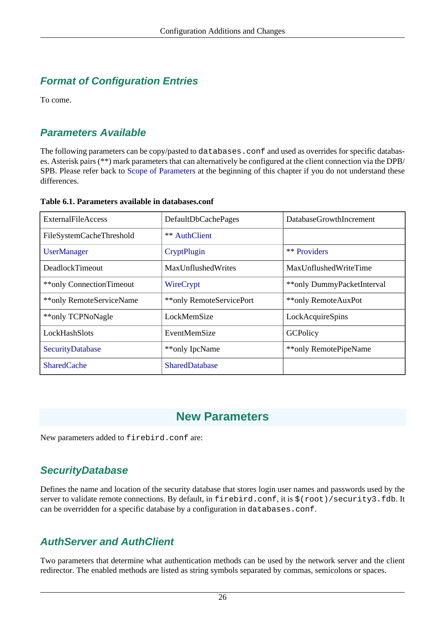## <span id="page-33-0"></span>**Format of Configuration Entries**

<span id="page-33-1"></span>To come.

## **Parameters Available**

The following parameters can be copy/pasted to databases.conf and used as overrides for specific databases. Asterisk pairs (\*\*) mark parameters that can alternatively be configured at the client connection via the DPB/ SPB. Please refer back to [Scope of Parameters](#page-31-1) at the beginning of this chapter if you do not understand these differences.

#### <span id="page-33-5"></span>**Table 6.1. Parameters available in databases.conf**

| <b>ExternalFileAccess</b> | DefaultDbCachePages       | DatabaseGrowthIncrement    |
|---------------------------|---------------------------|----------------------------|
| FileSystemCacheThreshold  | <b>** AuthClient</b>      |                            |
| <b>UserManager</b>        | CryptPlugin               | ** Providers               |
| DeadlockTimeout           | <b>MaxUnflushedWrites</b> | MaxUnflushedWriteTime      |
| **only ConnectionTimeout  | WireCrypt                 | **only DummyPacketInterval |
| **only RemoteServiceName  | **only RemoteServicePort  | **only RemoteAuxPot        |
| **only TCPNoNagle         | LockMemSize               | LockAcquireSpins           |
| LockHashSlots             | EventMemSize              | GCPolicy                   |
| SecurityDatabase          | **only IpcName            | **only RemotePipeName      |
| <b>SharedCache</b>        | <b>SharedDatabase</b>     |                            |

## **New Parameters**

<span id="page-33-3"></span><span id="page-33-2"></span>New parameters added to firebird.conf are:

## **SecurityDatabase**

Defines the name and location of the security database that stores login user names and passwords used by the server to validate remote connections. By default, in firebird.conf, it is  $\frac{1}{5}$  (root)/security3.fdb. It can be overridden for a specific database by a configuration in databases.conf.

## <span id="page-33-4"></span>**AuthServer and AuthClient**

Two parameters that determine what authentication methods can be used by the network server and the client redirector. The enabled methods are listed as string symbols separated by commas, semicolons or spaces.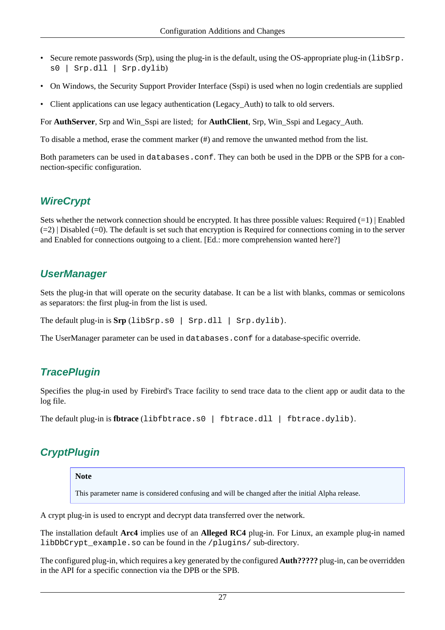- Secure remote passwords (Srp), using the plug-in is the default, using the OS-appropriate plug-in (libSrp. s0 | Srp.dll | Srp.dylib)
- On Windows, the Security Support Provider Interface (Sspi) is used when no login credentials are supplied
- Client applications can use legacy authentication (Legacy Auth) to talk to old servers.

For **AuthServer**, Srp and Win\_Sspi are listed; for **AuthClient**, Srp, Win\_Sspi and Legacy\_Auth.

To disable a method, erase the comment marker (#) and remove the unwanted method from the list.

<span id="page-34-0"></span>Both parameters can be used in databases.conf. They can both be used in the DPB or the SPB for a connection-specific configuration.

## **WireCrypt**

Sets whether the network connection should be encrypted. It has three possible values: Required  $(=1)$  | Enabled  $(=2)$  | Disabled  $(=0)$ . The default is set such that encryption is Required for connections coming in to the server and Enabled for connections outgoing to a client. [Ed.: more comprehension wanted here?]

### <span id="page-34-1"></span>**UserManager**

Sets the plug-in that will operate on the security database. It can be a list with blanks, commas or semicolons as separators: the first plug-in from the list is used.

The default plug-in is  $\text{Srp}(libSrp.s0 \mid Srp.dll \mid Srp.dylib)$ .

<span id="page-34-2"></span>The UserManager parameter can be used in databases.conf for a database-specific override.

### **TracePlugin**

Specifies the plug-in used by Firebird's Trace facility to send trace data to the client app or audit data to the log file.

```
The default plug-in is fbtrace (libfbtrace.s0 | fbtrace.dll | fbtrace.dylib).
```
## **CryptPlugin**

#### **Note**

This parameter name is considered confusing and will be changed after the initial Alpha release.

A crypt plug-in is used to encrypt and decrypt data transferred over the network.

The installation default **Arc4** implies use of an **Alleged RC4** plug-in. For Linux, an example plug-in named libDbCrypt example.so can be found in the /plugins/ sub-directory.

The configured plug-in, which requires a key generated by the configured **Auth?????** plug-in, can be overridden in the API for a specific connection via the DPB or the SPB.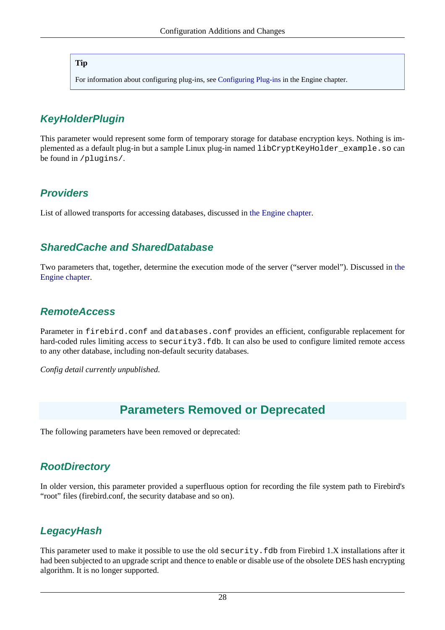#### **Tip**

For information about configuring plug-ins, see [Configuring Plug-ins](#page-17-0) in the Engine chapter.

## <span id="page-35-0"></span>**KeyHolderPlugin**

This parameter would represent some form of temporary storage for database encryption keys. Nothing is implemented as a default plug-in but a sample Linux plug-in named libCryptKeyHolder\_example.so can be found in /plugins/.

## <span id="page-35-1"></span>**Providers**

<span id="page-35-2"></span>List of allowed transports for accessing databases, discussed in [the Engine chapter](#page-12-0).

## **SharedCache and SharedDatabase**

<span id="page-35-3"></span>Two parameters that, together, determine the execution mode of the server ("server model"). Discussed in [the](#page-11-2) [Engine chapter](#page-11-2).

## **RemoteAccess**

Parameter in firebird.conf and databases.conf provides an efficient, configurable replacement for hard-coded rules limiting access to security3.fdb. It can also be used to configure limited remote access to any other database, including non-default security databases.

<span id="page-35-4"></span>*Config detail currently unpublished.*

## **Parameters Removed or Deprecated**

<span id="page-35-5"></span>The following parameters have been removed or deprecated:

## **RootDirectory**

<span id="page-35-6"></span>In older version, this parameter provided a superfluous option for recording the file system path to Firebird's "root" files (firebird.conf, the security database and so on).

## **LegacyHash**

This parameter used to make it possible to use the old security. fdb from Firebird 1.X installations after it had been subjected to an upgrade script and thence to enable or disable use of the obsolete DES hash encrypting algorithm. It is no longer supported.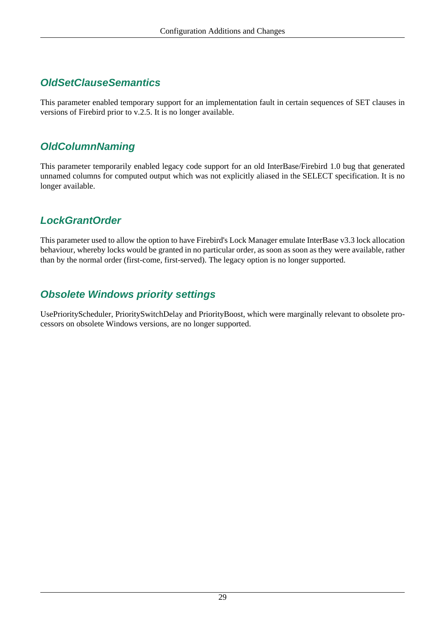# **OldSetClauseSemantics**

This parameter enabled temporary support for an implementation fault in certain sequences of SET clauses in versions of Firebird prior to v.2.5. It is no longer available.

# **OldColumnNaming**

This parameter temporarily enabled legacy code support for an old InterBase/Firebird 1.0 bug that generated unnamed columns for computed output which was not explicitly aliased in the SELECT specification. It is no longer available.

# **LockGrantOrder**

This parameter used to allow the option to have Firebird's Lock Manager emulate InterBase v3.3 lock allocation behaviour, whereby locks would be granted in no particular order, as soon as soon as they were available, rather than by the normal order (first-come, first-served). The legacy option is no longer supported.

# **Obsolete Windows priority settings**

UsePriorityScheduler, PrioritySwitchDelay and PriorityBoost, which were marginally relevant to obsolete processors on obsolete Windows versions, are no longer supported.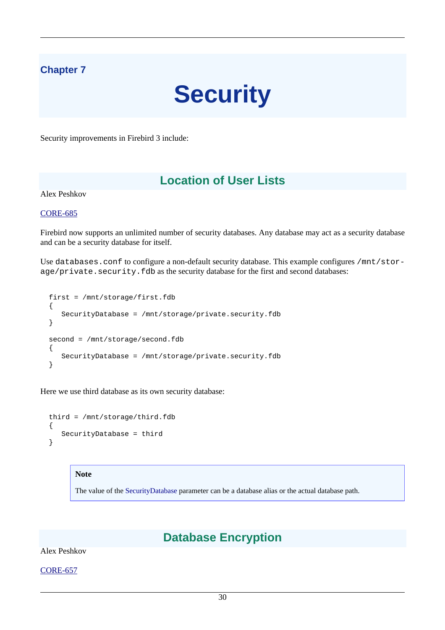# **Chapter 7**

# **Security**

Security improvements in Firebird 3 include:

# **Location of User Lists**

Alex Peshkov

[CORE-685](http://tracker.firebirdsql.org/browse/CORE-685)

Firebird now supports an unlimited number of security databases. Any database may act as a security database and can be a security database for itself.

Use databases.conf to configure a non-default security database. This example configures /mnt/storage/private.security.fdb as the security database for the first and second databases:

```
 first = /mnt/storage/first.fdb
 {
    SecurityDatabase = /mnt/storage/private.security.fdb
 }
second = /mnt/storage/second.fdb
 {
    SecurityDatabase = /mnt/storage/private.security.fdb
 }
```
Here we use third database as its own security database:

```
 third = /mnt/storage/third.fdb
 {
    SecurityDatabase = third
 }
```
#### **Note**

The value of the [SecurityDatabase](#page-33-0) parameter can be a database alias or the actual database path.

# **Database Encryption**

Alex Peshkov

[CORE-657](http://tracker.firebirdsql.org/browse/CORE-657)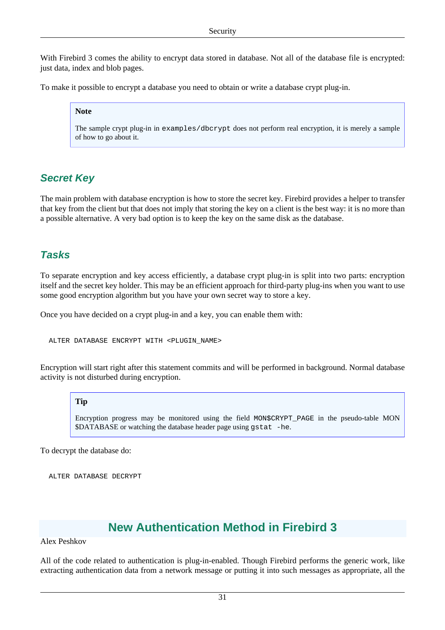With Firebird 3 comes the ability to encrypt data stored in database. Not all of the database file is encrypted: just data, index and blob pages.

To make it possible to encrypt a database you need to obtain or write a database crypt plug-in.

## **Note**

The sample crypt plug-in in examples/dbcrypt does not perform real encryption, it is merely a sample of how to go about it.

# **Secret Key**

The main problem with database encryption is how to store the secret key. Firebird provides a helper to transfer that key from the client but that does not imply that storing the key on a client is the best way: it is no more than a possible alternative. A very bad option is to keep the key on the same disk as the database.

# **Tasks**

To separate encryption and key access efficiently, a database crypt plug-in is split into two parts: encryption itself and the secret key holder. This may be an efficient approach for third-party plug-ins when you want to use some good encryption algorithm but you have your own secret way to store a key.

Once you have decided on a crypt plug-in and a key, you can enable them with:

ALTER DATABASE ENCRYPT WITH <PLUGIN\_NAME>

Encryption will start right after this statement commits and will be performed in background. Normal database activity is not disturbed during encryption.

## **Tip**

Encryption progress may be monitored using the field MON\$CRYPT\_PAGE in the pseudo-table MON \$DATABASE or watching the database header page using gstat -he.

To decrypt the database do:

ALTER DATABASE DECRYPT

# **New Authentication Method in Firebird 3**

Alex Peshkov

All of the code related to authentication is plug-in-enabled. Though Firebird performs the generic work, like extracting authentication data from a network message or putting it into such messages as appropriate, all the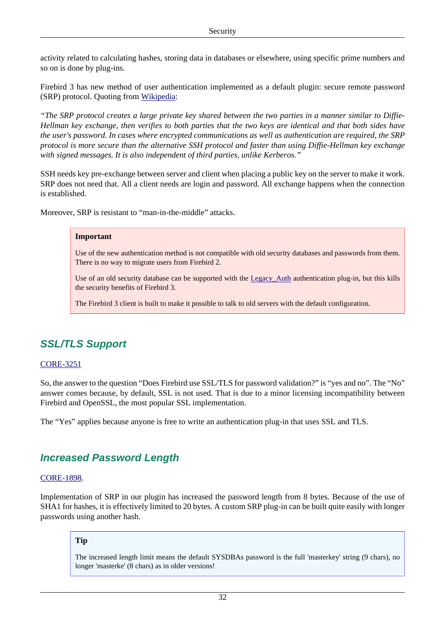activity related to calculating hashes, storing data in databases or elsewhere, using specific prime numbers and so on is done by plug-ins.

Firebird 3 has new method of user authentication implemented as a default plugin: secure remote password (SRP) protocol. Quoting from [Wikipedia:](http://en.wikipedia.org/wiki/Secure_Remote_Password_protocol)

*"The SRP protocol creates a large private key shared between the two parties in a manner similar to Diffie-Hellman key exchange, then verifies to both parties that the two keys are identical and that both sides have the user's password. In cases where encrypted communications as well as authentication are required, the SRP protocol is more secure than the alternative SSH protocol and faster than using Diffie-Hellman key exchange with signed messages. It is also independent of third parties, unlike Kerberos."*

SSH needs key pre-exchange between server and client when placing a public key on the server to make it work. SRP does not need that. All a client needs are login and password. All exchange happens when the connection is established.

Moreover, SRP is resistant to "man-in-the-middle" attacks.

#### **Important**

Use of the new authentication method is not compatible with old security databases and passwords from them. There is no way to migrate users from Firebird 2.

Use of an old security database can be supported with the Legacy Auth authentication plug-in, but this kills the security benefits of Firebird 3.

The Firebird 3 client is built to make it possible to talk to old servers with the default configuration.

# **SSL/TLS Support**

## [CORE-3251](http://tracker.firebirdsql.org/browse/CORE-3251)

So, the answer to the question "Does Firebird use SSL/TLS for password validation?" is "yes and no". The "No" answer comes because, by default, SSL is not used. That is due to a minor licensing incompatibility between Firebird and OpenSSL, the most popular SSL implementation.

The "Yes" applies because anyone is free to write an authentication plug-in that uses SSL and TLS.

# **Increased Password Length**

## [CORE-1898](http://tracker.firebirdsql.org/browse/CORE-1898).

Implementation of SRP in our plugin has increased the password length from 8 bytes. Because of the use of SHA1 for hashes, it is effectively limited to 20 bytes. A custom SRP plug-in can be built quite easily with longer passwords using another hash.

## **Tip**

The increased length limit means the default SYSDBAs password is the full 'masterkey' string (9 chars), no longer 'masterke' (8 chars) as in older versions!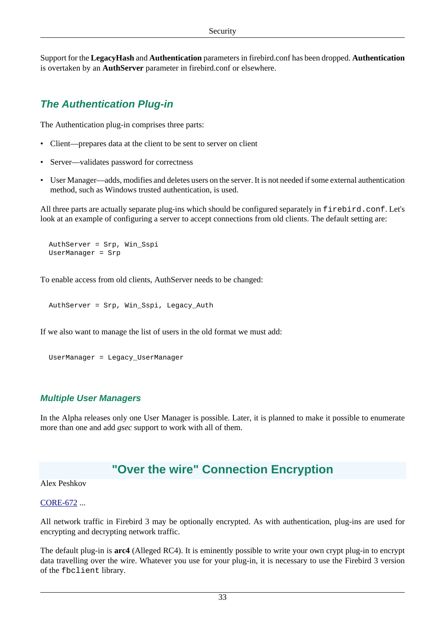Support for the **LegacyHash** and **Authentication** parameters in firebird.conf has been dropped. **Authentication** is overtaken by an **AuthServer** parameter in firebird.conf or elsewhere.

# **The Authentication Plug-in**

The Authentication plug-in comprises three parts:

- Client—prepares data at the client to be sent to server on client
- Server—validates password for correctness
- User Manager—adds, modifies and deletes users on the server. It is not needed if some external authentication method, such as Windows trusted authentication, is used.

All three parts are actually separate plug-ins which should be configured separately in firebird.conf. Let's look at an example of configuring a server to accept connections from old clients. The default setting are:

```
 AuthServer = Srp, Win_Sspi
 UserManager = Srp
```
To enable access from old clients, AuthServer needs to be changed:

AuthServer = Srp, Win\_Sspi, Legacy\_Auth

If we also want to manage the list of users in the old format we must add:

```
 UserManager = Legacy_UserManager
```
# **Multiple User Managers**

In the Alpha releases only one User Manager is possible. Later, it is planned to make it possible to enumerate more than one and add *gsec* support to work with all of them.

# **"Over the wire" Connection Encryption**

## Alex Peshkov

## [CORE-672](http://tracker.firebirdsql.org/browse/CORE-672) ...

All network traffic in Firebird 3 may be optionally encrypted. As with authentication, plug-ins are used for encrypting and decrypting network traffic.

The default plug-in is **arc4** (Alleged RC4). It is eminently possible to write your own crypt plug-in to encrypt data travelling over the wire. Whatever you use for your plug-in, it is necessary to use the Firebird 3 version of the fbclient library.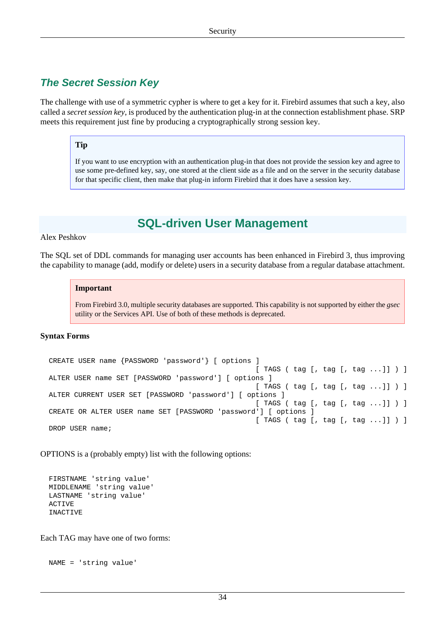# **The Secret Session Key**

The challenge with use of a symmetric cypher is where to get a key for it. Firebird assumes that such a key, also called a *secret session key*, is produced by the authentication plug-in at the connection establishment phase. SRP meets this requirement just fine by producing a cryptographically strong session key.

## **Tip**

If you want to use encryption with an authentication plug-in that does not provide the session key and agree to use some pre-defined key, say, one stored at the client side as a file and on the server in the security database for that specific client, then make that plug-in inform Firebird that it does have a session key.

# **SQL-driven User Management**

## <span id="page-41-0"></span>Alex Peshkov

The SQL set of DDL commands for managing user accounts has been enhanced in Firebird 3, thus improving the capability to manage (add, modify or delete) users in a security database from a regular database attachment.

#### **Important**

From Firebird 3.0, multiple security databases are supported. This capability is not supported by either the *gsec* utility or the Services API. Use of both of these methods is deprecated.

## **Syntax Forms**

```
 CREATE USER name {PASSWORD 'password'} [ options ] 
                                                    [ TAGS ( tag [, tag [, tag ...]] ) ]
 ALTER USER name SET [PASSWORD 'password'] [ options ] 
                                                    [ TAGS ( tag [, tag [, tag ...]] ) ]
 ALTER CURRENT USER SET [PASSWORD 'password'] [ options ] 
                                                    [ TAGS ( tag [, tag [, tag ...]] ) ]
 CREATE OR ALTER USER name SET [PASSWORD 'password'] [ options ] 
                                                   [ TAGS ( tag [, tag [, tag ...]] ) ]
DROP USER name;
```
OPTIONS is a (probably empty) list with the following options:

```
 FIRSTNAME 'string value'
 MIDDLENAME 'string value'
 LASTNAME 'string value'
 ACTIVE
 INACTIVE
```
Each TAG may have one of two forms:

```
 NAME = 'string value'
```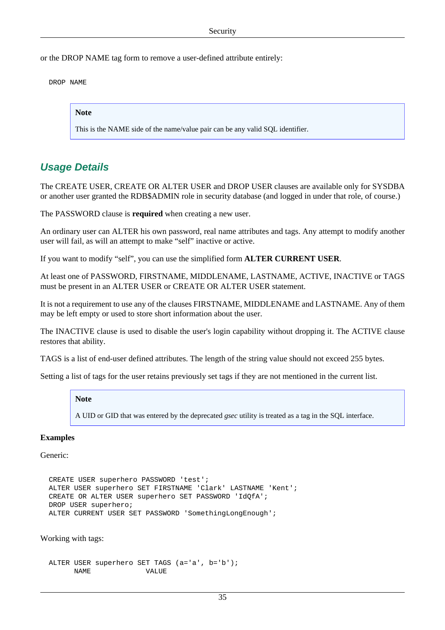or the DROP NAME tag form to remove a user-defined attribute entirely:

DROP NAME

**Note**

This is the NAME side of the name/value pair can be any valid SQL identifier.

# **Usage Details**

The CREATE USER, CREATE OR ALTER USER and DROP USER clauses are available only for SYSDBA or another user granted the RDB\$ADMIN role in security database (and logged in under that role, of course.)

The PASSWORD clause is **required** when creating a new user.

An ordinary user can ALTER his own password, real name attributes and tags. Any attempt to modify another user will fail, as will an attempt to make "self" inactive or active.

If you want to modify "self", you can use the simplified form **ALTER CURRENT USER**.

At least one of PASSWORD, FIRSTNAME, MIDDLENAME, LASTNAME, ACTIVE, INACTIVE or TAGS must be present in an ALTER USER or CREATE OR ALTER USER statement.

It is not a requirement to use any of the clauses FIRSTNAME, MIDDLENAME and LASTNAME. Any of them may be left empty or used to store short information about the user.

The INACTIVE clause is used to disable the user's login capability without dropping it. The ACTIVE clause restores that ability.

TAGS is a list of end-user defined attributes. The length of the string value should not exceed 255 bytes.

Setting a list of tags for the user retains previously set tags if they are not mentioned in the current list.

## **Note**

A UID or GID that was entered by the deprecated *gsec* utility is treated as a tag in the SQL interface.

## **Examples**

Generic:

```
 CREATE USER superhero PASSWORD 'test';
 ALTER USER superhero SET FIRSTNAME 'Clark' LASTNAME 'Kent';
 CREATE OR ALTER USER superhero SET PASSWORD 'IdQfA';
 DROP USER superhero;
 ALTER CURRENT USER SET PASSWORD 'SomethingLongEnough';
```
Working with tags:

```
 ALTER USER superhero SET TAGS (a='a', b='b');
     NAME VALUE
```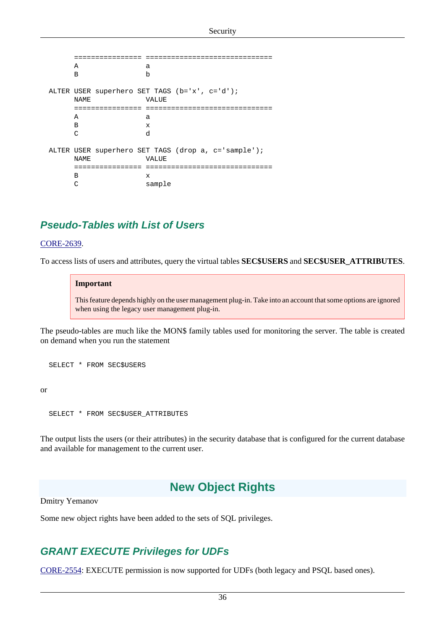```
 ================ ==============================
A a
 B b
  ALTER USER superhero SET TAGS (b='x', c='d');
     NAME VALUE
      ================ ==============================
A a
 B x
 C d
  ALTER USER superhero SET TAGS (drop a, c='sample');
     NAME VALUE
      ================ ==============================
 B x
     C sample
```
# **Pseudo-Tables with List of Users**

#### [CORE-2639](http://tracker.firebirdsql.org/browse/CORE-2639).

To access lists of users and attributes, query the virtual tables **SEC\$USERS** and **SEC\$USER\_ATTRIBUTES**.

#### **Important**

This feature depends highly on the user management plug-in. Take into an account that some options are ignored when using the legacy user management plug-in.

The pseudo-tables are much like the MON\$ family tables used for monitoring the server. The table is created on demand when you run the statement

```
 SELECT * FROM SEC$USERS
```
or

SELECT \* FROM SEC\$USER\_ATTRIBUTES

The output lists the users (or their attributes) in the security database that is configured for the current database and available for management to the current user.

# **New Object Rights**

Dmitry Yemanov

Some new object rights have been added to the sets of SQL privileges.

# **GRANT EXECUTE Privileges for UDFs**

[CORE-2554](http://tracker.firebirdsql.org/browse/CORE-2554): EXECUTE permission is now supported for UDFs (both legacy and PSQL based ones).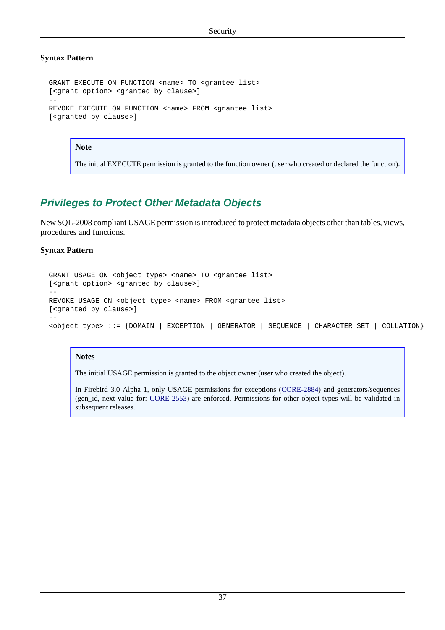# **Syntax Pattern**

```
GRANT EXECUTE ON FUNCTION <name> TO <grantee list>
  [<grant option> <granted by clause>]
 --
 REVOKE EXECUTE ON FUNCTION <name> FROM <grantee list>
  [<granted by clause>]
```
## **Note**

The initial EXECUTE permission is granted to the function owner (user who created or declared the function).

# **Privileges to Protect Other Metadata Objects**

New SQL-2008 compliant USAGE permission is introduced to protect metadata objects other than tables, views, procedures and functions.

## **Syntax Pattern**

```
GRANT USAGE ON <object type> <name> TO <grantee list>
  [<grant option> <granted by clause>]
  --
 REVOKE USAGE ON <object type> <name> FROM <grantee list>
  [<granted by clause>]
 --
  <object type> ::= {DOMAIN | EXCEPTION | GENERATOR | SEQUENCE | CHARACTER SET | COLLATION}
```
## **Notes**

The initial USAGE permission is granted to the object owner (user who created the object).

In Firebird 3.0 Alpha 1, only USAGE permissions for exceptions [\(CORE-2884\)](http://tracker.firebirdsql.org/browse/CORE-2884) and generators/sequences (gen\_id, next value for: [CORE-2553\)](http://tracker.firebirdsql.org/browse/CORE-2553) are enforced. Permissions for other object types will be validated in subsequent releases.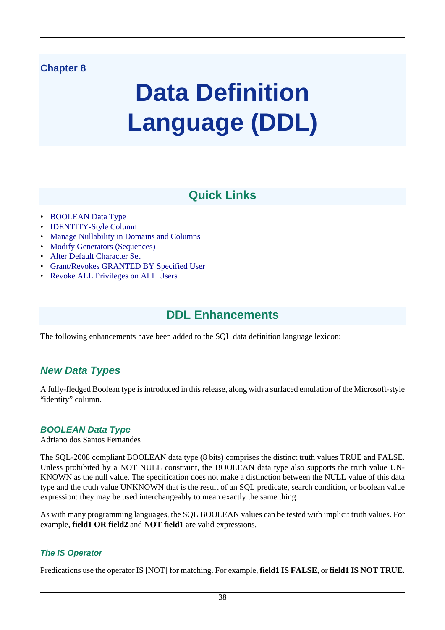# **Chapter 8**

# **Data Definition Language (DDL)**

# **Quick Links**

- [BOOLEAN Data Type](#page-45-0)
- [IDENTITY-Style Column](#page-47-0)
- [Manage Nullability in Domains and Columns](#page-48-0)
- [Modify Generators \(Sequences\)](#page-49-0)
- [Alter Default Character Set](#page-49-1)
- [Grant/Revokes GRANTED BY Specified User](#page-50-0)
- [Revoke ALL Privileges on ALL Users](#page-50-1)

# **DDL Enhancements**

The following enhancements have been added to the SQL data definition language lexicon:

# **New Data Types**

<span id="page-45-0"></span>A fully-fledged Boolean type is introduced in this release, along with a surfaced emulation of the Microsoft-style "identity" column.

# **BOOLEAN Data Type**

Adriano dos Santos Fernandes

The SQL-2008 compliant BOOLEAN data type (8 bits) comprises the distinct truth values TRUE and FALSE. Unless prohibited by a NOT NULL constraint, the BOOLEAN data type also supports the truth value UN-KNOWN as the null value. The specification does not make a distinction between the NULL value of this data type and the truth value UNKNOWN that is the result of an SQL predicate, search condition, or boolean value expression: they may be used interchangeably to mean exactly the same thing.

As with many programming languages, the SQL BOOLEAN values can be tested with implicit truth values. For example, **field1 OR field2** and **NOT field1** are valid expressions.

# **The IS Operator**

Predications use the operator IS [NOT] for matching. For example, **field1 IS FALSE**, or **field1 IS NOT TRUE**.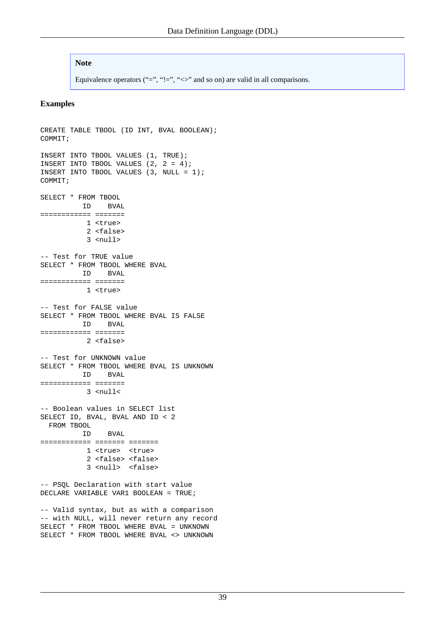## **Note**

Equivalence operators ("=", "!=", " $\iff$ " and so on) are valid in all comparisons.

## **Examples**

```
CREATE TABLE TBOOL (ID INT, BVAL BOOLEAN);
COMMIT;
INSERT INTO TBOOL VALUES (1, TRUE);
INSERT INTO TBOOL VALUES (2, 2 = 4);
INSERT INTO TBOOL VALUES (3, NULL = 1);
COMMIT;
SELECT * FROM TBOOL
         ID BVAL
============ =======
            1 <true>
            2 <false>
            3 <null>
-- Test for TRUE value
SELECT * FROM TBOOL WHERE BVAL
          ID BVAL
============ =======
            1 <true>
-- Test for FALSE value
SELECT * FROM TBOOL WHERE BVAL IS FALSE
          ID BVAL
============ =======
            2 <false>
-- Test for UNKNOWN value
SELECT * FROM TBOOL WHERE BVAL IS UNKNOWN
          ID BVAL
============ =======
           3 \leqmull\leq-- Boolean values in SELECT list
SELECT ID, BVAL, BVAL AND ID < 2
  FROM TBOOL
          ID BVAL
============ ======= =======
           1 <true> <true>
            2 <false> <false>
            3 <null> <false>
-- PSQL Declaration with start value
DECLARE VARIABLE VAR1 BOOLEAN = TRUE;
-- Valid syntax, but as with a comparison 
-- with NULL, will never return any record
SELECT * FROM TBOOL WHERE BVAL = UNKNOWN
SELECT * FROM TBOOL WHERE BVAL <> UNKNOWN
```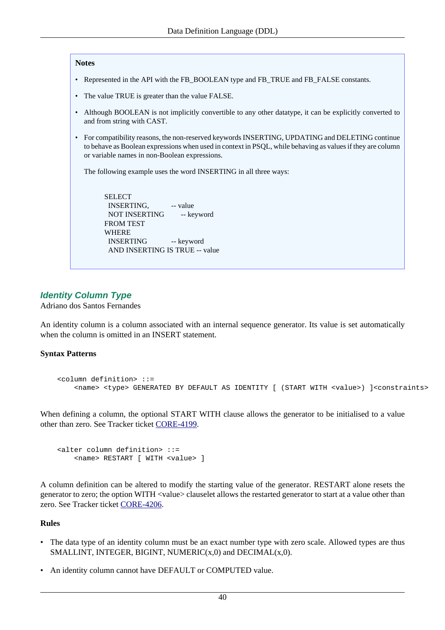#### **Notes**

- Represented in the API with the FB\_BOOLEAN type and FB\_TRUE and FB\_FALSE constants.
- The value TRUE is greater than the value FALSE.
- Although BOOLEAN is not implicitly convertible to any other datatype, it can be explicitly converted to and from string with CAST.
- For compatibility reasons, the non-reserved keywords INSERTING, UPDATING and DELETING continue to behave as Boolean expressions when used in context in PSQL, while behaving as values if they are column or variable names in non-Boolean expressions.

The following example uses the word INSERTING in all three ways:

 SELECT INSERTING, -- value NOT INSERTING -- keyword FROM TEST WHERE INSERTING -- keyword AND INSERTING IS TRUE -- value

# <span id="page-47-0"></span>**Identity Column Type**

Adriano dos Santos Fernandes

An identity column is a column associated with an internal sequence generator. Its value is set automatically when the column is omitted in an **INSERT** statement.

## **Syntax Patterns**

```
 <column definition> ::=
     <name> <type> GENERATED BY DEFAULT AS IDENTITY [ (START WITH <value>) ]<constraints>
```
When defining a column, the optional START WITH clause allows the generator to be initialised to a value other than zero. See Tracker ticket [CORE-4199](http://tracker.firebirdsql.org/browse/CORE-4199).

```
 <alter column definition> ::=
     <name> RESTART [ WITH <value> ]
```
A column definition can be altered to modify the starting value of the generator. RESTART alone resets the generator to zero; the option WITH <value> clauselet allows the restarted generator to start at a value other than zero. See Tracker ticket [CORE-4206](http://tracker.firebirdsql.org/browse/CORE-4206).

## **Rules**

- The data type of an identity column must be an exact number type with zero scale. Allowed types are thus SMALLINT, INTEGER, BIGINT, NUMERIC $(x,0)$  and DECIMAL $(x,0)$ .
- An identity column cannot have DEFAULT or COMPUTED value.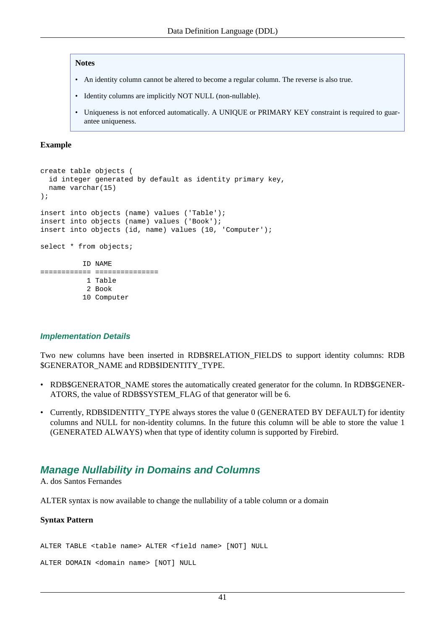#### **Notes**

- An identity column cannot be altered to become a regular column. The reverse is also true.
- Identity columns are implicitly NOT NULL (non-nullable).
- Uniqueness is not enforced automatically. A UNIQUE or PRIMARY KEY constraint is required to guarantee uniqueness.

## **Example**

```
create table objects (
   id integer generated by default as identity primary key,
  name varchar(15)
);
insert into objects (name) values ('Table');
insert into objects (name) values ('Book');
insert into objects (id, name) values (10, 'Computer');
select * from objects;
           ID NAME
============ ===============
            1 Table
            2 Book
           10 Computer
```
## **Implementation Details**

Two new columns have been inserted in RDB\$RELATION\_FIELDS to support identity columns: RDB \$GENERATOR\_NAME and RDB\$IDENTITY\_TYPE.

- RDB\$GENERATOR\_NAME stores the automatically created generator for the column. In RDB\$GENER-ATORS, the value of RDB\$SYSTEM\_FLAG of that generator will be 6.
- Currently, RDB\$IDENTITY\_TYPE always stores the value 0 (GENERATED BY DEFAULT) for identity columns and NULL for non-identity columns. In the future this column will be able to store the value 1 (GENERATED ALWAYS) when that type of identity column is supported by Firebird.

# <span id="page-48-0"></span>**Manage Nullability in Domains and Columns**

A. dos Santos Fernandes

ALTER syntax is now available to change the nullability of a table column or a domain

## **Syntax Pattern**

ALTER TABLE <table name> ALTER <field name> [NOT] NULL

ALTER DOMAIN <domain name> [NOT] NULL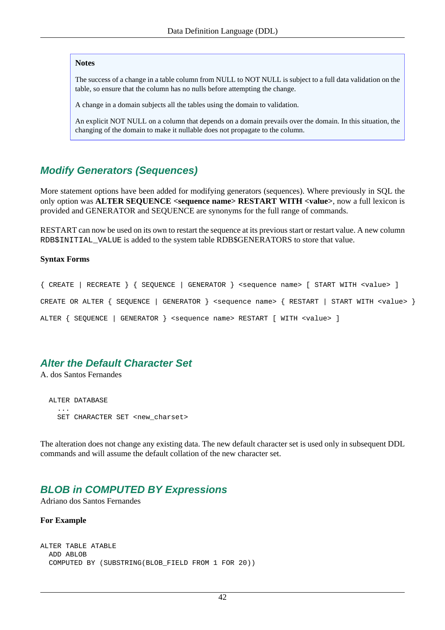#### **Notes**

The success of a change in a table column from NULL to NOT NULL is subject to a full data validation on the table, so ensure that the column has no nulls before attempting the change.

A change in a domain subjects all the tables using the domain to validation.

An explicit NOT NULL on a column that depends on a domain prevails over the domain. In this situation, the changing of the domain to make it nullable does not propagate to the column.

# <span id="page-49-0"></span>**Modify Generators (Sequences)**

More statement options have been added for modifying generators (sequences). Where previously in SQL the only option was **ALTER SEQUENCE <sequence name> RESTART WITH <value>**, now a full lexicon is provided and GENERATOR and SEQUENCE are synonyms for the full range of commands.

RESTART can now be used on its own to restart the sequence at its previous start or restart value. A new column RDB\$INITIAL\_VALUE is added to the system table RDB\$GENERATORS to store that value.

#### **Syntax Forms**

{ CREATE | RECREATE } { SEQUENCE | GENERATOR } <sequence name> [ START WITH <value> ] CREATE OR ALTER { SEQUENCE | GENERATOR } <sequence name> { RESTART | START WITH <value> } ALTER { SEQUENCE | GENERATOR } <sequence name> RESTART [ WITH <value> ]

# <span id="page-49-1"></span>**Alter the Default Character Set**

A. dos Santos Fernandes

 ALTER DATABASE ... SET CHARACTER SET <new\_charset>

The alteration does not change any existing data. The new default character set is used only in subsequent DDL commands and will assume the default collation of the new character set.

# **BLOB in COMPUTED BY Expressions**

Adriano dos Santos Fernandes

#### **For Example**

```
ALTER TABLE ATABLE 
   ADD ABLOB
   COMPUTED BY (SUBSTRING(BLOB_FIELD FROM 1 FOR 20))
```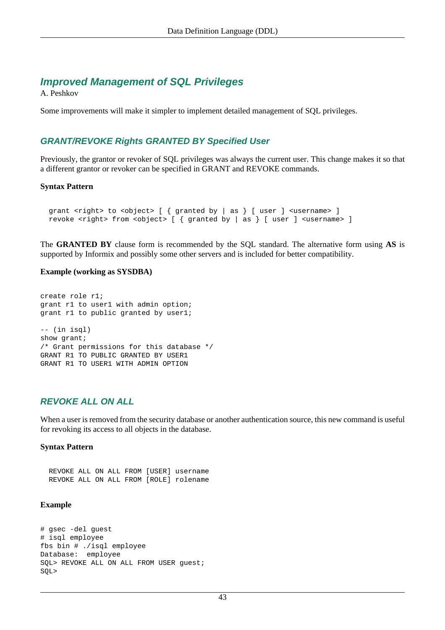# **Improved Management of SQL Privileges**

A. Peshkov

<span id="page-50-0"></span>Some improvements will make it simpler to implement detailed management of SQL privileges.

# **GRANT/REVOKE Rights GRANTED BY Specified User**

Previously, the grantor or revoker of SQL privileges was always the current user. This change makes it so that a different grantor or revoker can be specified in GRANT and REVOKE commands.

## **Syntax Pattern**

```
grant <right> to <object> [ { granted by | as } [ user ] <username> ]
revoke <right> from <object> [ { granted by | as } [ user ] <username> ]
```
The **GRANTED BY** clause form is recommended by the SQL standard. The alternative form using **AS** is supported by Informix and possibly some other servers and is included for better compatibility.

## **Example (working as SYSDBA)**

create role r1; grant r1 to user1 with admin option; grant r1 to public granted by user1; -- (in isql) show grant; /\* Grant permissions for this database \*/ GRANT R1 TO PUBLIC GRANTED BY USER1 GRANT R1 TO USER1 WITH ADMIN OPTION

# <span id="page-50-1"></span>**REVOKE ALL ON ALL**

When a user is removed from the security database or another authentication source, this new command is useful for revoking its access to all objects in the database.

## **Syntax Pattern**

 REVOKE ALL ON ALL FROM [USER] username REVOKE ALL ON ALL FROM [ROLE] rolename

## **Example**

```
# gsec -del guest
# isql employee
fbs bin # ./isql employee
Database: employee
SOL> REVOKE ALL ON ALL FROM USER quest;
SQL>
```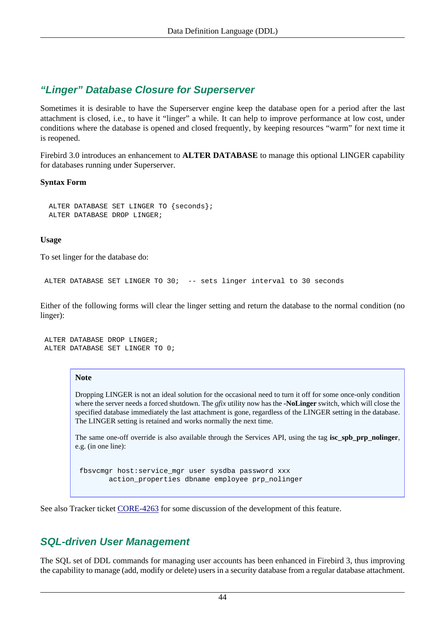# **"Linger" Database Closure for Superserver**

Sometimes it is desirable to have the Superserver engine keep the database open for a period after the last attachment is closed, i.e., to have it "linger" a while. It can help to improve performance at low cost, under conditions where the database is opened and closed frequently, by keeping resources "warm" for next time it is reopened.

Firebird 3.0 introduces an enhancement to **ALTER DATABASE** to manage this optional LINGER capability for databases running under Superserver.

# **Syntax Form**

```
 ALTER DATABASE SET LINGER TO {seconds};
 ALTER DATABASE DROP LINGER;
```
## **Usage**

To set linger for the database do:

```
 ALTER DATABASE SET LINGER TO 30; -- sets linger interval to 30 seconds
```
Either of the following forms will clear the linger setting and return the database to the normal condition (no linger):

```
 ALTER DATABASE DROP LINGER;
 ALTER DATABASE SET LINGER TO 0;
```
## **Note**

Dropping LINGER is not an ideal solution for the occasional need to turn it off for some once-only condition where the server needs a forced shutdown. The *gfix* utility now has the **-NoLinger** switch, which will close the specified database immediately the last attachment is gone, regardless of the LINGER setting in the database. The LINGER setting is retained and works normally the next time.

The same one-off override is also available through the Services API, using the tag **isc\_spb\_prp\_nolinger**, e.g. (in one line):

 fbsvcmgr host:service\_mgr user sysdba password xxx action\_properties dbname employee prp\_nolinger

See also Tracker ticket [CORE-4263](http://tracker.firebirdsql.org/browse/CORE-4263) for some discussion of the development of this feature.

# **SQL-driven User Management**

The SQL set of DDL commands for managing user accounts has been enhanced in Firebird 3, thus improving the capability to manage (add, modify or delete) users in a security database from a regular database attachment.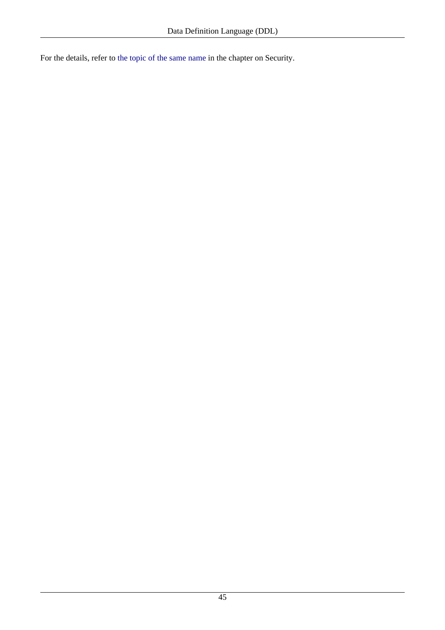For the details, refer to [the topic of the same name](#page-41-0) in the chapter on Security.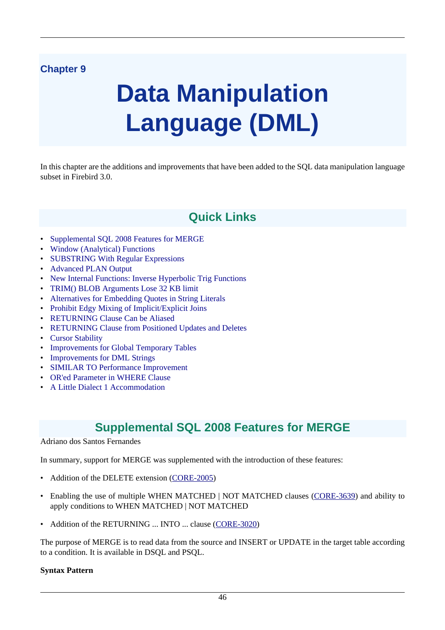# **Chapter 9**

# **Data Manipulation Language (DML)**

In this chapter are the additions and improvements that have been added to the SQL data manipulation language subset in Firebird 3.0.

# **Quick Links**

- [Supplemental SQL 2008 Features for MERGE](#page-53-0)
- [Window \(Analytical\) Functions](#page-54-0)
- [SUBSTRING With Regular Expressions](#page-60-0)
- [Advanced PLAN Output](#page-59-0)
- [New Internal Functions: Inverse Hyperbolic Trig Functions](#page-60-1)
- [TRIM\(\) BLOB Arguments Lose 32 KB limit](#page-61-0)
- [Alternatives for Embedding Quotes in String Literals](#page-61-1)
- [Prohibit Edgy Mixing of Implicit/Explicit Joins](#page-61-2)
- [RETURNING Clause Can be Aliased](#page-62-0)
- [RETURNING Clause from Positioned Updates and Deletes](#page-62-1)
- [Cursor Stability](#page-63-0)
- [Improvements for Global Temporary Tables](#page-63-1)
- [Improvements for DML Strings](#page-63-2)
- [SIMILAR TO Performance Improvement](#page-64-0)
- [OR'ed Parameter in WHERE Clause](#page-64-1)
- <span id="page-53-0"></span>• [A Little Dialect 1 Accommodation](#page-65-0)

# **Supplemental SQL 2008 Features for MERGE**

## Adriano dos Santos Fernandes

In summary, support for MERGE was supplemented with the introduction of these features:

- Addition of the DELETE extension [\(CORE-2005](http://tracker.firebirdsql.org/browse/CORE-2005))
- Enabling the use of multiple WHEN MATCHED | NOT MATCHED clauses ([CORE-3639\)](http://tracker.firebirdsql.org/browse/CORE-3639) and ability to apply conditions to WHEN MATCHED | NOT MATCHED
- Addition of the RETURNING ... INTO ... clause [\(CORE-3020](http://tracker.firebirdsql.org/browse/CORE-3020))

The purpose of MERGE is to read data from the source and INSERT or UPDATE in the target table according to a condition. It is available in DSQL and PSQL.

## **Syntax Pattern**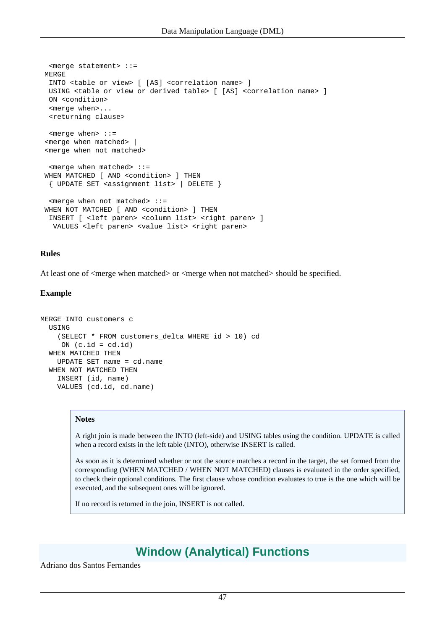```
 <merge statement> ::=
 MERGE
  INTO <table or view> [ [AS] <correlation name> ]
  USING <table or view or derived table> [ [AS] <correlation name> ]
  ON <condition>
  <merge when>...
  <returning clause>
  <merge when> ::=
 <merge when matched> |
 <merge when not matched>
  <merge when matched> ::=
WHEN MATCHED [ AND <condition> ] THEN
  { UPDATE SET <assignment list> | DELETE }
  <merge when not matched> ::=
WHEN NOT MATCHED [ AND <condition> ] THEN
  INSERT [ <left paren> <column list> <right paren> ]
 VALUES <left paren> <value list> <right paren>
```
## **Rules**

At least one of <merge when matched> or <merge when not matched> should be specified.

## **Example**

```
MERGE INTO customers c
  USING
     (SELECT * FROM customers_delta WHERE id > 10) cd
     ON (c.id = cd.id) WHEN MATCHED THEN
    UPDATE SET name = cd.name
   WHEN NOT MATCHED THEN
    INSERT (id, name)
     VALUES (cd.id, cd.name)
```
#### **Notes**

A right join is made between the INTO (left-side) and USING tables using the condition. UPDATE is called when a record exists in the left table (INTO), otherwise INSERT is called.

As soon as it is determined whether or not the source matches a record in the target, the set formed from the corresponding (WHEN MATCHED / WHEN NOT MATCHED) clauses is evaluated in the order specified, to check their optional conditions. The first clause whose condition evaluates to true is the one which will be executed, and the subsequent ones will be ignored.

<span id="page-54-0"></span>If no record is returned in the join, INSERT is not called.

# **Window (Analytical) Functions**

Adriano dos Santos Fernandes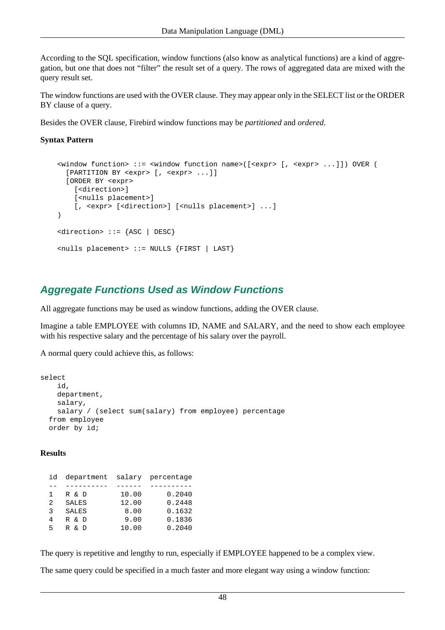According to the SQL specification, window functions (also know as analytical functions) are a kind of aggregation, but one that does not "filter" the result set of a query. The rows of aggregated data are mixed with the query result set.

The window functions are used with the OVER clause. They may appear only in the SELECT list or the ORDER BY clause of a query.

Besides the OVER clause, Firebird window functions may be *partitioned* and *ordered*.

## **Syntax Pattern**

```
 <window function> ::= <window function name>([<expr> [, <expr> ...]]) OVER (
   [PARTITION BY <expr> [, <expr> ...]]
   [ORDER BY <expr> 
     [<direction>] 
     [<nulls placement>] 
    [, <expr> [<direction>] [<nulls placement>] ...]
\lambda <direction> ::= {ASC | DESC}
 <nulls placement> ::= NULLS {FIRST | LAST}
```
# **Aggregate Functions Used as Window Functions**

All aggregate functions may be used as window functions, adding the OVER clause.

Imagine a table EMPLOYEE with columns ID, NAME and SALARY, and the need to show each employee with his respective salary and the percentage of his salary over the payroll.

A normal query could achieve this, as follows:

```
select
     id,
     department,
     salary,
     salary / (select sum(salary) from employee) percentage
   from employee
   order by id;
```
#### **Results**

| id | department salary percentage |       |        |
|----|------------------------------|-------|--------|
|    |                              |       |        |
| 1. | R & D                        | 10.00 | 0.2040 |
| 2  | <b>SALES</b>                 | 12.00 | 0.2448 |
| २  | <b>SALES</b>                 | 8.00  | 0.1632 |
| 4  | R & D                        | 9.00  | 0.1836 |
| 5  | & D<br>R                     | 10.00 | 0.2040 |

The query is repetitive and lengthy to run, especially if EMPLOYEE happened to be a complex view.

The same query could be specified in a much faster and more elegant way using a window function: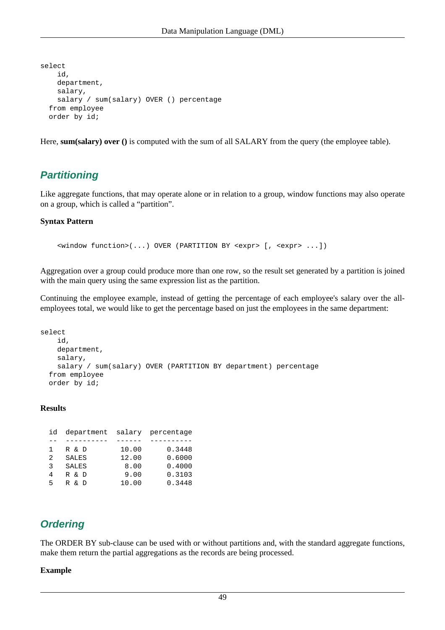```
select
     id,
     department,
     salary,
    salary / sum(salary) OVER () percentage
   from employee
   order by id;
```
Here, **sum(salary)** over () is computed with the sum of all SALARY from the query (the employee table).

# **Partitioning**

Like aggregate functions, that may operate alone or in relation to a group, window functions may also operate on a group, which is called a "partition".

## **Syntax Pattern**

<window function>(...) OVER (PARTITION BY <expr> [, <expr> ...])

Aggregation over a group could produce more than one row, so the result set generated by a partition is joined with the main query using the same expression list as the partition.

Continuing the employee example, instead of getting the percentage of each employee's salary over the allemployees total, we would like to get the percentage based on just the employees in the same department:

```
select
     id,
     department,
     salary,
     salary / sum(salary) OVER (PARTITION BY department) percentage
   from employee
   order by id;
```
## **Results**

| id | department salary percentage |       |        |
|----|------------------------------|-------|--------|
|    |                              |       |        |
| 1. | R & D                        | 10.00 | 0.3448 |
| 2  | <b>SALES</b>                 | 12.00 | 0.6000 |
| २  | <b>SALES</b>                 | 8.00  | 0.4000 |
| 4  | R & D                        | 9.00  | 0.3103 |
| 5  | & D<br>R                     | 10.00 | 0.3448 |

# **Ordering**

The ORDER BY sub-clause can be used with or without partitions and, with the standard aggregate functions, make them return the partial aggregations as the records are being processed.

## **Example**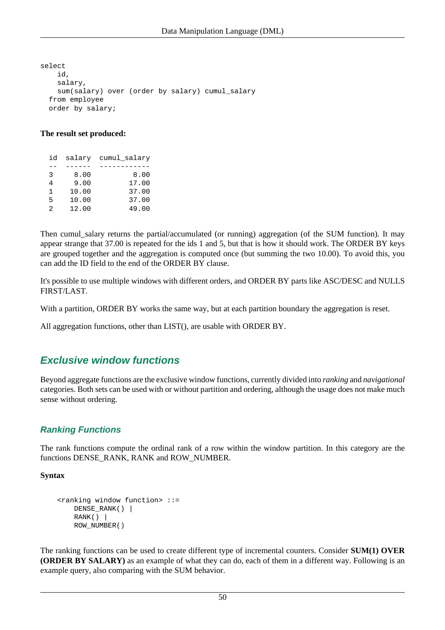select id, salary, sum(salary) over (order by salary) cumul\_salary from employee order by salary;

## **The result set produced:**

| id |       | salary cumul salary |
|----|-------|---------------------|
|    |       |                     |
| 3  | 8.00  | 8.00                |
| 4  | 9.00  | 17.00               |
| 1  | 10.00 | 37.00               |
| 5  | 10.00 | 37.00               |
| 2  | 12.00 | 49.00               |

Then cumul salary returns the partial/accumulated (or running) aggregation (of the SUM function). It may appear strange that 37.00 is repeated for the ids 1 and 5, but that is how it should work. The ORDER BY keys are grouped together and the aggregation is computed once (but summing the two 10.00). To avoid this, you can add the ID field to the end of the ORDER BY clause.

It's possible to use multiple windows with different orders, and ORDER BY parts like ASC/DESC and NULLS FIRST/LAST.

With a partition, ORDER BY works the same way, but at each partition boundary the aggregation is reset.

All aggregation functions, other than LIST(), are usable with ORDER BY.

# **Exclusive window functions**

Beyond aggregate functions are the exclusive window functions, currently divided into *ranking* and *navigational* categories. Both sets can be used with or without partition and ordering, although the usage does not make much sense without ordering.

# **Ranking Functions**

The rank functions compute the ordinal rank of a row within the window partition. In this category are the functions DENSE\_RANK, RANK and ROW\_NUMBER.

## **Syntax**

```
 <ranking window function> ::=
   DENSE RANK() |
   RANK() ROW_NUMBER()
```
The ranking functions can be used to create different type of incremental counters. Consider **SUM(1) OVER (ORDER BY SALARY)** as an example of what they can do, each of them in a different way. Following is an example query, also comparing with the SUM behavior.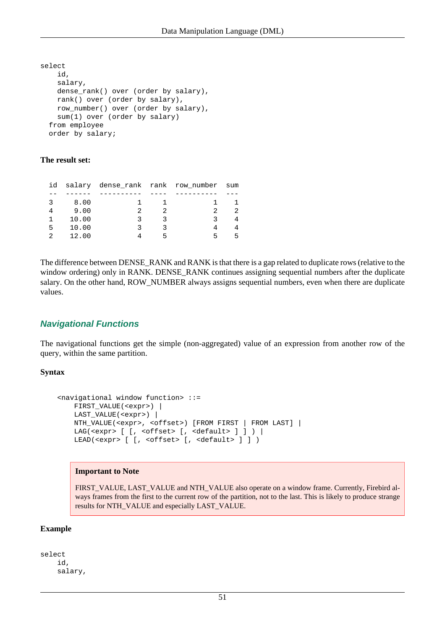```
select
     id,
     salary,
     dense_rank() over (order by salary),
     rank() over (order by salary),
     row_number() over (order by salary),
     sum(1) over (order by salary)
   from employee
   order by salary;
```
## **The result set:**

|   |       | id salary dense rank rank row number sum |   |   |  |
|---|-------|------------------------------------------|---|---|--|
|   |       |                                          |   |   |  |
|   | 8.00  |                                          |   |   |  |
|   | 9.00  |                                          |   |   |  |
|   | 10.00 |                                          | ર | ર |  |
| 5 | 10.00 |                                          |   |   |  |
|   | 12.00 |                                          |   |   |  |
|   |       |                                          |   |   |  |

The difference between DENSE\_RANK and RANK is that there is a gap related to duplicate rows (relative to the window ordering) only in RANK. DENSE\_RANK continues assigning sequential numbers after the duplicate salary. On the other hand, ROW\_NUMBER always assigns sequential numbers, even when there are duplicate values.

# **Navigational Functions**

The navigational functions get the simple (non-aggregated) value of an expression from another row of the query, within the same partition.

## **Syntax**

```
 <navigational window function> ::=
    FIRST_VALUE(<expr>) |
    LAST_VALUE(<expr>) |
   NTH_VALUE(<expr>, <offset>) [FROM FIRST | FROM LAST] |
   LAG(<expr> [ [, <offset> [, <default> ] ] ) |
   LEAD(<expr> [ [, <offset> [, <default> ] ])
```
## **Important to Note**

FIRST\_VALUE, LAST\_VALUE and NTH\_VALUE also operate on a window frame. Currently, Firebird always frames from the first to the current row of the partition, not to the last. This is likely to produce strange results for NTH\_VALUE and especially LAST\_VALUE.

## **Example**

select id, salary,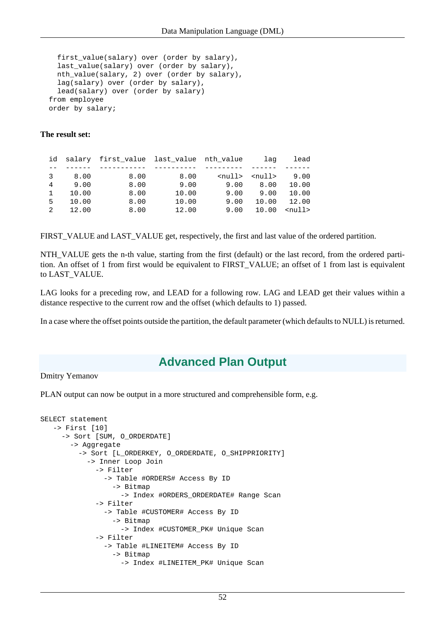```
 first_value(salary) over (order by salary),
  last_value(salary) over (order by salary),
  nth_value(salary, 2) over (order by salary),
  lag(salary) over (order by salary),
  lead(salary) over (order by salary)
 from employee
 order by salary;
```
## **The result set:**

|              |       | id salary first value last value nth value |       |                             | laq   | lead         |
|--------------|-------|--------------------------------------------|-------|-----------------------------|-------|--------------|
|              |       |                                            |       |                             |       |              |
| 3            | 8.00  | 8.00                                       | 8.00  | <null> <null></null></null> |       | 9.00         |
| 4            | 9.00  | 8.00                                       | 9.00  | 9.00                        | 8.00  | 10.00        |
| $\mathbf{1}$ | 10.00 | 8.00                                       | 10.00 | 9.00                        | 9.00  | 10.00        |
| 5            | 10.00 | 8.00                                       | 10.00 | 9.00                        | 10.00 | 12.00        |
| 2            | 12.00 | 8.00                                       | 12.00 | 9.00                        | 10.00 | $<$ null $>$ |

FIRST\_VALUE and LAST\_VALUE get, respectively, the first and last value of the ordered partition.

NTH\_VALUE gets the n-th value, starting from the first (default) or the last record, from the ordered partition. An offset of 1 from first would be equivalent to FIRST\_VALUE; an offset of 1 from last is equivalent to LAST\_VALUE.

LAG looks for a preceding row, and LEAD for a following row. LAG and LEAD get their values within a distance respective to the current row and the offset (which defaults to 1) passed.

<span id="page-59-0"></span>In a case where the offset points outside the partition, the default parameter (which defaults to NULL) is returned.

# **Advanced Plan Output**

## Dmitry Yemanov

PLAN output can now be output in a more structured and comprehensible form, e.g.

```
SELECT statement
    -> First [10]
      -> Sort [SUM, O_ORDERDATE]
        -> Aggregate
          -> Sort [L_ORDERKEY, O_ORDERDATE, O_SHIPPRIORITY]
             -> Inner Loop Join
               -> Filter
                 -> Table #ORDERS# Access By ID
                   -> Bitmap
                     -> Index #ORDERS_ORDERDATE# Range Scan
               -> Filter
                 -> Table #CUSTOMER# Access By ID
                   -> Bitmap
                     -> Index #CUSTOMER_PK# Unique Scan
               -> Filter
                 -> Table #LINEITEM# Access By ID
                   -> Bitmap
                     -> Index #LINEITEM_PK# Unique Scan
```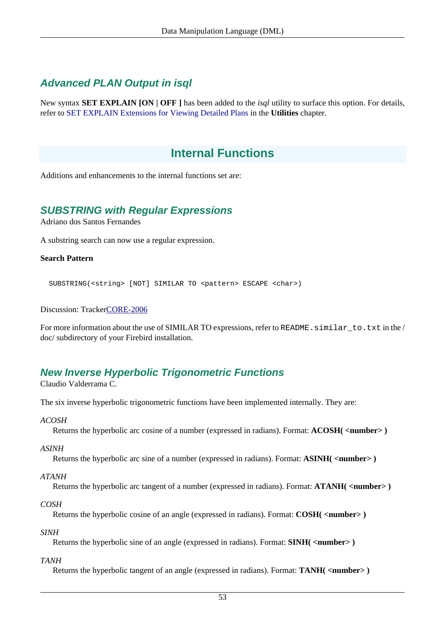# **Advanced PLAN Output in isql**

New syntax **SET EXPLAIN [ON | OFF ]** has been added to the *isql* utility to surface this option. For details, refer to [SET EXPLAIN Extensions for Viewing Detailed Plans](#page-80-0) in the **Utilities** chapter.

# **Internal Functions**

<span id="page-60-0"></span>Additions and enhancements to the internal functions set are:

# **SUBSTRING with Regular Expressions**

Adriano dos Santos Fernandes

A substring search can now use a regular expression.

## **Search Pattern**

SUBSTRING(<string> [NOT] SIMILAR TO <pattern> ESCAPE <char>)

Discussion: Tracke[rCORE-2006](http://tracker.firebirdsql.org/browse/CORE-2006)

<span id="page-60-1"></span>For more information about the use of SIMILAR TO expressions, refer to README. similar\_to.txt in the / doc/ subdirectory of your Firebird installation.

# **New Inverse Hyperbolic Trigonometric Functions**

Claudio Valderrama C.

The six inverse hyperbolic trigonometric functions have been implemented internally. They are:

*ACOSH*

Returns the hyperbolic arc cosine of a number (expressed in radians). Format: **ACOSH( <number> )**

*ASINH*

Returns the hyperbolic arc sine of a number (expressed in radians). Format: **ASINH( <number> )**

*ATANH*

Returns the hyperbolic arc tangent of a number (expressed in radians). Format: **ATANH( <number> )**

*COSH*

Returns the hyperbolic cosine of an angle (expressed in radians). Format: **COSH( <number> )**

*SINH*

Returns the hyperbolic sine of an angle (expressed in radians). Format: **SINH( <number> )**

*TANH*

Returns the hyperbolic tangent of an angle (expressed in radians). Format: **TANH( <number> )**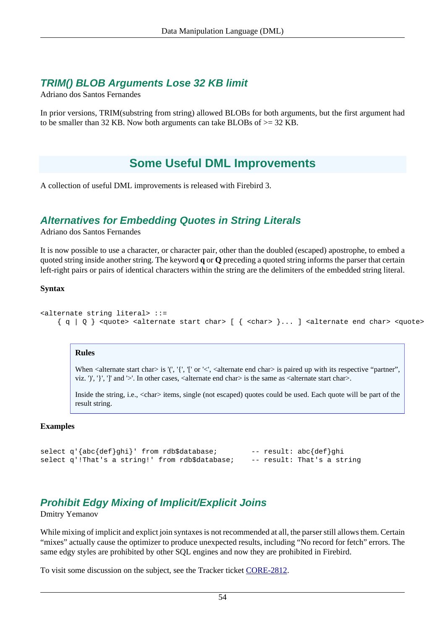# <span id="page-61-0"></span>**TRIM() BLOB Arguments Lose 32 KB limit**

Adriano dos Santos Fernandes

In prior versions, TRIM(substring from string) allowed BLOBs for both arguments, but the first argument had to be smaller than 32 KB. Now both arguments can take BLOBs of >= 32 KB.

# **Some Useful DML Improvements**

<span id="page-61-1"></span>A collection of useful DML improvements is released with Firebird 3.

# **Alternatives for Embedding Quotes in String Literals**

Adriano dos Santos Fernandes

It is now possible to use a character, or character pair, other than the doubled (escaped) apostrophe, to embed a quoted string inside another string. The keyword **q** or **Q** preceding a quoted string informs the parser that certain left-right pairs or pairs of identical characters within the string are the delimiters of the embedded string literal.

## **Syntax**

```
<alternate string literal> ::=
    \{ q | Q \} <quote> <alternate start char> [ \{ <char> \} \ldots ] <alternate end char> <quote>
```
## **Rules**

When  $\alpha$  alternate start char $>$  is '(', '{', '[' or ' $\alpha$ ',  $\alpha$ lternate end char $>$  is paired up with its respective "partner", viz. ')', ' $\}'$ , ']' and '>'. In other cases, <alternate end charbit is the same as <alternate start charbitations.

Inside the string, i.e.,  $\langle \text{char} \rangle$  items, single (not escaped) quotes could be used. Each quote will be part of the result string.

## **Examples**

```
select q'{abc{def}qhi}' from rdb$database; -- result: abc{def}qhi
select q'!That's a string!' from rdb$database; -- result: That's a string
```
# <span id="page-61-2"></span>**Prohibit Edgy Mixing of Implicit/Explicit Joins**

Dmitry Yemanov

While mixing of implicit and explict join syntaxes is not recommended at all, the parser still allows them. Certain "mixes" actually cause the optimizer to produce unexpected results, including "No record for fetch" errors. The same edgy styles are prohibited by other SQL engines and now they are prohibited in Firebird.

To visit some discussion on the subject, see the Tracker ticket [CORE-2812.](http://tracker.firebirdsql.org/browse/CORE-2812)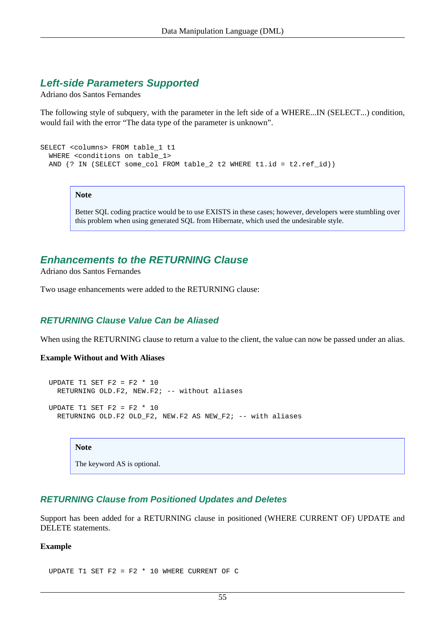# **Left-side Parameters Supported**

Adriano dos Santos Fernandes

The following style of subquery, with the parameter in the left side of a WHERE...IN (SELECT...) condition, would fail with the error "The data type of the parameter is unknown".

```
SELECT <columns> FROM table_1 t1
  WHERE <conditions on table_1>
  AND (? IN (SELECT some_col FROM table_2 t2 WHERE t1.id = t2.ref_id))
```
## **Note**

Better SQL coding practice would be to use EXISTS in these cases; however, developers were stumbling over this problem when using generated SQL from Hibernate, which used the undesirable style.

# **Enhancements to the RETURNING Clause**

Adriano dos Santos Fernandes

<span id="page-62-0"></span>Two usage enhancements were added to the RETURNING clause:

# **RETURNING Clause Value Can be Aliased**

When using the RETURNING clause to return a value to the client, the value can now be passed under an alias.

## **Example Without and With Aliases**

```
UPDATE T1 SET F2 = F2 * 10
  RETURNING OLD.F2, NEW.F2; -- without aliases
UPDATE T1 SET F2 = F2 * 10
```
RETURNING OLD.F2 OLD\_F2, NEW.F2 AS NEW F2; -- with aliases

## **Note**

The keyword AS is optional.

# <span id="page-62-1"></span>**RETURNING Clause from Positioned Updates and Deletes**

Support has been added for a RETURNING clause in positioned (WHERE CURRENT OF) UPDATE and DELETE statements.

#### **Example**

UPDATE T1 SET F2 = F2  $*$  10 WHERE CURRENT OF C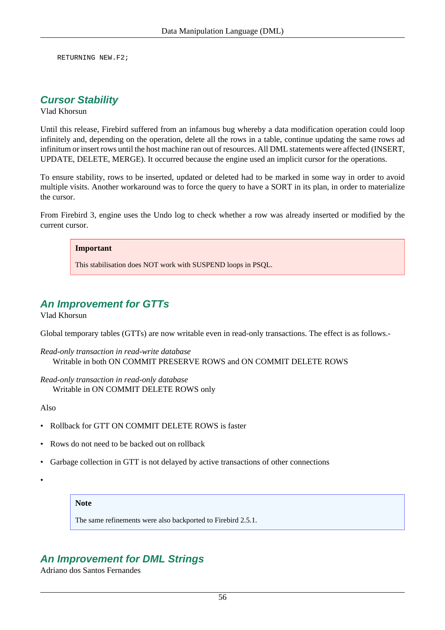<span id="page-63-0"></span>RETURNING NEW.F2;

# **Cursor Stability**

Vlad Khorsun

Until this release, Firebird suffered from an infamous bug whereby a data modification operation could loop infinitely and, depending on the operation, delete all the rows in a table, continue updating the same rows ad infinitum or insert rows until the host machine ran out of resources. All DML statements were affected (INSERT, UPDATE, DELETE, MERGE). It occurred because the engine used an implicit cursor for the operations.

To ensure stability, rows to be inserted, updated or deleted had to be marked in some way in order to avoid multiple visits. Another workaround was to force the query to have a SORT in its plan, in order to materialize the cursor.

From Firebird 3, engine uses the Undo log to check whether a row was already inserted or modified by the current cursor.

#### **Important**

This stabilisation does NOT work with SUSPEND loops in PSQL.

# <span id="page-63-1"></span>**An Improvement for GTTs**

Vlad Khorsun

Global temporary tables (GTTs) are now writable even in read-only transactions. The effect is as follows.-

*Read-only transaction in read-write database* Writable in both ON COMMIT PRESERVE ROWS and ON COMMIT DELETE ROWS

*Read-only transaction in read-only database* Writable in ON COMMIT DELETE ROWS only

Also

- Rollback for GTT ON COMMIT DELETE ROWS is faster
- Rows do not need to be backed out on rollback
- Garbage collection in GTT is not delayed by active transactions of other connections
- •

# **Note**

The same refinements were also backported to Firebird 2.5.1.

# <span id="page-63-2"></span>**An Improvement for DML Strings**

Adriano dos Santos Fernandes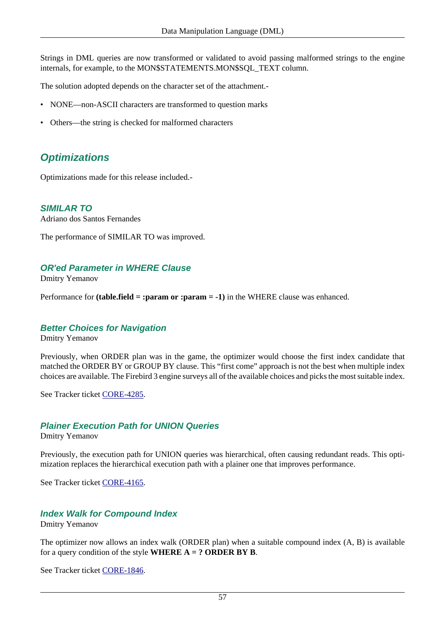Strings in DML queries are now transformed or validated to avoid passing malformed strings to the engine internals, for example, to the MON\$STATEMENTS.MON\$SQL\_TEXT column.

The solution adopted depends on the character set of the attachment.-

- NONE—non-ASCII characters are transformed to question marks
- Others—the string is checked for malformed characters

# **Optimizations**

<span id="page-64-0"></span>Optimizations made for this release included.-

**SIMILAR TO** Adriano dos Santos Fernandes

<span id="page-64-1"></span>The performance of SIMILAR TO was improved.

# **OR'ed Parameter in WHERE Clause**

Dmitry Yemanov

Performance for **(table.field = :param or :param = -1)** in the WHERE clause was enhanced.

# **Better Choices for Navigation**

Dmitry Yemanov

Previously, when ORDER plan was in the game, the optimizer would choose the first index candidate that matched the ORDER BY or GROUP BY clause. This "first come" approach is not the best when multiple index choices are available. The Firebird 3 engine surveys all of the available choices and picks the most suitable index.

See Tracker ticket [CORE-4285.](http://tracker.firebirdsql.org/browse/CORE-4285)

# **Plainer Execution Path for UNION Queries**

Dmitry Yemanov

Previously, the execution path for UNION queries was hierarchical, often causing redundant reads. This optimization replaces the hierarchical execution path with a plainer one that improves performance.

See Tracker ticket [CORE-4165.](http://tracker.firebirdsql.org/browse/CORE-4165)

# **Index Walk for Compound Index**

Dmitry Yemanov

The optimizer now allows an index walk (ORDER plan) when a suitable compound index (A, B) is available for a query condition of the style **WHERE A = ? ORDER BY B**.

See Tracker ticket [CORE-1846.](http://tracker.firebirdsql.org/browse/CORE-1846)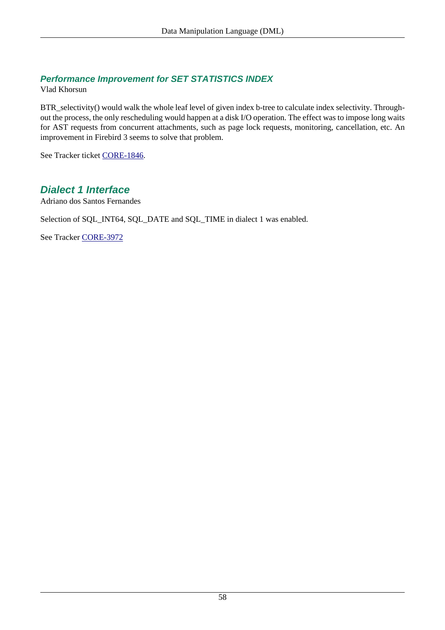# **Performance Improvement for SET STATISTICS INDEX**

Vlad Khorsun

BTR\_selectivity() would walk the whole leaf level of given index b-tree to calculate index selectivity. Throughout the process, the only rescheduling would happen at a disk I/O operation. The effect was to impose long waits for AST requests from concurrent attachments, such as page lock requests, monitoring, cancellation, etc. An improvement in Firebird 3 seems to solve that problem.

<span id="page-65-0"></span>See Tracker ticket [CORE-1846.](http://tracker.firebirdsql.org/browse/CORE-1846)

# **Dialect 1 Interface**

Adriano dos Santos Fernandes

Selection of SQL\_INT64, SQL\_DATE and SQL\_TIME in dialect 1 was enabled.

See Tracker [CORE-3972](http://tracker.firebirdsql.org/browse/CORE-3972)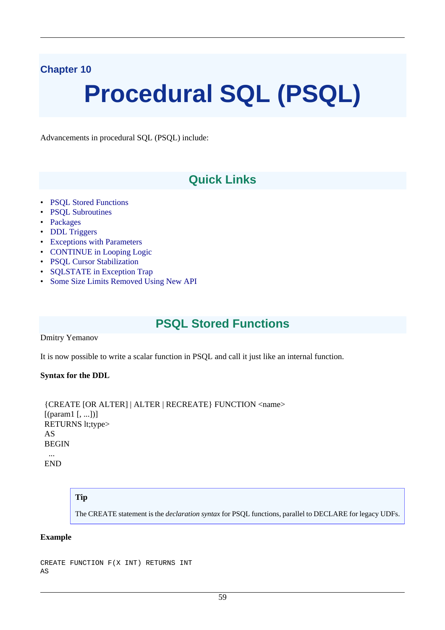# **Chapter 10**

# **Procedural SQL (PSQL)**

Advancements in procedural SQL (PSQL) include:

# **Quick Links**

- [PSQL Stored Functions](#page-66-0)
- [PSQL Subroutines](#page-67-0)
- [Packages](#page-68-0)
- [DDL Triggers](#page-71-0)
- [Exceptions with Parameters](#page-77-0)
- [CONTINUE in Looping Logic](#page-78-0)
- [PSQL Cursor Stabilization](#page-78-1)
- [SQLSTATE in Exception Trap](#page-79-0)
- <span id="page-66-0"></span>• [Some Size Limits Removed Using New API](#page-79-1)

# **PSQL Stored Functions**

#### Dmitry Yemanov

It is now possible to write a scalar function in PSQL and call it just like an internal function.

## **Syntax for the DDL**

```
 {CREATE [OR ALTER] | ALTER | RECREATE} FUNCTION <name>
[(param1[, ...])] RETURNS lt;type>
 AS
BEGIN
 ...
```
END

# **Tip**

The CREATE statement is the *declaration syntax* for PSQL functions, parallel to DECLARE for legacy UDFs.

## **Example**

```
CREATE FUNCTION F(X INT) RETURNS INT
AS
```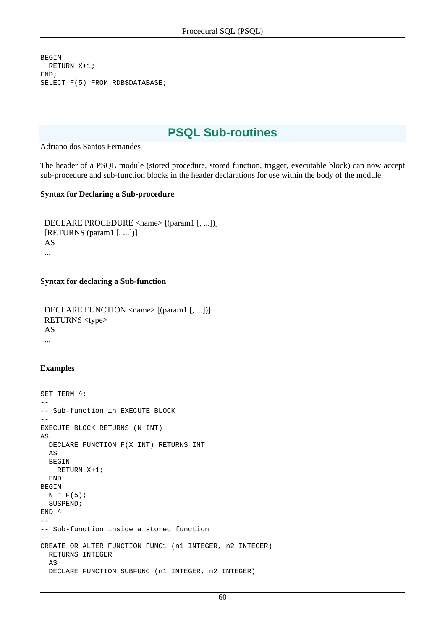```
BEGIN
  RETURN X+1;
END;
SELECT F(5) FROM RDB$DATABASE;
```
# **PSQL Sub-routines**

Adriano dos Santos Fernandes

The header of a PSQL module (stored procedure, stored function, trigger, executable block) can now accept sub-procedure and sub-function blocks in the header declarations for use within the body of the module.

## **Syntax for Declaring a Sub-procedure**

```
 DECLARE PROCEDURE <name> [(param1 [, ...])]
 [RETURNS (param1 [, ...])]
 AS
 ...
```
#### **Syntax for declaring a Sub-function**

```
DECLARE FUNCTION <name> [(param1 [, ...])]
 RETURNS <type>
 AS
 ...
```
## **Examples**

```
SET TERM ^{\wedge};
--
-- Sub-function in EXECUTE BLOCK
--
EXECUTE BLOCK RETURNS (N INT)
AS
   DECLARE FUNCTION F(X INT) RETURNS INT
   AS
   BEGIN
    RETURN X+1;
   END
BEGIN
  N = F(5); SUSPEND;
END<sup>^</sup>
--
-- Sub-function inside a stored function
--
CREATE OR ALTER FUNCTION FUNC1 (n1 INTEGER, n2 INTEGER)
   RETURNS INTEGER
  \DeltaS
   DECLARE FUNCTION SUBFUNC (n1 INTEGER, n2 INTEGER)
```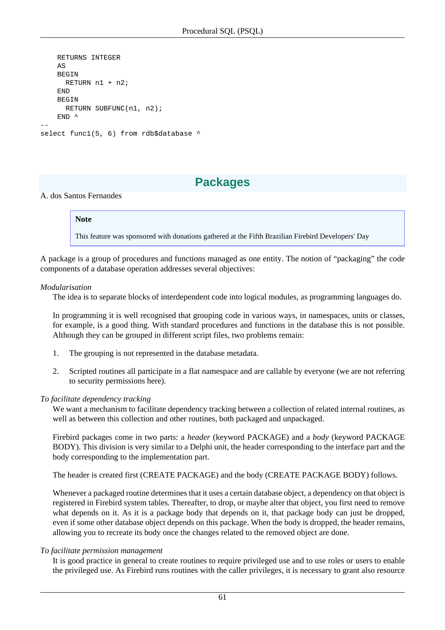```
 RETURNS INTEGER
    \triangleS
     BEGIN
       RETURN n1 + n2;
    END
    BEGIN
       RETURN SUBFUNC(n1, n2);
    END \wedge--
select func1(5, 6) from rdb$database ^
```
# **Packages**

## <span id="page-68-0"></span>A. dos Santos Fernandes

## **Note**

This feature was sponsored with donations gathered at the Fifth Brazilian Firebird Developers' Day

A package is a group of procedures and functions managed as one entity. The notion of "packaging" the code components of a database operation addresses several objectives:

#### *Modularisation*

The idea is to separate blocks of interdependent code into logical modules, as programming languages do.

In programming it is well recognised that grouping code in various ways, in namespaces, units or classes, for example, is a good thing. With standard procedures and functions in the database this is not possible. Although they can be grouped in different script files, two problems remain:

- 1. The grouping is not represented in the database metadata.
- 2. Scripted routines all participate in a flat namespace and are callable by everyone (we are not referring to security permissions here).

## *To facilitate dependency tracking*

We want a mechanism to facilitate dependency tracking between a collection of related internal routines, as well as between this collection and other routines, both packaged and unpackaged.

Firebird packages come in two parts: a *header* (keyword PACKAGE) and a *body* (keyword PACKAGE BODY). This division is very similar to a Delphi unit, the header corresponding to the interface part and the body corresponding to the implementation part.

The header is created first (CREATE PACKAGE) and the body (CREATE PACKAGE BODY) follows.

Whenever a packaged routine determines that it uses a certain database object, a dependency on that object is registered in Firebird system tables. Thereafter, to drop, or maybe alter that object, you first need to remove what depends on it. As it is a package body that depends on it, that package body can just be dropped, even if some other database object depends on this package. When the body is dropped, the header remains, allowing you to recreate its body once the changes related to the removed object are done.

## *To facilitate permission management*

It is good practice in general to create routines to require privileged use and to use roles or users to enable the privileged use. As Firebird runs routines with the caller privileges, it is necessary to grant also resource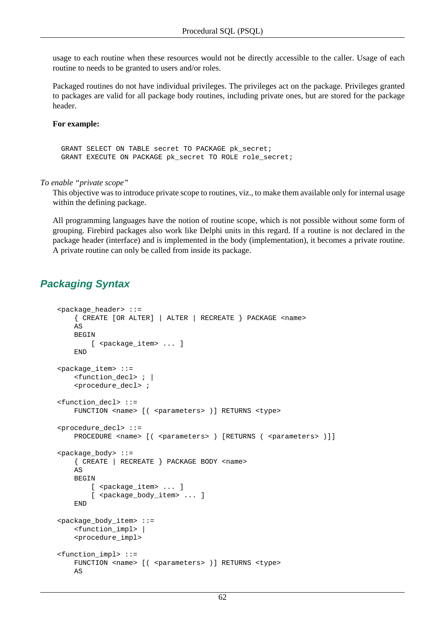usage to each routine when these resources would not be directly accessible to the caller. Usage of each routine to needs to be granted to users and/or roles.

Packaged routines do not have individual privileges. The privileges act on the package. Privileges granted to packages are valid for all package body routines, including private ones, but are stored for the package header.

## **For example:**

 GRANT SELECT ON TABLE secret TO PACKAGE pk\_secret; GRANT EXECUTE ON PACKAGE pk\_secret TO ROLE role\_secret;

*To enable "private scope"*

This objective was to introduce private scope to routines, viz., to make them available only for internal usage within the defining package.

All programming languages have the notion of routine scope, which is not possible without some form of grouping. Firebird packages also work like Delphi units in this regard. If a routine is not declared in the package header (interface) and is implemented in the body (implementation), it becomes a private routine. A private routine can only be called from inside its package.

# **Packaging Syntax**

```
 <package_header> ::=
     { CREATE [OR ALTER] | ALTER | RECREATE } PACKAGE <name>
   \DeltaBEGIN
        [ <package_item> ... ]
    END
 <package_item> ::=
    <function_decl> ; |
     <procedure_decl> ;
 <function_decl> ::=
   FUNCTION <name> [( <parameters> )] RETURNS <type>
 <procedure_decl> ::=
   PROCEDURE <name> [( <parameters> ) [RETURNS ( <parameters> )]]
 <package_body> ::=
     { CREATE | RECREATE } PACKAGE BODY <name>
    AS
    BEGIN
        [ <package_item> ... ]
        [ <package_body_item> ... ]
     END
 <package_body_item> ::=
     <function_impl> |
     <procedure_impl>
 <function_impl> ::=
   FUNCTION <name> [( <parameters> )] RETURNS <type>
    AS
```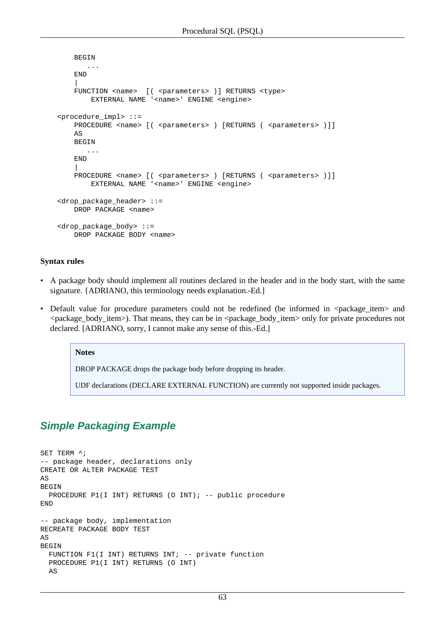```
 BEGIN
            ...
        END
 |
       FUNCTION <name> [( <parameters> )] RETURNS <type>
           EXTERNAL NAME '<name>' ENGINE <engine>
    <procedure_impl> ::=
       PROCEDURE <name> [( <parameters> ) [RETURNS ( <parameters> )]]
       AS BEGIN
            ...
        END
 |
       PROCEDURE <name> [( <parameters> ) [RETURNS ( <parameters> )]]
           EXTERNAL NAME '<name>' ENGINE <engine>
    <drop_package_header> ::=
       DROP PACKAGE <name>
    <drop_package_body> ::=
       DROP PACKAGE BODY <name>
```
#### **Syntax rules**

- A package body should implement all routines declared in the header and in the body start, with the same signature. {ADRIANO, this terminology needs explanation.-Ed.]
- Default value for procedure parameters could not be redefined (be informed in  $\alpha$  =  $\alpha$ ) and <package\_body\_item>). That means, they can be in <package\_body\_item> only for private procedures not declared. [ADRIANO, sorry, I cannot make any sense of this.-Ed.]

#### **Notes**

DROP PACKAGE drops the package body before dropping its header.

UDF declarations (DECLARE EXTERNAL FUNCTION) are currently not supported inside packages.

# **Simple Packaging Example**

```
SET TERM ^;
-- package header, declarations only
CREATE OR ALTER PACKAGE TEST
AS
BEGIN
 PROCEDURE P1(I INT) RETURNS (O INT); -- public procedure
END
-- package body, implementation
RECREATE PACKAGE BODY TEST
AS
BEGIN
  FUNCTION F1(I INT) RETURNS INT; -- private function
  PROCEDURE P1(I INT) RETURNS (O INT)
  AS
```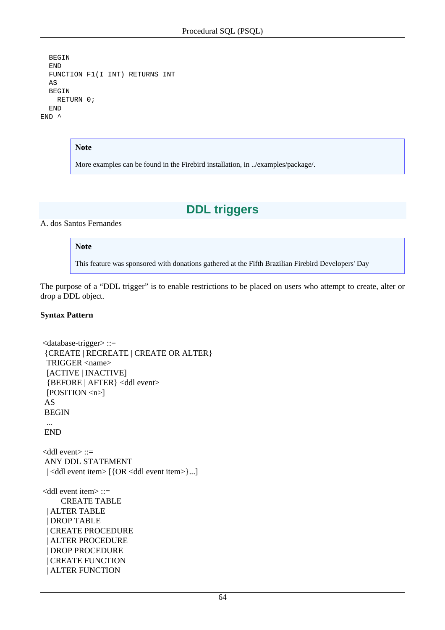```
 BEGIN
   END
   FUNCTION F1(I INT) RETURNS INT
   AS
   BEGIN
     RETURN 0;
   END
END<sup>^</sup>
```
#### **Note**

<span id="page-71-0"></span>More examples can be found in the Firebird installation, in ../examples/package/.

# **DDL triggers**

# A. dos Santos Fernandes

## **Note**

This feature was sponsored with donations gathered at the Fifth Brazilian Firebird Developers' Day

The purpose of a "DDL trigger" is to enable restrictions to be placed on users who attempt to create, alter or drop a DDL object.

## **Syntax Pattern**

```
 <database-trigger> ::=
 {CREATE | RECREATE | CREATE OR ALTER}
 TRIGGER <name>
  [ACTIVE | INACTIVE]
  {BEFORE | AFTER} <ddl event>
  [POSITION <n>]
 AS
 BEGIN
  ...
 END
 <ddl event> ::=
 ANY DDL STATEMENT
| <ddl event item> [{OR <ddl event item>}...]
 <ddl event item> ::=
     CREATE TABLE
  | ALTER TABLE
  | DROP TABLE
  | CREATE PROCEDURE
  | ALTER PROCEDURE
  | DROP PROCEDURE
  | CREATE FUNCTION
  | ALTER FUNCTION
```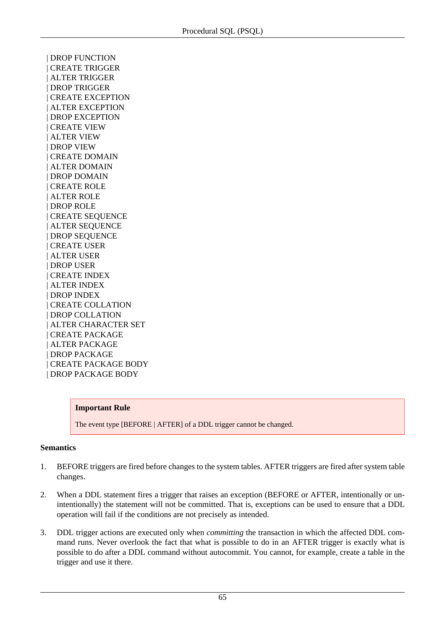| DROP FUNCTION | CREATE TRIGGER | ALTER TRIGGER | DROP TRIGGER | CREATE EXCEPTION | ALTER EXCEPTION | DROP EXCEPTION | CREATE VIEW | ALTER VIEW | DROP VIEW | CREATE DOMAIN | ALTER DOMAIN | DROP DOMAIN | CREATE ROLE | ALTER ROLE | DROP ROLE | CREATE SEQUENCE | ALTER SEQUENCE | DROP SEQUENCE | CREATE USER | ALTER USER | DROP USER | CREATE INDEX | ALTER INDEX | DROP INDEX | CREATE COLLATION | DROP COLLATION | ALTER CHARACTER SET | CREATE PACKAGE | ALTER PACKAGE | DROP PACKAGE | CREATE PACKAGE BODY | DROP PACKAGE BODY

#### **Important Rule**

The event type [BEFORE | AFTER] of a DDL trigger cannot be changed.

#### **Semantics**

- 1. BEFORE triggers are fired before changes to the system tables. AFTER triggers are fired after system table changes.
- 2. When a DDL statement fires a trigger that raises an exception (BEFORE or AFTER, intentionally or unintentionally) the statement will not be committed. That is, exceptions can be used to ensure that a DDL operation will fail if the conditions are not precisely as intended.
- 3. DDL trigger actions are executed only when *committing* the transaction in which the affected DDL command runs. Never overlook the fact that what is possible to do in an AFTER trigger is exactly what is possible to do after a DDL command without autocommit. You cannot, for example, create a table in the trigger and use it there.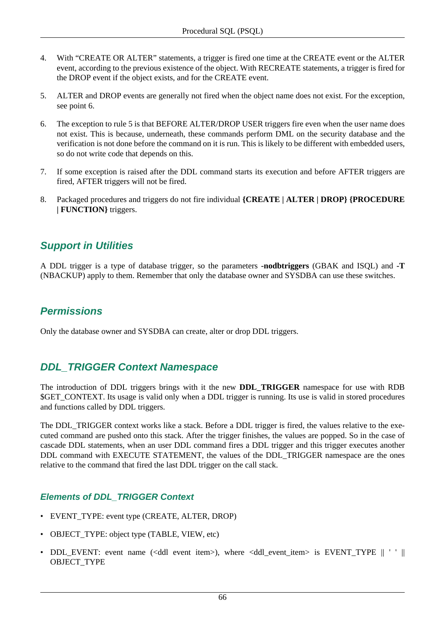- 4. With "CREATE OR ALTER" statements, a trigger is fired one time at the CREATE event or the ALTER event, according to the previous existence of the object. With RECREATE statements, a trigger is fired for the DROP event if the object exists, and for the CREATE event.
- 5. ALTER and DROP events are generally not fired when the object name does not exist. For the exception, see point 6.
- 6. The exception to rule 5 is that BEFORE ALTER/DROP USER triggers fire even when the user name does not exist. This is because, underneath, these commands perform DML on the security database and the verification is not done before the command on it is run. This is likely to be different with embedded users, so do not write code that depends on this.
- 7. If some exception is raised after the DDL command starts its execution and before AFTER triggers are fired, AFTER triggers will not be fired.
- 8. Packaged procedures and triggers do not fire individual **{CREATE | ALTER | DROP} {PROCEDURE | FUNCTION}** triggers.

## **Support in Utilities**

A DDL trigger is a type of database trigger, so the parameters **-nodbtriggers** (GBAK and ISQL) and **-T** (NBACKUP) apply to them. Remember that only the database owner and SYSDBA can use these switches.

## **Permissions**

Only the database owner and SYSDBA can create, alter or drop DDL triggers.

## **DDL\_TRIGGER Context Namespace**

The introduction of DDL triggers brings with it the new **DDL\_TRIGGER** namespace for use with RDB \$GET\_CONTEXT. Its usage is valid only when a DDL trigger is running. Its use is valid in stored procedures and functions called by DDL triggers.

The DDL TRIGGER context works like a stack. Before a DDL trigger is fired, the values relative to the executed command are pushed onto this stack. After the trigger finishes, the values are popped. So in the case of cascade DDL statements, when an user DDL command fires a DDL trigger and this trigger executes another DDL command with EXECUTE STATEMENT, the values of the DDL\_TRIGGER namespace are the ones relative to the command that fired the last DDL trigger on the call stack.

#### **Elements of DDL\_TRIGGER Context**

- EVENT\_TYPE: event type (CREATE, ALTER, DROP)
- OBJECT\_TYPE: object type (TABLE, VIEW, etc)
- DDL EVENT: event name (<ddl event item>), where <ddl event item> is EVENT TYPE  $|| \cdot ||$ OBJECT\_TYPE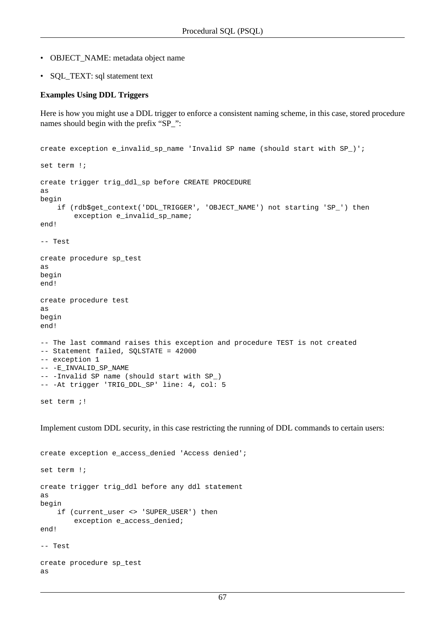- OBJECT\_NAME: metadata object name
- SQL\_TEXT: sql statement text

#### **Examples Using DDL Triggers**

Here is how you might use a DDL trigger to enforce a consistent naming scheme, in this case, stored procedure names should begin with the prefix "SP\_":

```
create exception e_invalid_sp_name 'Invalid SP name (should start with SP_)';
set term !;
create trigger trig_ddl_sp before CREATE PROCEDURE
as
begin
    if (rdb$get_context('DDL_TRIGGER', 'OBJECT_NAME') not starting 'SP_') then
         exception e_invalid_sp_name;
end!
-- Test
create procedure sp_test
as
begin
end!
create procedure test
as
begin
end!
-- The last command raises this exception and procedure TEST is not created
-- Statement failed, SQLSTATE = 42000
-- exception 1
-- -E_INVALID_SP_NAME
-- -Invalid SP name (should start with SP_)
-- -At trigger 'TRIG_DDL_SP' line: 4, col: 5
set term ;!
```
Implement custom DDL security, in this case restricting the running of DDL commands to certain users:

```
create exception e_access_denied 'Access denied';
set term !;
create trigger trig_ddl before any ddl statement
as
begin
    if (current user <> 'SUPER USER') then
        exception e access denied;
end!
-- Test
create procedure sp_test
```
as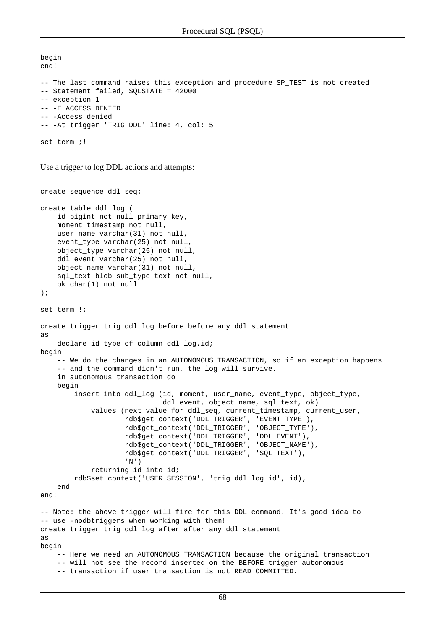```
begin
end!
-- The last command raises this exception and procedure SP_TEST is not created
-- Statement failed, SQLSTATE = 42000
-- exception 1
-- -E_ACCESS_DENIED
-- -Access denied
-- -At trigger 'TRIG_DDL' line: 4, col: 5
set term ; !
```
Use a trigger to log DDL actions and attempts:

```
create sequence ddl_seq;
create table ddl_log (
     id bigint not null primary key,
     moment timestamp not null,
     user_name varchar(31) not null,
     event_type varchar(25) not null,
     object_type varchar(25) not null,
     ddl_event varchar(25) not null,
     object_name varchar(31) not null,
     sql_text blob sub_type text not null,
     ok char(1) not null
);
set term !;
create trigger trig_ddl_log_before before any ddl statement
as
     declare id type of column ddl_log.id;
begin
     -- We do the changes in an AUTONOMOUS TRANSACTION, so if an exception happens 
     -- and the command didn't run, the log will survive.
     in autonomous transaction do
     begin
         insert into ddl_log (id, moment, user_name, event_type, object_type, 
                               ddl_event, object_name, sql_text, ok)
             values (next value for ddl_seq, current_timestamp, current_user,
                     rdb$get_context('DDL_TRIGGER', 'EVENT_TYPE'),
                     rdb$get_context('DDL_TRIGGER', 'OBJECT_TYPE'),
                     rdb$get_context('DDL_TRIGGER', 'DDL_EVENT'),
                     rdb$get_context('DDL_TRIGGER', 'OBJECT_NAME'),
                     rdb$get_context('DDL_TRIGGER', 'SQL_TEXT'),
                      'N')
             returning id into id;
         rdb$set_context('USER_SESSION', 'trig_ddl_log_id', id);
     end
end!
-- Note: the above trigger will fire for this DDL command. It's good idea to
-- use -nodbtriggers when working with them!
create trigger trig_ddl_log_after after any ddl statement
as
begin
     -- Here we need an AUTONOMOUS TRANSACTION because the original transaction
     -- will not see the record inserted on the BEFORE trigger autonomous
     -- transaction if user transaction is not READ COMMITTED.
```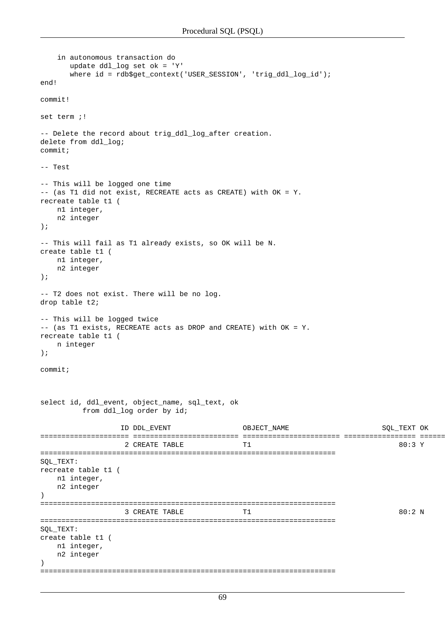```
 in autonomous transaction do
       update ddl_log set ok = 'Y' 
       where id = rdb$get_context('USER_SESSION', 'trig_ddl_log_id');
end!
commit!
set term ;!
-- Delete the record about trig_ddl_log_after creation.
delete from ddl_log;
commit;
-- Test
-- This will be logged one time 
-- (as T1 did not exist, RECREATE acts as CREATE) with OK = Y.
recreate table t1 (
    n1 integer,
    n2 integer
);
-- This will fail as T1 already exists, so OK will be N.
create table t1 (
    n1 integer,
    n2 integer
);
-- T2 does not exist. There will be no log.
drop table t2;
-- This will be logged twice 
-- (as T1 exists, RECREATE acts as DROP and CREATE) with OK = Y.
recreate table t1 (
    n integer
);
commit;
select id, ddl_event, object_name, sql_text, ok
          from ddl_log order by id;
                  ID DDL_EVENT OBJECT_NAME SQL_TEXT OK
===================== ========================= ======================= ================= ======
                   2 CREATE TABLE T1 80:3 Y
======================================================================
SQL_TEXT:
recreate table t1 (
    n1 integer,
    n2 integer
)
======================================================================
                  3 CREATE TABLE T1 80:2 N
======================================================================
SQL_TEXT:
create table t1 (
    n1 integer,
    n2 integer
\lambda======================================================================
```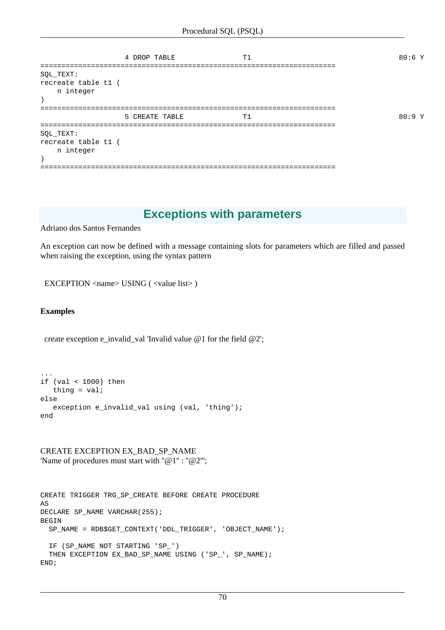|                                               | 4 DROP TABLE   | T1 | 80:6 Y |
|-----------------------------------------------|----------------|----|--------|
| SQL_TEXT:<br>recreate table t1 (<br>n integer |                |    |        |
|                                               | 5 CREATE TABLE | T1 | 80:9Y  |
| SQL_TEXT:<br>recreate table t1 (<br>n integer |                |    |        |

## **Exceptions with parameters**

Adriano dos Santos Fernandes

An exception can now be defined with a message containing slots for parameters which are filled and passed when raising the exception, using the syntax pattern

EXCEPTION <name> USING ( <value list> )

#### **Examples**

create exception e\_invalid\_val 'Invalid value @1 for the field @2';

```
...
if (val < 1000) then
   thing = val;
else
   exception e_invalid_val using (val, 'thing');
end
```
CREATE EXCEPTION EX\_BAD\_SP\_NAME 'Name of procedures must start with "@1": "@2"';

```
CREATE TRIGGER TRG_SP_CREATE BEFORE CREATE PROCEDURE
AS
DECLARE SP_NAME VARCHAR(255);
BEGIN
   SP_NAME = RDB$GET_CONTEXT('DDL_TRIGGER', 'OBJECT_NAME');
  IF (SP_NAME NOT STARTING 'SP_')
 THEN EXCEPTION EX_BAD_SP_NAME USING ('SP_', SP_NAME);
END;
```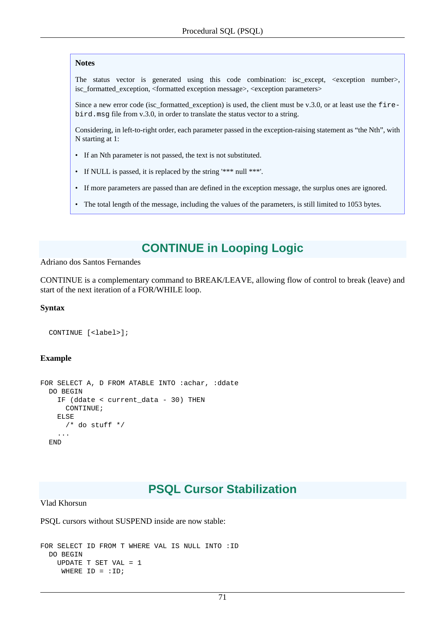#### **Notes**

The status vector is generated using this code combination: isc\_except, <exception number>, isc\_formatted\_exception, <formatted exception message>, <exception parameters>

Since a new error code (isc\_formatted\_exception) is used, the client must be v.3.0, or at least use the firebird.msg file from v.3.0, in order to translate the status vector to a string.

Considering, in left-to-right order, each parameter passed in the exception-raising statement as "the Nth", with N starting at 1:

- If an Nth parameter is not passed, the text is not substituted.
- If NULL is passed, it is replaced by the string '\*\*\* null \*\*\*'.
- If more parameters are passed than are defined in the exception message, the surplus ones are ignored.
- The total length of the message, including the values of the parameters, is still limited to 1053 bytes.

# **CONTINUE in Looping Logic**

#### Adriano dos Santos Fernandes

CONTINUE is a complementary command to BREAK/LEAVE, allowing flow of control to break (leave) and start of the next iteration of a FOR/WHILE loop.

#### **Syntax**

```
 CONTINUE [<label>];
```
#### **Example**

```
FOR SELECT A, D FROM ATABLE INTO :achar, :ddate
  DO BEGIN
     IF (ddate < current_data - 30) THEN
      CONTINUE;
     ELSE
     /* do stuff */ ...
   END
```
# **PSQL Cursor Stabilization**

Vlad Khorsun

PSQL cursors without SUSPEND inside are now stable:

```
FOR SELECT ID FROM T WHERE VAL IS NULL INTO :ID
  DO BEGIN
    UPDATE T SET VAL = 1
     WHERE ID = :ID;
```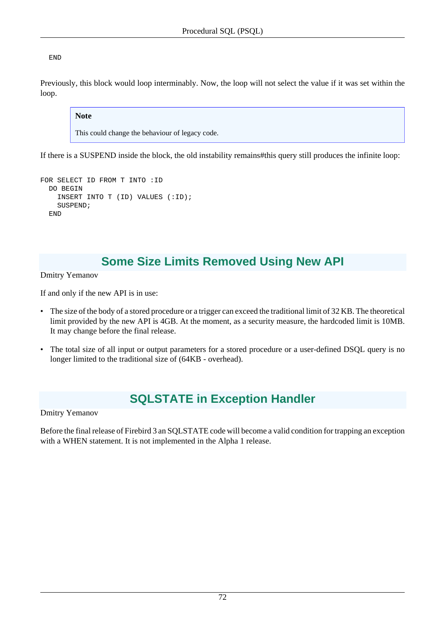END

Previously, this block would loop interminably. Now, the loop will not select the value if it was set within the loop.

#### **Note**

This could change the behaviour of legacy code.

If there is a SUSPEND inside the block, the old instability remains#this query still produces the infinite loop:

```
FOR SELECT ID FROM T INTO :ID
   DO BEGIN
     INSERT INTO T (ID) VALUES (:ID);
     SUSPEND;
   END
```
# **Some Size Limits Removed Using New API**

Dmitry Yemanov

If and only if the new API is in use:

- The size of the body of a stored procedure or a trigger can exceed the traditional limit of 32 KB. The theoretical limit provided by the new API is 4GB. At the moment, as a security measure, the hardcoded limit is 10MB. It may change before the final release.
- The total size of all input or output parameters for a stored procedure or a user-defined DSQL query is no longer limited to the traditional size of (64KB - overhead).

# **SQLSTATE in Exception Handler**

Dmitry Yemanov

Before the final release of Firebird 3 an SQLSTATE code will become a valid condition for trapping an exception with a WHEN statement. It is not implemented in the Alpha 1 release.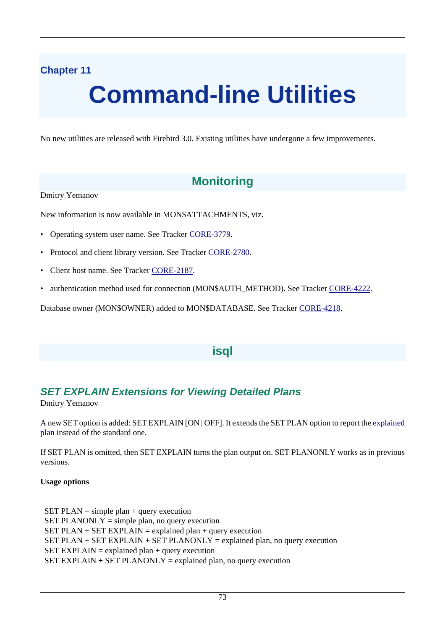# **Chapter 11**

# **Command-line Utilities**

No new utilities are released with Firebird 3.0. Existing utilities have undergone a few improvements.

# **Monitoring**

Dmitry Yemanov

New information is now available in MON\$ATTACHMENTS, viz.

- Operating system user name. See Tracker [CORE-3779](http://tracker.firebirdsql.org/browse/CORE-3779).
- Protocol and client library version. See Tracker [CORE-2780.](http://tracker.firebirdsql.org/browse/CORE-2780)
- Client host name. See Tracker [CORE-2187.](http://tracker.firebirdsql.org/browse/CORE-2187)
- authentication method used for connection (MON\$AUTH\_METHOD). See Tracker [CORE-4222](http://tracker.firebirdsql.org/browse/CORE-4222).

Database owner (MON\$OWNER) added to MON\$DATABASE. See Tracker [CORE-4218](http://tracker.firebirdsql.org/browse/CORE-4218).

## **isql**

## **SET EXPLAIN Extensions for Viewing Detailed Plans**

Dmitry Yemanov

A new SET option is added: SET EXPLAIN [ON | OFF]. It extends the SET PLAN option to report the [explained](#page-59-0) [plan](#page-59-0) instead of the standard one.

If SET PLAN is omitted, then SET EXPLAIN turns the plan output on. SET PLANONLY works as in previous versions.

#### **Usage options**

SET PLAN = simple plan + query execution  $SET \, PLANONLY = simple \, plan, no \, query \, execution$ SET PLAN  $+$  SET EXPLAIN = explained plan  $+$  query execution SET PLAN + SET EXPLAIN + SET PLANONLY = explained plan, no query execution  $SET$  EXPLAIN = explained plan + query execution SET EXPLAIN  $+$  SET PLANONLY = explained plan, no query execution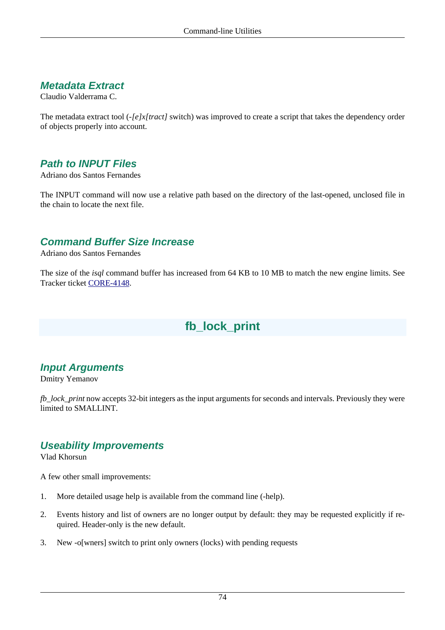## **Metadata Extract**

Claudio Valderrama C.

The metadata extract tool (*-[e]x[tract]* switch) was improved to create a script that takes the dependency order of objects properly into account.

## **Path to INPUT Files**

Adriano dos Santos Fernandes

The INPUT command will now use a relative path based on the directory of the last-opened, unclosed file in the chain to locate the next file.

#### **Command Buffer Size Increase**

Adriano dos Santos Fernandes

The size of the *isql* command buffer has increased from 64 KB to 10 MB to match the new engine limits. See Tracker ticket [CORE-4148](http://tracker.firebirdsql.org/browse/CORE-4148).

# **fb\_lock\_print**

## **Input Arguments**

Dmitry Yemanov

*fb\_lock\_print* now accepts 32-bit integers as the input arguments for seconds and intervals. Previously they were limited to SMALLINT.

#### **Useability Improvements**

Vlad Khorsun

A few other small improvements:

- 1. More detailed usage help is available from the command line (-help).
- 2. Events history and list of owners are no longer output by default: they may be requested explicitly if required. Header-only is the new default.
- 3. New -o[wners] switch to print only owners (locks) with pending requests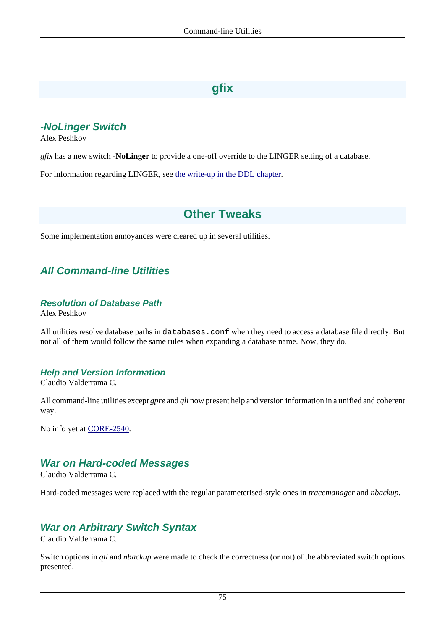# **gfix**

## **-NoLinger Switch**

Alex Peshkov

*gfix* has a new switch **-NoLinger** to provide a one-off override to the LINGER setting of a database.

For information regarding LINGER, see [the write-up in the DDL chapter.](#page-51-0)

# **Other Tweaks**

Some implementation annoyances were cleared up in several utilities.

## **All Command-line Utilities**

#### **Resolution of Database Path**

Alex Peshkov

All utilities resolve database paths in databases.conf when they need to access a database file directly. But not all of them would follow the same rules when expanding a database name. Now, they do.

#### **Help and Version Information**

Claudio Valderrama C.

All command-line utilities except *gpre* and *qli* now present help and version information in a unified and coherent way.

No info yet at [CORE-2540.](http://tracker.firebirdsql.org/browse/CORE-2540)

#### **War on Hard-coded Messages**

Claudio Valderrama C.

Hard-coded messages were replaced with the regular parameterised-style ones in *tracemanager* and *nbackup*.

## **War on Arbitrary Switch Syntax**

Claudio Valderrama C.

Switch options in *qli* and *nbackup* were made to check the correctness (or not) of the abbreviated switch options presented.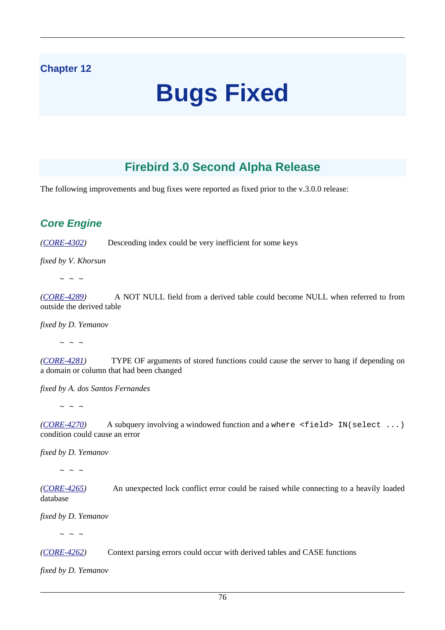## **Chapter 12**

# **Bugs Fixed**

# **Firebird 3.0 Second Alpha Release**

The following improvements and bug fixes were reported as fixed prior to the v.3.0.0 release:

#### **Core Engine**

*([CORE-4302](http://tracker.firebirdsql.org/browse/CORE-4302))* Descending index could be very inefficient for some keys

*fixed by V. Khorsun*

 $\sim$   $\sim$   $\sim$ 

*([CORE-4289](http://tracker.firebirdsql.org/browse/CORE-4289))* A NOT NULL field from a derived table could become NULL when referred to from outside the derived table

*fixed by D. Yemanov*

 $\sim$  ~ ~

*([CORE-4281](http://tracker.firebirdsql.org/browse/CORE-4281))* TYPE OF arguments of stored functions could cause the server to hang if depending on a domain or column that had been changed

*fixed by A. dos Santos Fernandes*

 $\sim$  ~ ~

*([CORE-4270](http://tracker.firebirdsql.org/browse/CORE-4270))* A subquery involving a windowed function and a where <field> IN(select ...) condition could cause an error

*fixed by D. Yemanov*

 $\sim$  ~ ~

*([CORE-4265](http://tracker.firebirdsql.org/browse/CORE-4265))* An unexpected lock conflict error could be raised while connecting to a heavily loaded database

*fixed by D. Yemanov*

 $\sim$  ~ ~

*([CORE-4262](http://tracker.firebirdsql.org/browse/CORE-4262))* Context parsing errors could occur with derived tables and CASE functions

*fixed by D. Yemanov*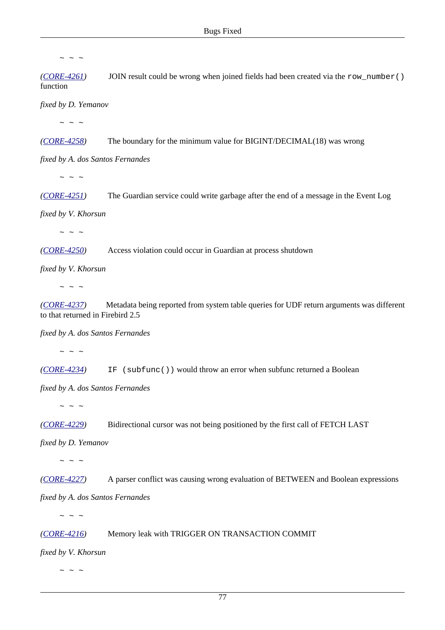$\sim$  ~ ~

*([CORE-4261](http://tracker.firebirdsql.org/browse/CORE-4261))* JOIN result could be wrong when joined fields had been created via the row\_number() function

*fixed by D. Yemanov*

 $\sim$   $\sim$   $\sim$ 

*([CORE-4258](http://tracker.firebirdsql.org/browse/CORE-4258))* The boundary for the minimum value for BIGINT/DECIMAL(18) was wrong

*fixed by A. dos Santos Fernandes*

 $\sim$  ~ ~

*([CORE-4251](http://tracker.firebirdsql.org/browse/CORE-4251))* The Guardian service could write garbage after the end of a message in the Event Log

*fixed by V. Khorsun*

 $\sim$   $\sim$   $\sim$ 

*([CORE-4250](http://tracker.firebirdsql.org/browse/CORE-4250))* Access violation could occur in Guardian at process shutdown

*fixed by V. Khorsun*

 $\sim$  ~ ~

*([CORE-4237](http://tracker.firebirdsql.org/browse/CORE-4237))* Metadata being reported from system table queries for UDF return arguments was different to that returned in Firebird 2.5

*fixed by A. dos Santos Fernandes*

 $\sim$  ~ ~

*([CORE-4234](http://tracker.firebirdsql.org/browse/CORE-4234))* IF (subfunc()) would throw an error when subfunc returned a Boolean

*fixed by A. dos Santos Fernandes*

 $\sim$  ~ ~

*([CORE-4229](http://tracker.firebirdsql.org/browse/CORE-4229))* Bidirectional cursor was not being positioned by the first call of FETCH LAST

*fixed by D. Yemanov*

 $\sim$  ~ ~

*([CORE-4227](http://tracker.firebirdsql.org/browse/CORE-4227))* A parser conflict was causing wrong evaluation of BETWEEN and Boolean expressions

*fixed by A. dos Santos Fernandes*

 $\sim$   $\sim$   $\sim$ 

*([CORE-4216](http://tracker.firebirdsql.org/browse/CORE-4216))* Memory leak with TRIGGER ON TRANSACTION COMMIT

*fixed by V. Khorsun*

 $\sim$  ~ ~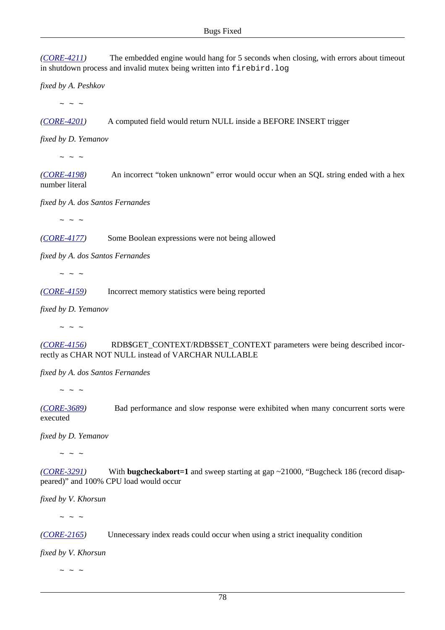*([CORE-4211](http://tracker.firebirdsql.org/browse/CORE-4211))* The embedded engine would hang for 5 seconds when closing, with errors about timeout in shutdown process and invalid mutex being written into firebird.log

*fixed by A. Peshkov*

 $\sim$  ~ ~

*([CORE-4201](http://tracker.firebirdsql.org/browse/CORE-4201))* A computed field would return NULL inside a BEFORE INSERT trigger

*fixed by D. Yemanov*

 $\sim$   $\sim$   $\sim$ 

*([CORE-4198](http://tracker.firebirdsql.org/browse/CORE-4198))* An incorrect "token unknown" error would occur when an SQL string ended with a hex number literal

*fixed by A. dos Santos Fernandes*

 $\sim$  ~ ~

*([CORE-4177](http://tracker.firebirdsql.org/browse/CORE-4177))* Some Boolean expressions were not being allowed

*fixed by A. dos Santos Fernandes*

 $\sim$   $\sim$   $\sim$ 

*([CORE-4159](http://tracker.firebirdsql.org/browse/CORE-4159))* Incorrect memory statistics were being reported

*fixed by D. Yemanov*

 $\sim$  ~ ~

*([CORE-4156](http://tracker.firebirdsql.org/browse/CORE-4156))* RDB\$GET\_CONTEXT/RDB\$SET\_CONTEXT parameters were being described incorrectly as CHAR NOT NULL instead of VARCHAR NULLABLE

*fixed by A. dos Santos Fernandes*

 $\sim$  ~ ~

*([CORE-3689](http://tracker.firebirdsql.org/browse/CORE-3689))* Bad performance and slow response were exhibited when many concurrent sorts were executed

*fixed by D. Yemanov*

 $\sim$  ~ ~

*([CORE-3291](http://tracker.firebirdsql.org/browse/CORE-3291))* With **bugcheckabort=1** and sweep starting at gap ~21000, "Bugcheck 186 (record disappeared)" and 100% CPU load would occur

*fixed by V. Khorsun*

 $\sim$  ~ ~

*([CORE-2165](http://tracker.firebirdsql.org/browse/CORE-2165))* Unnecessary index reads could occur when using a strict inequality condition

*fixed by V. Khorsun*

 $\sim$  ~ ~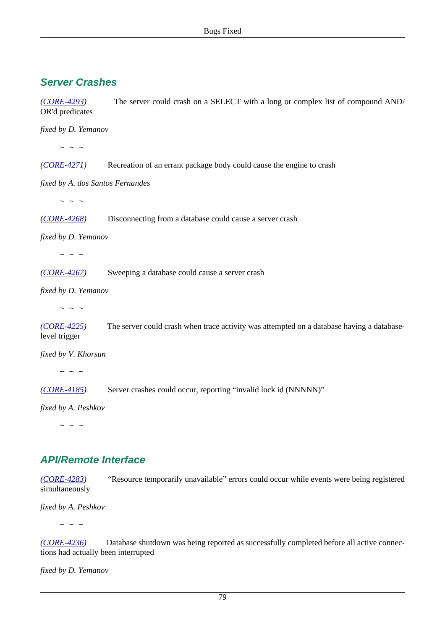## **Server Crashes**

*([CORE-4293](http://tracker.firebirdsql.org/browse/CORE-4293))* The server could crash on a SELECT with a long or complex list of compound AND/ OR'd predicates

*fixed by D. Yemanov*

 $\sim$  ~ ~

*([CORE-4271](http://tracker.firebirdsql.org/browse/CORE-4271))* Recreation of an errant package body could cause the engine to crash

*fixed by A. dos Santos Fernandes*

 $\sim$  ~ ~

*([CORE-4268](http://tracker.firebirdsql.org/browse/CORE-4268))* Disconnecting from a database could cause a server crash

*fixed by D. Yemanov*

 $\sim$  ~ ~

*([CORE-4267](http://tracker.firebirdsql.org/browse/CORE-4267))* Sweeping a database could cause a server crash

*fixed by D. Yemanov*

 $\sim$   $\sim$   $\sim$ 

*([CORE-4225](http://tracker.firebirdsql.org/browse/CORE-4225))* The server could crash when trace activity was attempted on a database having a databaselevel trigger

*fixed by V. Khorsun*

 $\sim$  ~ ~

*([CORE-4185](http://tracker.firebirdsql.org/browse/CORE-4185))* Server crashes could occur, reporting "invalid lock id (NNNNN)"

*fixed by A. Peshkov*

 $\sim$   $\sim$   $\sim$ 

## **API/Remote Interface**

*([CORE-4283](http://tracker.firebirdsql.org/browse/CORE-4283))* "Resource temporarily unavailable" errors could occur while events were being registered simultaneously

*fixed by A. Peshkov*

 $\sim$   $\sim$   $\sim$ 

*([CORE-4236](http://tracker.firebirdsql.org/browse/CORE-4236))* Database shutdown was being reported as successfully completed before all active connections had actually been interrupted

*fixed by D. Yemanov*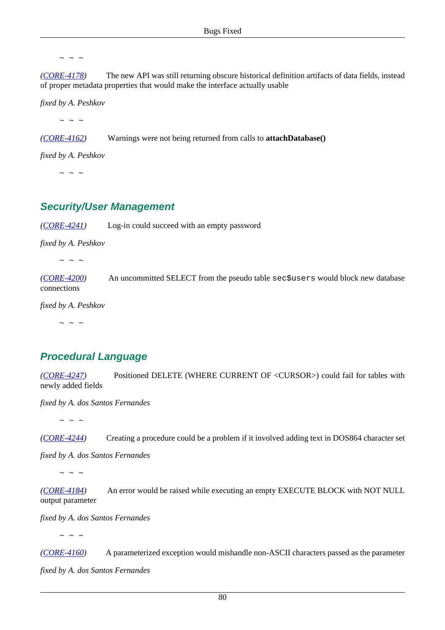$\sim$   $\sim$   $\sim$ 

*([CORE-4178](http://tracker.firebirdsql.org/browse/CORE-4178))* The new API was still returning obscure historical definition artifacts of data fields, instead of proper metadata properties that would make the interface actually usable

*fixed by A. Peshkov*

 $\sim$  ~ ~

*([CORE-4162](http://tracker.firebirdsql.org/browse/CORE-4162))* Warnings were not being returned from calls to **attachDatabase()**

*fixed by A. Peshkov*

 $\sim$  ~ ~

#### **Security/User Management**

*([CORE-4241](http://tracker.firebirdsql.org/browse/CORE-4241))* Log-in could succeed with an empty password

*fixed by A. Peshkov*

 $\sim$  ~ ~

*([CORE-4200](http://tracker.firebirdsql.org/browse/CORE-4200))* An uncommitted SELECT from the pseudo table sec\$users would block new database connections

*fixed by A. Peshkov*

 $\sim$  ~ ~

## **Procedural Language**

*([CORE-4247](http://tracker.firebirdsql.org/browse/CORE-4247))* Positioned DELETE (WHERE CURRENT OF <CURSOR>) could fail for tables with newly added fields

*fixed by A. dos Santos Fernandes*

 $\sim$  ~ ~

*([CORE-4244](http://tracker.firebirdsql.org/browse/CORE-4244))* Creating a procedure could be a problem if it involved adding text in DOS864 character set

*fixed by A. dos Santos Fernandes*

 $\sim$  ~ ~

*([CORE-4184](http://tracker.firebirdsql.org/browse/CORE-4184))* An error would be raised while executing an empty EXECUTE BLOCK with NOT NULL output parameter

*fixed by A. dos Santos Fernandes*

 $\sim$   $\sim$   $\sim$ 

*([CORE-4160](http://tracker.firebirdsql.org/browse/CORE-4160))* A parameterized exception would mishandle non-ASCII characters passed as the parameter *fixed by A. dos Santos Fernandes*

80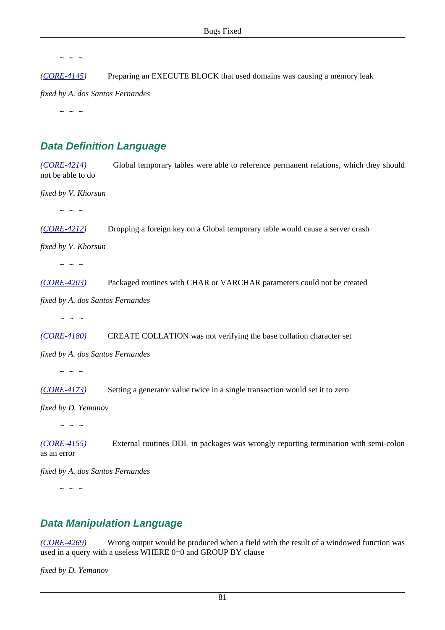$\sim$  ~ ~

*([CORE-4145](http://tracker.firebirdsql.org/browse/CORE-4145))* Preparing an EXECUTE BLOCK that used domains was causing a memory leak

*fixed by A. dos Santos Fernandes*

 $\sim$  ~ ~

## **Data Definition Language**

*([CORE-4214](http://tracker.firebirdsql.org/browse/CORE-4214))* Global temporary tables were able to reference permanent relations, which they should not be able to do

*fixed by V. Khorsun*

 $\sim$  ~ ~

*([CORE-4212](http://tracker.firebirdsql.org/browse/CORE-4212))* Dropping a foreign key on a Global temporary table would cause a server crash

*fixed by V. Khorsun*

 $\sim$  ~ ~

*([CORE-4203](http://tracker.firebirdsql.org/browse/CORE-4203))* Packaged routines with CHAR or VARCHAR parameters could not be created

*fixed by A. dos Santos Fernandes*

 $\sim$  ~ ~

*([CORE-4180](http://tracker.firebirdsql.org/browse/CORE-4180))* CREATE COLLATION was not verifying the base collation character set

*fixed by A. dos Santos Fernandes*

 $\sim$  ~ ~

*([CORE-4173](http://tracker.firebirdsql.org/browse/CORE-4173))* Setting a generator value twice in a single transaction would set it to zero

*fixed by D. Yemanov*

 $\sim$  ~ ~

*([CORE-4155](http://tracker.firebirdsql.org/browse/CORE-4155))* External routines DDL in packages was wrongly reporting termination with semi-colon as an error

*fixed by A. dos Santos Fernandes*

 $\sim$  ~ ~

#### **Data Manipulation Language**

*([CORE-4269](http://tracker.firebirdsql.org/browse/CORE-4269))* Wrong output would be produced when a field with the result of a windowed function was used in a query with a useless WHERE 0=0 and GROUP BY clause

*fixed by D. Yemanov*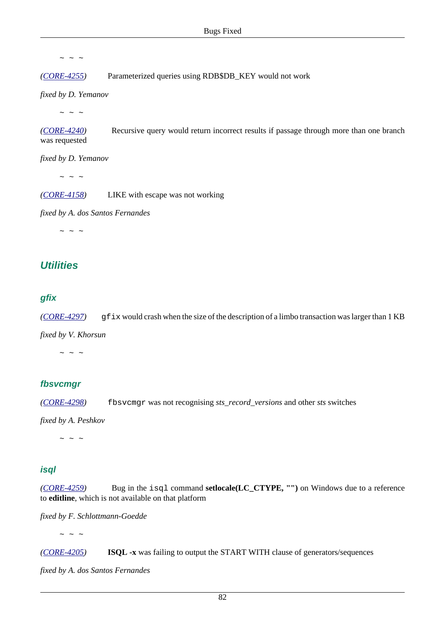$\sim$   $\sim$   $\sim$ 

*([CORE-4255](http://tracker.firebirdsql.org/browse/CORE-4255))* Parameterized queries using RDB\$DB\_KEY would not work

*fixed by D. Yemanov*

 $\sim$  ~ ~

*([CORE-4240](http://tracker.firebirdsql.org/browse/CORE-4240))* Recursive query would return incorrect results if passage through more than one branch was requested

*fixed by D. Yemanov*

 $\sim$  ~ ~

*([CORE-4158](http://tracker.firebirdsql.org/browse/CORE-4158))* LIKE with escape was not working

*fixed by A. dos Santos Fernandes*

 $\sim$  ~ ~

#### **Utilities**

#### **gfix**

*([CORE-4297](http://tracker.firebirdsql.org/browse/CORE-4297))* gfix would crash when the size of the description of a limbo transaction was larger than 1 KB

*fixed by V. Khorsun*

 $\sim$   $\sim$   $\sim$ 

#### **fbsvcmgr**

*([CORE-4298](http://tracker.firebirdsql.org/browse/CORE-4298))* fbsvcmgr was not recognising *sts\_record\_versions* and other *sts* switches

*fixed by A. Peshkov*

 $\sim$  ~ ~

#### **isql**

*([CORE-4259](http://tracker.firebirdsql.org/browse/CORE-4259))* Bug in the isql command **setlocale(LC\_CTYPE, "")** on Windows due to a reference to **editline**, which is not available on that platform

*fixed by F. Schlottmann-Goedde*

 $\sim$   $\sim$   $\sim$ 

*([CORE-4205](http://tracker.firebirdsql.org/browse/CORE-4205))* **ISQL -x** was failing to output the START WITH clause of generators/sequences

*fixed by A. dos Santos Fernandes*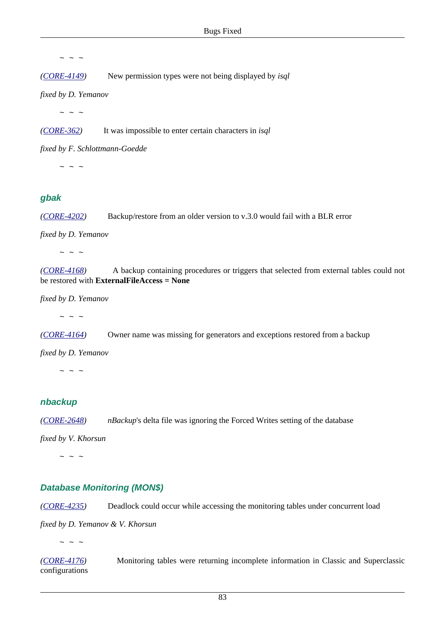$\sim$   $\sim$   $\sim$ 

*([CORE-4149](http://tracker.firebirdsql.org/browse/CORE-4149))* New permission types were not being displayed by *isql*

*fixed by D. Yemanov*

 $\sim$  ~ ~

*([CORE-362\)](http://tracker.firebirdsql.org/browse/CORE-362)* It was impossible to enter certain characters in *isql*

*fixed by F. Schlottmann-Goedde*

 $\sim$  ~ ~

#### **gbak**

*([CORE-4202](http://tracker.firebirdsql.org/browse/CORE-4202))* Backup/restore from an older version to v.3.0 would fail with a BLR error

*fixed by D. Yemanov*

 $\sim$  ~ ~

*([CORE-4168](http://tracker.firebirdsql.org/browse/CORE-4168))* A backup containing procedures or triggers that selected from external tables could not be restored with **ExternalFileAccess = None**

*fixed by D. Yemanov*

 $\sim$  ~ ~

*([CORE-4164](http://tracker.firebirdsql.org/browse/CORE-4164))* Owner name was missing for generators and exceptions restored from a backup

*fixed by D. Yemanov*

 $\sim$   $\sim$   $\sim$ 

#### **nbackup**

*([CORE-2648](http://tracker.firebirdsql.org/browse/CORE-2648)) nBackup*'s delta file was ignoring the Forced Writes setting of the database

*fixed by V. Khorsun*

 $\sim$   $\sim$   $\sim$ 

#### **Database Monitoring (MON\$)**

*([CORE-4235](http://tracker.firebirdsql.org/browse/CORE-4235))* Deadlock could occur while accessing the monitoring tables under concurrent load

*fixed by D. Yemanov & V. Khorsun*

 $\sim$   $\sim$   $\sim$ 

*([CORE-4176](http://tracker.firebirdsql.org/browse/CORE-4176))* Monitoring tables were returning incomplete information in Classic and Superclassic configurations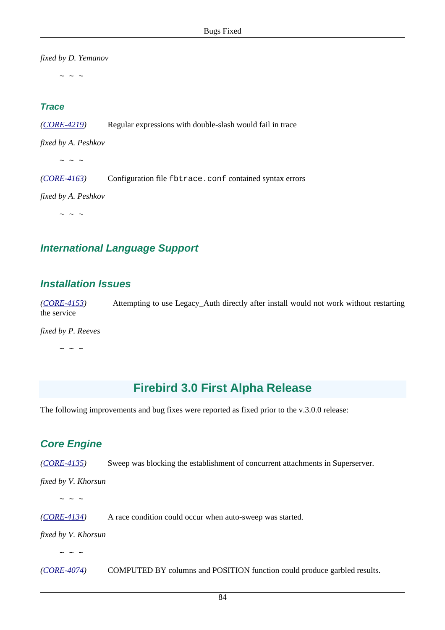*fixed by D. Yemanov*

 $\sim$  ~ ~

#### **Trace**

*([CORE-4219](http://tracker.firebirdsql.org/browse/CORE-4219))* Regular expressions with double-slash would fail in trace

*fixed by A. Peshkov*

 $\sim$  ~ ~

*([CORE-4163](http://tracker.firebirdsql.org/browse/CORE-4163))* Configuration file fbtrace.conf contained syntax errors

*fixed by A. Peshkov*

 $\sim$  ~ ~

#### **International Language Support**

#### **Installation Issues**

*([CORE-4153](http://tracker.firebirdsql.org/browse/CORE-4153))* Attempting to use Legacy\_Auth directly after install would not work without restarting the service

*fixed by P. Reeves*

 $\sim$  ~ ~

# **Firebird 3.0 First Alpha Release**

The following improvements and bug fixes were reported as fixed prior to the v.3.0.0 release:

## **Core Engine**

*([CORE-4135](http://tracker.firebirdsql.org/browse/CORE-4135))* Sweep was blocking the establishment of concurrent attachments in Superserver.

*fixed by V. Khorsun*

 $\sim$  ~ ~

*([CORE-4134](http://tracker.firebirdsql.org/browse/CORE-4134))* A race condition could occur when auto-sweep was started.

*fixed by V. Khorsun*

 $\sim$  ~ ~

*([CORE-4074](http://tracker.firebirdsql.org/browse/CORE-4074))* COMPUTED BY columns and POSITION function could produce garbled results.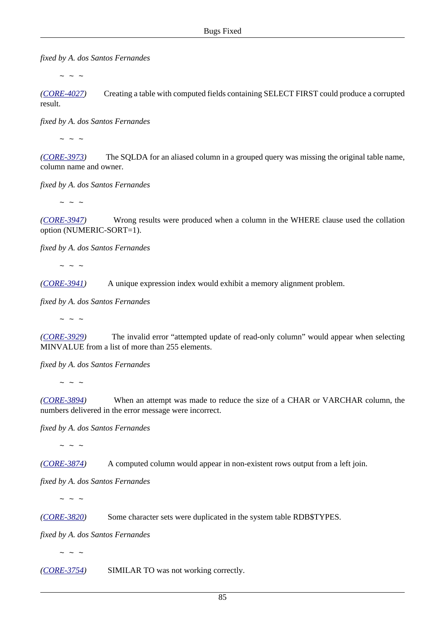*fixed by A. dos Santos Fernandes*

 $\sim$  ~ ~

*([CORE-4027](http://tracker.firebirdsql.org/browse/CORE-4027))* Creating a table with computed fields containing SELECT FIRST could produce a corrupted result.

*fixed by A. dos Santos Fernandes*

 $\sim$  ~ ~

*([CORE-3973](http://tracker.firebirdsql.org/browse/CORE-3973))* The SQLDA for an aliased column in a grouped query was missing the original table name, column name and owner.

*fixed by A. dos Santos Fernandes*

 $\sim$  ~ ~

*([CORE-3947](http://tracker.firebirdsql.org/browse/CORE-3947))* Wrong results were produced when a column in the WHERE clause used the collation option (NUMERIC-SORT=1).

*fixed by A. dos Santos Fernandes*

 $\sim$   $\sim$   $\sim$ 

*([CORE-3941](http://tracker.firebirdsql.org/browse/CORE-3941))* A unique expression index would exhibit a memory alignment problem.

*fixed by A. dos Santos Fernandes*

 $\sim$  ~ ~

*([CORE-3929](http://tracker.firebirdsql.org/browse/CORE-3929))* The invalid error "attempted update of read-only column" would appear when selecting MINVALUE from a list of more than 255 elements.

*fixed by A. dos Santos Fernandes*

 $\sim$  ~ ~

*([CORE-3894](http://tracker.firebirdsql.org/browse/CORE-3894))* When an attempt was made to reduce the size of a CHAR or VARCHAR column, the numbers delivered in the error message were incorrect.

*fixed by A. dos Santos Fernandes*

 $\sim$  ~ ~

*([CORE-3874](http://tracker.firebirdsql.org/browse/CORE-3874))* A computed column would appear in non-existent rows output from a left join.

*fixed by A. dos Santos Fernandes*

 $\sim$   $\sim$   $\sim$ 

*([CORE-3820](http://tracker.firebirdsql.org/browse/CORE-3820))* Some character sets were duplicated in the system table RDB\$TYPES.

*fixed by A. dos Santos Fernandes*

 $\sim$  ~ ~

*([CORE-3754](http://tracker.firebirdsql.org/browse/CORE-3754))* SIMILAR TO was not working correctly.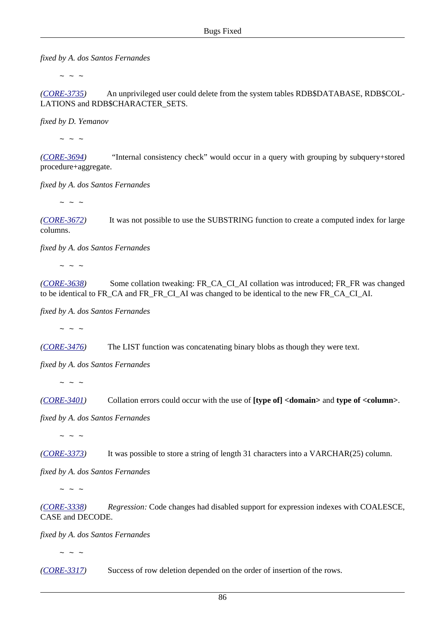*fixed by A. dos Santos Fernandes*

 $\sim$  ~ ~

*([CORE-3735](http://tracker.firebirdsql.org/browse/CORE-3735))* An unprivileged user could delete from the system tables RDB\$DATABASE, RDB\$COL-LATIONS and RDB\$CHARACTER\_SETS.

*fixed by D. Yemanov*

 $\sim$  ~ ~

*([CORE-3694](http://tracker.firebirdsql.org/browse/CORE-3694))* "Internal consistency check" would occur in a query with grouping by subquery+stored procedure+aggregate.

*fixed by A. dos Santos Fernandes*

 $\sim$  ~ ~

*([CORE-3672](http://tracker.firebirdsql.org/browse/CORE-3672))* It was not possible to use the SUBSTRING function to create a computed index for large columns.

*fixed by A. dos Santos Fernandes*

 $\sim$   $\sim$   $\sim$ 

*([CORE-3638](http://tracker.firebirdsql.org/browse/CORE-3638))* Some collation tweaking: FR\_CA\_CI\_AI collation was introduced; FR\_FR\_was changed to be identical to FR\_CA and FR\_FR\_CI\_AI was changed to be identical to the new FR\_CA\_CI\_AI.

*fixed by A. dos Santos Fernandes*

 $\sim$  ~ ~

*([CORE-3476](http://tracker.firebirdsql.org/browse/CORE-3476))* The LIST function was concatenating binary blobs as though they were text.

*fixed by A. dos Santos Fernandes*

 $\sim$  ~ ~

*([CORE-3401](http://tracker.firebirdsql.org/browse/CORE-3401))* Collation errors could occur with the use of **[type of] <domain>** and **type of <column>**.

*fixed by A. dos Santos Fernandes*

 $\sim$  ~ ~

*([CORE-3373](http://tracker.firebirdsql.org/browse/CORE-3373))* It was possible to store a string of length 31 characters into a VARCHAR(25) column.

*fixed by A. dos Santos Fernandes*

 $\sim$  ~ ~

*([CORE-3338](http://tracker.firebirdsql.org/browse/CORE-3338)) Regression:* Code changes had disabled support for expression indexes with COALESCE, CASE and DECODE.

*fixed by A. dos Santos Fernandes*

 $\sim$  ~ ~

*([CORE-3317](http://tracker.firebirdsql.org/browse/CORE-3317))* Success of row deletion depended on the order of insertion of the rows.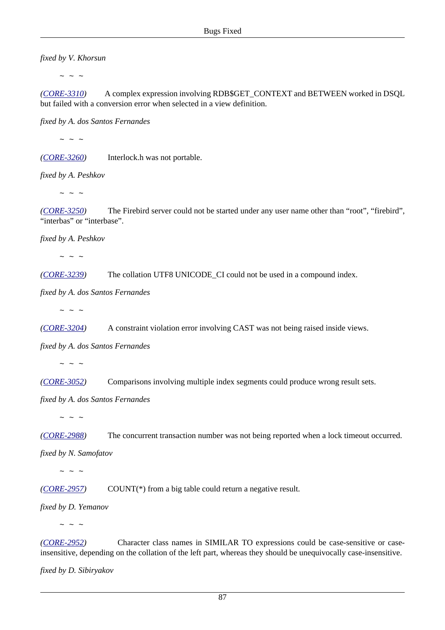*fixed by V. Khorsun*

 $\sim$  ~ ~

*([CORE-3310](http://tracker.firebirdsql.org/browse/CORE-3310))* A complex expression involving RDB\$GET\_CONTEXT and BETWEEN worked in DSQL but failed with a conversion error when selected in a view definition.

*fixed by A. dos Santos Fernandes*

 $\sim$  ~ ~

*([CORE-3260](http://tracker.firebirdsql.org/browse/CORE-3260))* Interlock.h was not portable.

*fixed by A. Peshkov*

 $\sim$  ~ ~

*([CORE-3250](http://tracker.firebirdsql.org/browse/CORE-3250))* The Firebird server could not be started under any user name other than "root", "firebird", "interbas" or "interbase".

*fixed by A. Peshkov*

 $\sim$  ~ ~

*([CORE-3239](http://tracker.firebirdsql.org/browse/CORE-3239))* The collation UTF8 UNICODE\_CI could not be used in a compound index.

*fixed by A. dos Santos Fernandes*

 $\sim$  ~ ~

*([CORE-3204](http://tracker.firebirdsql.org/browse/CORE-3204))* A constraint violation error involving CAST was not being raised inside views.

*fixed by A. dos Santos Fernandes*

 $\sim$  ~ ~

*([CORE-3052](http://tracker.firebirdsql.org/browse/CORE-3052))* Comparisons involving multiple index segments could produce wrong result sets.

*fixed by A. dos Santos Fernandes*

 $\sim$   $\sim$   $\sim$ 

*([CORE-2988](http://tracker.firebirdsql.org/browse/CORE-2988))* The concurrent transaction number was not being reported when a lock timeout occurred.

*fixed by N. Samofatov*

 $\sim$   $\sim$   $\sim$ 

*([CORE-2957](http://tracker.firebirdsql.org/browse/CORE-2957))* COUNT(\*) from a big table could return a negative result.

*fixed by D. Yemanov*

 $\sim$   $\sim$   $\sim$ 

*([CORE-2952](http://tracker.firebirdsql.org/browse/CORE-2952))* Character class names in SIMILAR TO expressions could be case-sensitive or caseinsensitive, depending on the collation of the left part, whereas they should be unequivocally case-insensitive.

*fixed by D. Sibiryakov*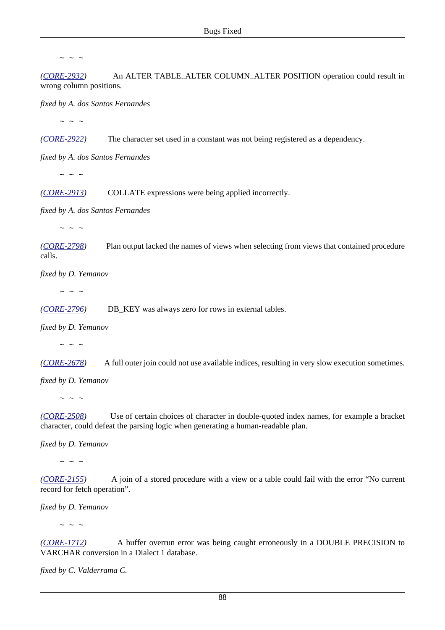$\sim$  ~ ~

*([CORE-2932](http://tracker.firebirdsql.org/browse/CORE-2932))* An ALTER TABLE..ALTER COLUMN..ALTER POSITION operation could result in wrong column positions.

*fixed by A. dos Santos Fernandes*

 $\sim$  ~ ~

*([CORE-2922](http://tracker.firebirdsql.org/browse/CORE-2922))* The character set used in a constant was not being registered as a dependency.

*fixed by A. dos Santos Fernandes*

 $\sim$  ~ ~

*([CORE-2913](http://tracker.firebirdsql.org/browse/CORE-2913))* COLLATE expressions were being applied incorrectly.

*fixed by A. dos Santos Fernandes*

 $\sim$  ~ ~

*([CORE-2798](http://tracker.firebirdsql.org/browse/CORE-2798))* Plan output lacked the names of views when selecting from views that contained procedure calls.

*fixed by D. Yemanov*

 $\sim$  ~ ~

*([CORE-2796](http://tracker.firebirdsql.org/browse/CORE-2796))* DB\_KEY was always zero for rows in external tables.

*fixed by D. Yemanov*

 $\sim$   $\sim$   $\sim$ 

*([CORE-2678](http://tracker.firebirdsql.org/browse/CORE-2678))* A full outer join could not use available indices, resulting in very slow execution sometimes.

*fixed by D. Yemanov*

 $\sim$  ~ ~

*([CORE-2508](http://tracker.firebirdsql.org/browse/CORE-2508))* Use of certain choices of character in double-quoted index names, for example a bracket character, could defeat the parsing logic when generating a human-readable plan.

*fixed by D. Yemanov*

 $\sim$  ~ ~

*([CORE-2155](http://tracker.firebirdsql.org/browse/CORE-2155))* A join of a stored procedure with a view or a table could fail with the error "No current record for fetch operation".

*fixed by D. Yemanov*

 $\sim$   $\sim$   $\sim$ 

*([CORE-1712](http://tracker.firebirdsql.org/browse/CORE-1712))* A buffer overrun error was being caught erroneously in a DOUBLE PRECISION to VARCHAR conversion in a Dialect 1 database.

*fixed by C. Valderrama C.*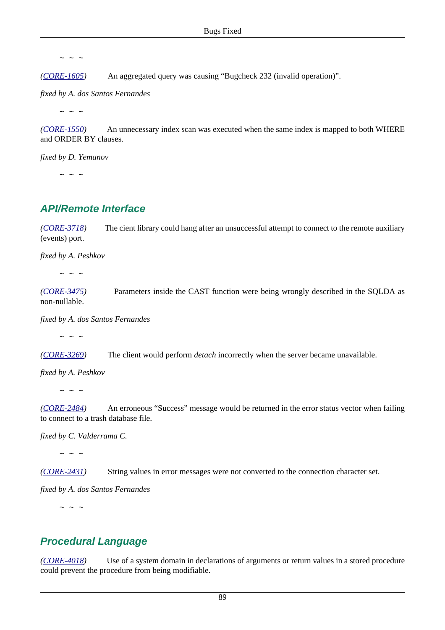$\sim$  ~ ~

*([CORE-1605](http://tracker.firebirdsql.org/browse/CORE-1605))* An aggregated query was causing "Bugcheck 232 (invalid operation)".

*fixed by A. dos Santos Fernandes*

 $\sim$  ~ ~

*([CORE-1550](http://tracker.firebirdsql.org/browse/CORE-1550))* An unnecessary index scan was executed when the same index is mapped to both WHERE and ORDER BY clauses.

*fixed by D. Yemanov*

 $\sim$  ~ ~

#### **API/Remote Interface**

*([CORE-3718](http://tracker.firebirdsql.org/browse/CORE-3718))* The cient library could hang after an unsuccessful attempt to connect to the remote auxiliary (events) port.

*fixed by A. Peshkov*

 $\sim$  ~ ~

*([CORE-3475](http://tracker.firebirdsql.org/browse/CORE-3475))* Parameters inside the CAST function were being wrongly described in the SQLDA as non-nullable.

*fixed by A. dos Santos Fernandes*

 $\sim$  ~ ~

*([CORE-3269](http://tracker.firebirdsql.org/browse/CORE-3269))* The client would perform *detach* incorrectly when the server became unavailable.

*fixed by A. Peshkov*

 $\sim$   $\sim$   $\sim$ 

*([CORE-2484](http://tracker.firebirdsql.org/browse/CORE-2484))* An erroneous "Success" message would be returned in the error status vector when failing to connect to a trash database file.

*fixed by C. Valderrama C.*

 $\sim$  ~ ~

*([CORE-2431](http://tracker.firebirdsql.org/browse/CORE-2431))* String values in error messages were not converted to the connection character set.

*fixed by A. dos Santos Fernandes*

 $\sim$  ~ ~

#### **Procedural Language**

*([CORE-4018](http://tracker.firebirdsql.org/browse/CORE-4018))* Use of a system domain in declarations of arguments or return values in a stored procedure could prevent the procedure from being modifiable.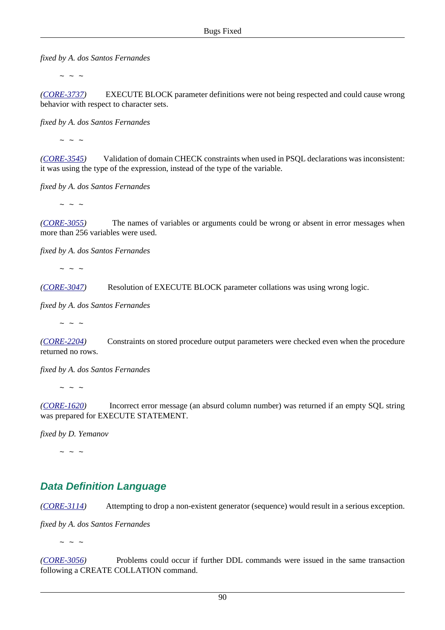*fixed by A. dos Santos Fernandes*

 $\sim$  ~ ~

*([CORE-3737](http://tracker.firebirdsql.org/browse/CORE-3737))* EXECUTE BLOCK parameter definitions were not being respected and could cause wrong behavior with respect to character sets.

*fixed by A. dos Santos Fernandes*

 $\sim$  ~ ~

*([CORE-3545](http://tracker.firebirdsql.org/browse/CORE-3545))* Validation of domain CHECK constraints when used in PSQL declarations was inconsistent: it was using the type of the expression, instead of the type of the variable.

*fixed by A. dos Santos Fernandes*

 $\sim$  ~ ~

*([CORE-3055](http://tracker.firebirdsql.org/browse/CORE-3055))* The names of variables or arguments could be wrong or absent in error messages when more than 256 variables were used.

*fixed by A. dos Santos Fernandes*

 $\sim$  ~ ~

*([CORE-3047](http://tracker.firebirdsql.org/browse/CORE-3047))* Resolution of EXECUTE BLOCK parameter collations was using wrong logic.

*fixed by A. dos Santos Fernandes*

 $\sim$   $\sim$   $\sim$ 

*([CORE-2204](http://tracker.firebirdsql.org/browse/CORE-2204))* Constraints on stored procedure output parameters were checked even when the procedure returned no rows.

*fixed by A. dos Santos Fernandes*

 $\sim$  ~ ~

*([CORE-1620](http://tracker.firebirdsql.org/browse/CORE-1620))* Incorrect error message (an absurd column number) was returned if an empty SQL string was prepared for EXECUTE STATEMENT.

*fixed by D. Yemanov*

 $\sim$  ~ ~

## **Data Definition Language**

*([CORE-3114](http://tracker.firebirdsql.org/browse/CORE-3114))* Attempting to drop a non-existent generator (sequence) would result in a serious exception.

*fixed by A. dos Santos Fernandes*

 $\sim$   $\sim$   $\sim$ 

*([CORE-3056](http://tracker.firebirdsql.org/browse/CORE-3056))* Problems could occur if further DDL commands were issued in the same transaction following a CREATE COLLATION command.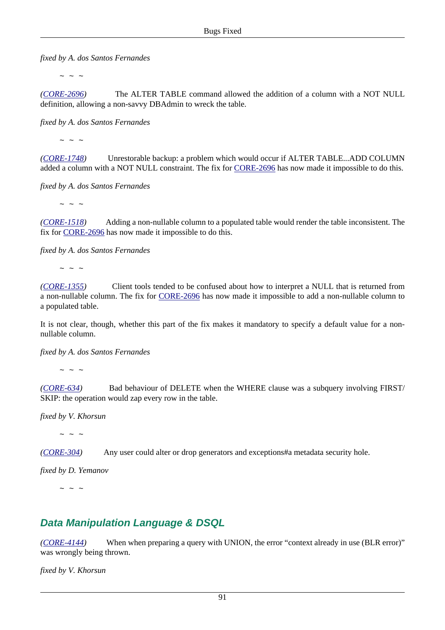*fixed by A. dos Santos Fernandes*

 $\sim$  ~ ~

*([CORE-2696](http://tracker.firebirdsql.org/browse/CORE-2696))* The ALTER TABLE command allowed the addition of a column with a NOT NULL definition, allowing a non-savvy DBAdmin to wreck the table.

*fixed by A. dos Santos Fernandes*

 $\sim$  ~ ~

*([CORE-1748](http://tracker.firebirdsql.org/browse/CORE-1748))* Unrestorable backup: a problem which would occur if ALTER TABLE...ADD COLUMN added a column with a NOT NULL constraint. The fix for [CORE-2696](http://tracker.firebirdsql.org/browse/CORE-2696) has now made it impossible to do this.

*fixed by A. dos Santos Fernandes*

 $\sim$  ~ ~

*([CORE-1518](http://tracker.firebirdsql.org/browse/CORE-1518))* Adding a non-nullable column to a populated table would render the table inconsistent. The fix for [CORE-2696](http://tracker.firebirdsql.org/browse/CORE-2696) has now made it impossible to do this.

*fixed by A. dos Santos Fernandes*

 $\sim$  ~ ~

*([CORE-1355](http://tracker.firebirdsql.org/browse/CORE-1355))* Client tools tended to be confused about how to interpret a NULL that is returned from a non-nullable column. The fix for [CORE-2696](http://tracker.firebirdsql.org/browse/CORE-2696) has now made it impossible to add a non-nullable column to a populated table.

It is not clear, though, whether this part of the fix makes it mandatory to specify a default value for a nonnullable column.

*fixed by A. dos Santos Fernandes*

 $\sim$  ~ ~

*([CORE-634\)](http://tracker.firebirdsql.org/browse/CORE-634)* Bad behaviour of DELETE when the WHERE clause was a subquery involving FIRST/ SKIP: the operation would zap every row in the table.

*fixed by V. Khorsun*

 $\sim$  ~ ~

*([CORE-304\)](http://tracker.firebirdsql.org/browse/CORE-304)* Any user could alter or drop generators and exceptions#a metadata security hole.

*fixed by D. Yemanov*

 $\sim$  ~ ~

## **Data Manipulation Language & DSQL**

*([CORE-4144](http://tracker.firebirdsql.org/browse/CORE-4144))* When when preparing a query with UNION, the error "context already in use (BLR error)" was wrongly being thrown.

*fixed by V. Khorsun*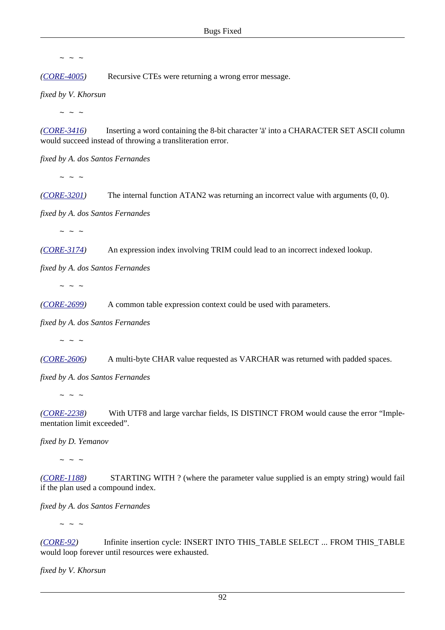$\sim$  ~ ~

*([CORE-4005](http://tracker.firebirdsql.org/browse/CORE-4005))* Recursive CTEs were returning a wrong error message.

*fixed by V. Khorsun*

 $\sim$  ~ ~

*([CORE-3416](http://tracker.firebirdsql.org/browse/CORE-3416))* Inserting a word containing the 8-bit character 'ä' into a CHARACTER SET ASCII column would succeed instead of throwing a transliteration error.

*fixed by A. dos Santos Fernandes*

 $\sim$  ~ ~

*([CORE-3201](http://tracker.firebirdsql.org/browse/CORE-3201))* The internal function ATAN2 was returning an incorrect value with arguments (0, 0).

*fixed by A. dos Santos Fernandes*

 $\sim$   $\sim$   $\sim$ 

*([CORE-3174](http://tracker.firebirdsql.org/browse/CORE-3174))* An expression index involving TRIM could lead to an incorrect indexed lookup.

*fixed by A. dos Santos Fernandes*

 $\sim$  ~ ~

*([CORE-2699](http://tracker.firebirdsql.org/browse/CORE-2699))* A common table expression context could be used with parameters.

*fixed by A. dos Santos Fernandes*

 $\sim$  ~ ~

*([CORE-2606](http://tracker.firebirdsql.org/browse/CORE-2606))* A multi-byte CHAR value requested as VARCHAR was returned with padded spaces.

*fixed by A. dos Santos Fernandes*

 $\sim$  ~ ~

*([CORE-2238](http://tracker.firebirdsql.org/browse/CORE-2238))* With UTF8 and large varchar fields, IS DISTINCT FROM would cause the error "Implementation limit exceeded".

*fixed by D. Yemanov*

 $\sim$   $\sim$   $\sim$ 

*([CORE-1188](http://tracker.firebirdsql.org/browse/CORE-1188))* STARTING WITH ? (where the parameter value supplied is an empty string) would fail if the plan used a compound index.

*fixed by A. dos Santos Fernandes*

 $\sim$  ~ ~

*([CORE-92](http://tracker.firebirdsql.org/browse/CORE-92))* Infinite insertion cycle: INSERT INTO THIS\_TABLE SELECT ... FROM THIS\_TABLE would loop forever until resources were exhausted.

*fixed by V. Khorsun*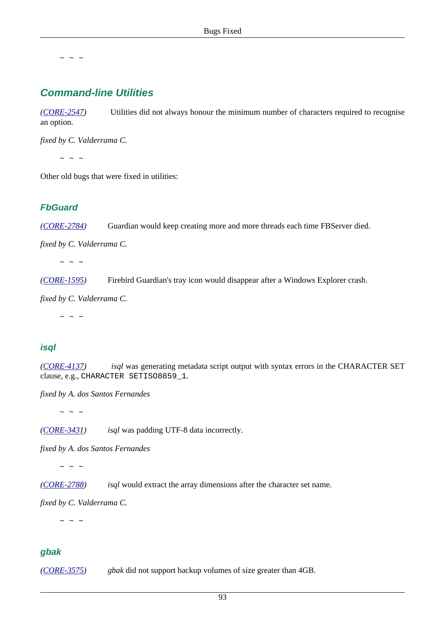$\sim$  ~ ~

## **Command-line Utilities**

*([CORE-2547](http://tracker.firebirdsql.org/browse/CORE-2547))* Utilities did not always honour the minimum number of characters required to recognise an option.

*fixed by C. Valderrama C.*

 $\sim$  ~ ~

Other old bugs that were fixed in utilities:

#### **FbGuard**

*([CORE-2784](http://tracker.firebirdsql.org/browse/CORE-2784))* Guardian would keep creating more and more threads each time FBServer died.

*fixed by C. Valderrama C.*

 $\sim$  ~ ~

*([CORE-1595](http://tracker.firebirdsql.org/browse/CORE-1595))* Firebird Guardian's tray icon would disappear after a Windows Explorer crash.

*fixed by C. Valderrama C.*

 $\sim$   $\sim$   $\sim$ 

#### **isql**

*([CORE-4137](http://tracker.firebirdsql.org/browse/CORE-4137)) isql* was generating metadata script output with syntax errors in the CHARACTER SET clause, e.g., CHARACTER SETISO8859\_1.

*fixed by A. dos Santos Fernandes*

 $\sim$  ~ ~

*([CORE-3431](http://tracker.firebirdsql.org/browse/CORE-3431)) isql* was padding UTF-8 data incorrectly.

*fixed by A. dos Santos Fernandes*

 $\sim$  ~ ~

*([CORE-2788](http://tracker.firebirdsql.org/browse/CORE-2788)) isql* would extract the array dimensions after the character set name.

*fixed by C. Valderrama C.*

 $\sim$  ~ ~

#### **gbak**

*([CORE-3575](http://tracker.firebirdsql.org/browse/CORE-3575)) gbak* did not support backup volumes of size greater than 4GB.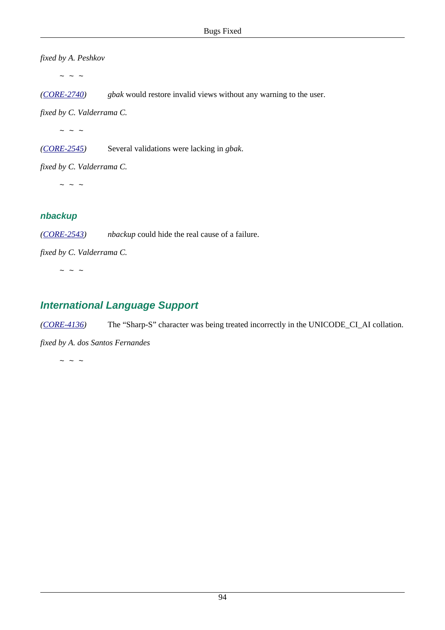*fixed by A. Peshkov*

 $\sim$   $\,$   $\sim$   $\,$   $\sim$ 

*([CORE-2740](http://tracker.firebirdsql.org/browse/CORE-2740)) gbak* would restore invalid views without any warning to the user.

*fixed by C. Valderrama C.*

 $\sim$   $\sim$   $\sim$ 

*([CORE-2545](http://tracker.firebirdsql.org/browse/CORE-2545))* Several validations were lacking in *gbak*.

*fixed by C. Valderrama C.*

 $\sim$  ~ ~

#### **nbackup**

*([CORE-2543](http://tracker.firebirdsql.org/browse/CORE-2543)) nbackup* could hide the real cause of a failure.

*fixed by C. Valderrama C.*

 $\sim$  ~ ~

# **International Language Support**

*([CORE-4136](http://tracker.firebirdsql.org/browse/CORE-4136))* The "Sharp-S" character was being treated incorrectly in the UNICODE\_CI\_AI collation.

*fixed by A. dos Santos Fernandes*

 $\sim$  ~ ~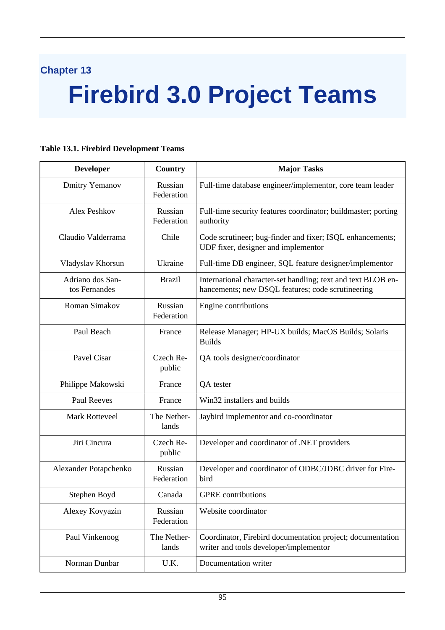# **Chapter 13**

# **Firebird 3.0 Project Teams**

#### **Developer Country Major Tasks** Dmitry Yemanov Russian Federation Full-time database engineer/implementor, core team leader Alex Peshkov Russian Federation Full-time security features coordinator; buildmaster; porting authority Claudio Valderrama Chile Code scrutineer; bug-finder and fixer; ISQL enhancements; UDF fixer, designer and implementor Vladyslav Khorsun Ukraine Full-time DB engineer, SQL feature designer/implementor Adriano dos Santos Fernandes Brazil International character-set handling; text and text BLOB enhancements; new DSQL features; code scrutineering Roman Simakov | Russian Federation Engine contributions Paul Beach France Release Manager; HP-UX builds; MacOS Builds; Solaris Builds Pavel Cisar Czech Republic QA tools designer/coordinator Philippe Makowski France QA tester Paul Reeves France Win32 installers and builds Mark Rotteveel The Netherlands Jaybird implementor and co-coordinator Jiri Cincura Czech Republic Developer and coordinator of .NET providers Alexander Potapchenko | Russian Federation Developer and coordinator of ODBC/JDBC driver for Firebird Stephen Boyd Canada GPRE contributions Alexey Kovyazin Russian Federation Website coordinator Paul Vinkenoog The Netherlands Coordinator, Firebird documentation project; documentation writer and tools developer/implementor Norman Dunbar | U.K. | Documentation writer

#### **Table 13.1. Firebird Development Teams**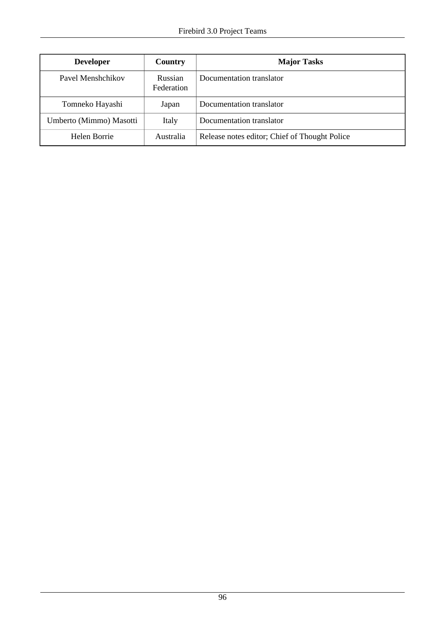| <b>Developer</b>        | Country               | <b>Major Tasks</b>                            |
|-------------------------|-----------------------|-----------------------------------------------|
| Pavel Menshchikov       | Russian<br>Federation | Documentation translator                      |
| Tomneko Hayashi         | Japan                 | Documentation translator                      |
| Umberto (Mimmo) Masotti | Italy                 | Documentation translator                      |
| Helen Borrie            | Australia             | Release notes editor; Chief of Thought Police |